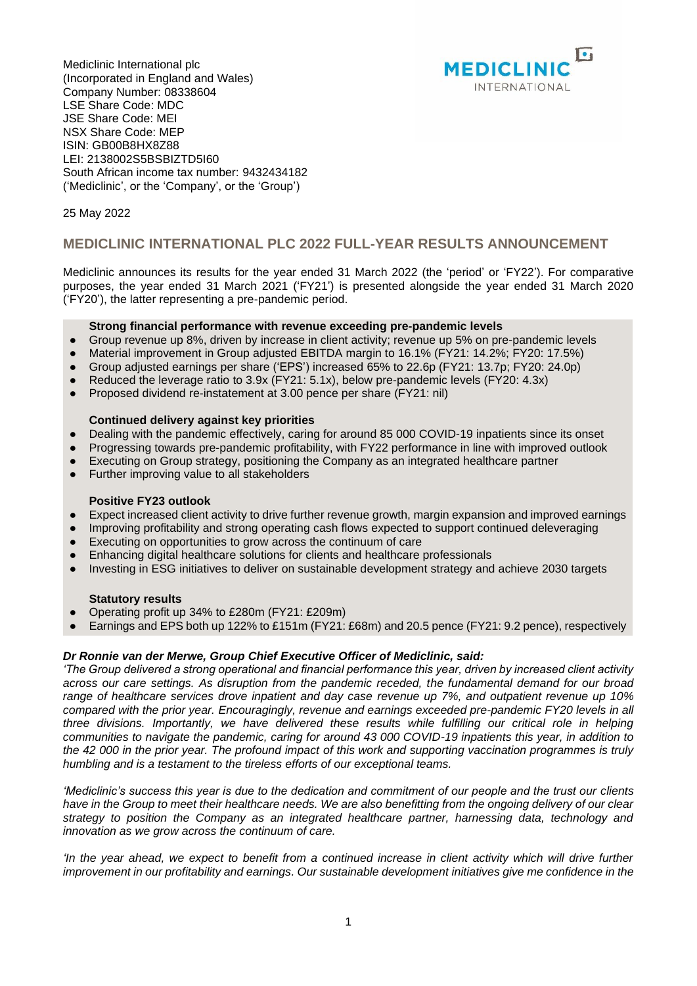Mediclinic International plc (Incorporated in England and Wales) Company Number: 08338604 LSE Share Code: MDC JSE Share Code: MEI NSX Share Code: MEP ISIN: GB00B8HX8Z88 LEI: 2138002S5BSBIZTD5I60 South African income tax number: 9432434182 ('Mediclinic', or the 'Company', or the 'Group')



## 25 May 2022

# **MEDICLINIC INTERNATIONAL PLC 2022 FULL-YEAR RESULTS ANNOUNCEMENT**

Mediclinic announces its results for the year ended 31 March 2022 (the 'period' or 'FY22'). For comparative purposes, the year ended 31 March 2021 ('FY21') is presented alongside the year ended 31 March 2020 ('FY20'), the latter representing a pre-pandemic period.

### **Strong financial performance with revenue exceeding pre-pandemic levels**

- Group revenue up 8%, driven by increase in client activity; revenue up 5% on pre-pandemic levels
- Material improvement in Group adjusted EBITDA margin to 16.1% (FY21: 14.2%; FY20: 17.5%)
- Group adjusted earnings per share ('EPS') increased 65% to 22.6p (FY21: 13.7p; FY20: 24.0p)
- Reduced the leverage ratio to 3.9x (FY21: 5.1x), below pre-pandemic levels (FY20: 4.3x)
- Proposed dividend re-instatement at 3.00 pence per share (FY21: nil)

#### **Continued delivery against key priorities**

- Dealing with the pandemic effectively, caring for around 85 000 COVID-19 inpatients since its onset
- Progressing towards pre-pandemic profitability, with FY22 performance in line with improved outlook
- Executing on Group strategy, positioning the Company as an integrated healthcare partner
- Further improving value to all stakeholders

#### **Positive FY23 outlook**

- Expect increased client activity to drive further revenue growth, margin expansion and improved earnings
- Improving profitability and strong operating cash flows expected to support continued deleveraging
- Executing on opportunities to grow across the continuum of care
- Enhancing digital healthcare solutions for clients and healthcare professionals
- Investing in ESG initiatives to deliver on sustainable development strategy and achieve 2030 targets

#### **Statutory results**

- Operating profit up 34% to £280m (FY21: £209m)
- $\bullet$  Earnings and EPS both up 122% to £151m (FY21; £68m) and 20.5 pence (FY21: 9.2 pence), respectively

#### *Dr Ronnie van der Merwe, Group Chief Executive Officer of Mediclinic, said:*

*'The Group delivered a strong operational and financial performance this year, driven by increased client activity across our care settings. As disruption from the pandemic receded, the fundamental demand for our broad range of healthcare services drove inpatient and day case revenue up 7%, and outpatient revenue up 10% compared with the prior year. Encouragingly, revenue and earnings exceeded pre-pandemic FY20 levels in all three divisions. Importantly, we have delivered these results while fulfilling our critical role in helping communities to navigate the pandemic, caring for around 43 000 COVID-19 inpatients this year, in addition to the 42 000 in the prior year. The profound impact of this work and supporting vaccination programmes is truly humbling and is a testament to the tireless efforts of our exceptional teams.* 

*'Mediclinic's success this year is due to the dedication and commitment of our people and the trust our clients have in the Group to meet their healthcare needs. We are also benefitting from the ongoing delivery of our clear strategy to position the Company as an integrated healthcare partner, harnessing data, technology and innovation as we grow across the continuum of care.*

*'In the year ahead, we expect to benefit from a continued increase in client activity which will drive further improvement in our profitability and earnings. Our sustainable development initiatives give me confidence in the*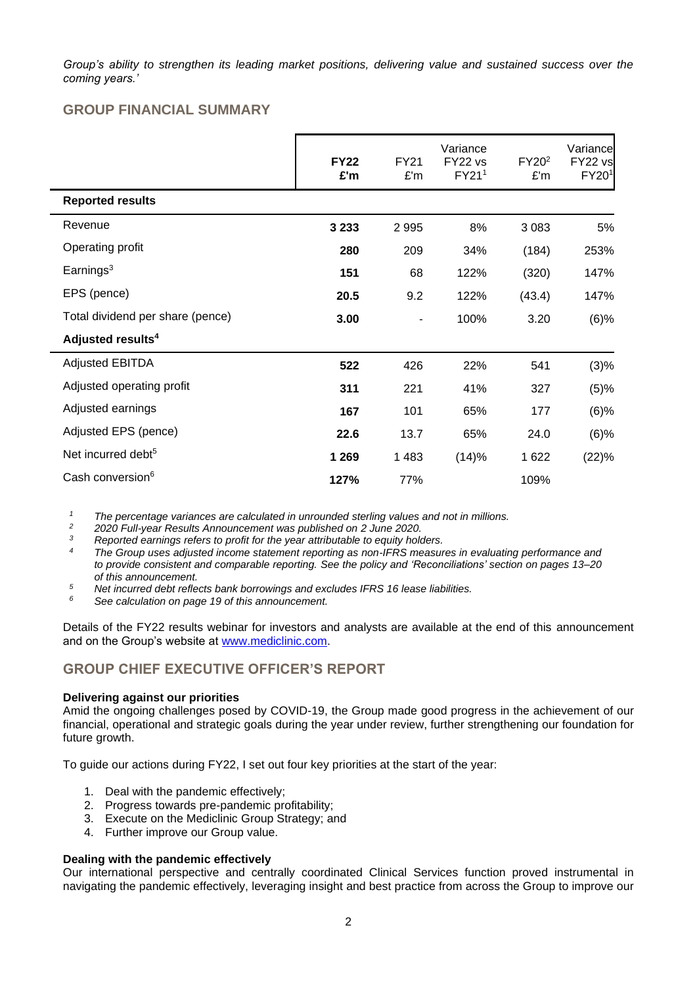*Group's ability to strengthen its leading market positions, delivering value and sustained success over the coming years.'*

# **GROUP FINANCIAL SUMMARY**

|                                  | <b>FY22</b><br>£'m | <b>FY21</b><br>£'m | Variance<br>FY22 vs<br>FY211 | FY20 <sup>2</sup><br>£'m | Variance<br>FY22 vs<br>FY201 |
|----------------------------------|--------------------|--------------------|------------------------------|--------------------------|------------------------------|
| <b>Reported results</b>          |                    |                    |                              |                          |                              |
| Revenue                          | 3 2 3 3            | 2 9 9 5            | 8%                           | 3 0 8 3                  | 5%                           |
| Operating profit                 | 280                | 209                | 34%                          | (184)                    | 253%                         |
| Earnings $3$                     | 151                | 68                 | 122%                         | (320)                    | 147%                         |
| EPS (pence)                      | 20.5               | 9.2                | 122%                         | (43.4)                   | 147%                         |
| Total dividend per share (pence) | 3.00               |                    | 100%                         | 3.20                     | $(6)\%$                      |
| Adjusted results <sup>4</sup>    |                    |                    |                              |                          |                              |
| <b>Adjusted EBITDA</b>           | 522                | 426                | 22%                          | 541                      | (3)%                         |
| Adjusted operating profit        | 311                | 221                | 41%                          | 327                      | (5)%                         |
| Adjusted earnings                | 167                | 101                | 65%                          | 177                      | $(6)$ %                      |
| Adjusted EPS (pence)             | 22.6               | 13.7               | 65%                          | 24.0                     | $(6)$ %                      |
| Net incurred debt <sup>5</sup>   | 1 2 6 9            | 1 4 8 3            | (14)%                        | 1622                     | (22)%                        |
| Cash conversion <sup>6</sup>     | 127%               | 77%                |                              | 109%                     |                              |

*<sup>1</sup> The percentage variances are calculated in unrounded sterling values and not in millions.*

*<sup>2</sup> 2020 Full-year Results Announcement was published on 2 June 2020.*

*<sup>3</sup> Reported earnings refers to profit for the year attributable to equity holders.*

*<sup>4</sup> The Group uses adjusted income statement reporting as non-IFRS measures in evaluating performance and to provide consistent and comparable reporting. See the policy and 'Reconciliations' section on pages 13–20 of this announcement.*

**1** *Net incurred debt reflects bank borrowings and excludes IFRS 16 lease liabilities.*<br>
See ealer data page 10 of this ennouncement.

*<sup>6</sup> See calculation on page 19 of this announcement.*

Details of the FY22 results webinar for investors and analysts are available at the end of this announcement and on the Group's website at [www.mediclinic.com.](http://www.mediclinic.com/)

# **GROUP CHIEF EXECUTIVE OFFICER'S REPORT**

#### **Delivering against our priorities**

Amid the ongoing challenges posed by COVID-19, the Group made good progress in the achievement of our financial, operational and strategic goals during the year under review, further strengthening our foundation for future growth.

To guide our actions during FY22, I set out four key priorities at the start of the year:

- 1. Deal with the pandemic effectively;
- 2. Progress towards pre-pandemic profitability;
- 3. Execute on the Mediclinic Group Strategy; and
- 4. Further improve our Group value.

#### **Dealing with the pandemic effectively**

Our international perspective and centrally coordinated Clinical Services function proved instrumental in navigating the pandemic effectively, leveraging insight and best practice from across the Group to improve our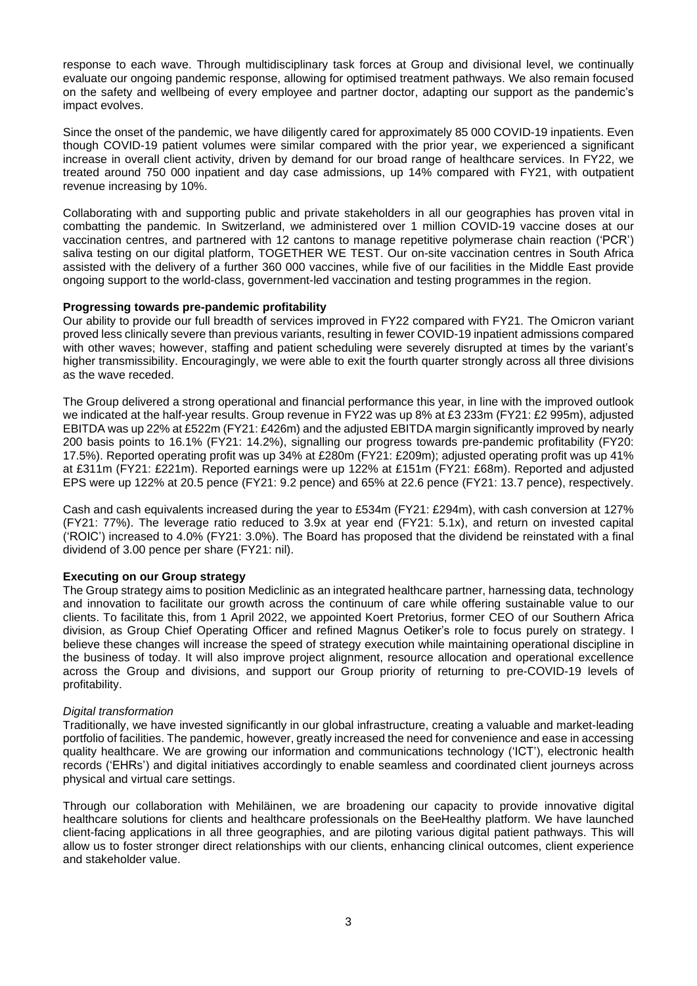response to each wave. Through multidisciplinary task forces at Group and divisional level, we continually evaluate our ongoing pandemic response, allowing for optimised treatment pathways. We also remain focused on the safety and wellbeing of every employee and partner doctor, adapting our support as the pandemic's impact evolves.

Since the onset of the pandemic, we have diligently cared for approximately 85 000 COVID-19 inpatients. Even though COVID-19 patient volumes were similar compared with the prior year, we experienced a significant increase in overall client activity, driven by demand for our broad range of healthcare services. In FY22, we treated around 750 000 inpatient and day case admissions, up 14% compared with FY21, with outpatient revenue increasing by 10%.

Collaborating with and supporting public and private stakeholders in all our geographies has proven vital in combatting the pandemic. In Switzerland, we administered over 1 million COVID-19 vaccine doses at our vaccination centres, and partnered with 12 cantons to manage repetitive polymerase chain reaction ('PCR') saliva testing on our digital platform, TOGETHER WE TEST. Our on-site vaccination centres in South Africa assisted with the delivery of a further 360 000 vaccines, while five of our facilities in the Middle East provide ongoing support to the world-class, government-led vaccination and testing programmes in the region.

## **Progressing towards pre-pandemic profitability**

Our ability to provide our full breadth of services improved in FY22 compared with FY21. The Omicron variant proved less clinically severe than previous variants, resulting in fewer COVID-19 inpatient admissions compared with other waves; however, staffing and patient scheduling were severely disrupted at times by the variant's higher transmissibility. Encouragingly, we were able to exit the fourth quarter strongly across all three divisions as the wave receded.

The Group delivered a strong operational and financial performance this year, in line with the improved outlook we indicated at the half-year results. Group revenue in FY22 was up 8% at £3 233m (FY21: £2 995m), adjusted EBITDA was up 22% at £522m (FY21: £426m) and the adjusted EBITDA margin significantly improved by nearly 200 basis points to 16.1% (FY21: 14.2%), signalling our progress towards pre-pandemic profitability (FY20: 17.5%). Reported operating profit was up 34% at £280m (FY21: £209m); adjusted operating profit was up 41% at £311m (FY21: £221m). Reported earnings were up 122% at £151m (FY21: £68m). Reported and adjusted EPS were up 122% at 20.5 pence (FY21: 9.2 pence) and 65% at 22.6 pence (FY21: 13.7 pence), respectively.

Cash and cash equivalents increased during the year to £534m (FY21: £294m), with cash conversion at 127% (FY21: 77%). The leverage ratio reduced to 3.9x at year end (FY21: 5.1x), and return on invested capital ('ROIC') increased to 4.0% (FY21: 3.0%). The Board has proposed that the dividend be reinstated with a final dividend of 3.00 pence per share (FY21: nil).

## **Executing on our Group strategy**

The Group strategy aims to position Mediclinic as an integrated healthcare partner, harnessing data, technology and innovation to facilitate our growth across the continuum of care while offering sustainable value to our clients. To facilitate this, from 1 April 2022, we appointed Koert Pretorius, former CEO of our Southern Africa division, as Group Chief Operating Officer and refined Magnus Oetiker's role to focus purely on strategy. I believe these changes will increase the speed of strategy execution while maintaining operational discipline in the business of today. It will also improve project alignment, resource allocation and operational excellence across the Group and divisions, and support our Group priority of returning to pre-COVID-19 levels of profitability.

#### *Digital transformation*

Traditionally, we have invested significantly in our global infrastructure, creating a valuable and market-leading portfolio of facilities. The pandemic, however, greatly increased the need for convenience and ease in accessing quality healthcare. We are growing our information and communications technology ('ICT'), electronic health records ('EHRs') and digital initiatives accordingly to enable seamless and coordinated client journeys across physical and virtual care settings.

Through our collaboration with Mehiläinen, we are broadening our capacity to provide innovative digital healthcare solutions for clients and healthcare professionals on the BeeHealthy platform. We have launched client-facing applications in all three geographies, and are piloting various digital patient pathways. This will allow us to foster stronger direct relationships with our clients, enhancing clinical outcomes, client experience and stakeholder value.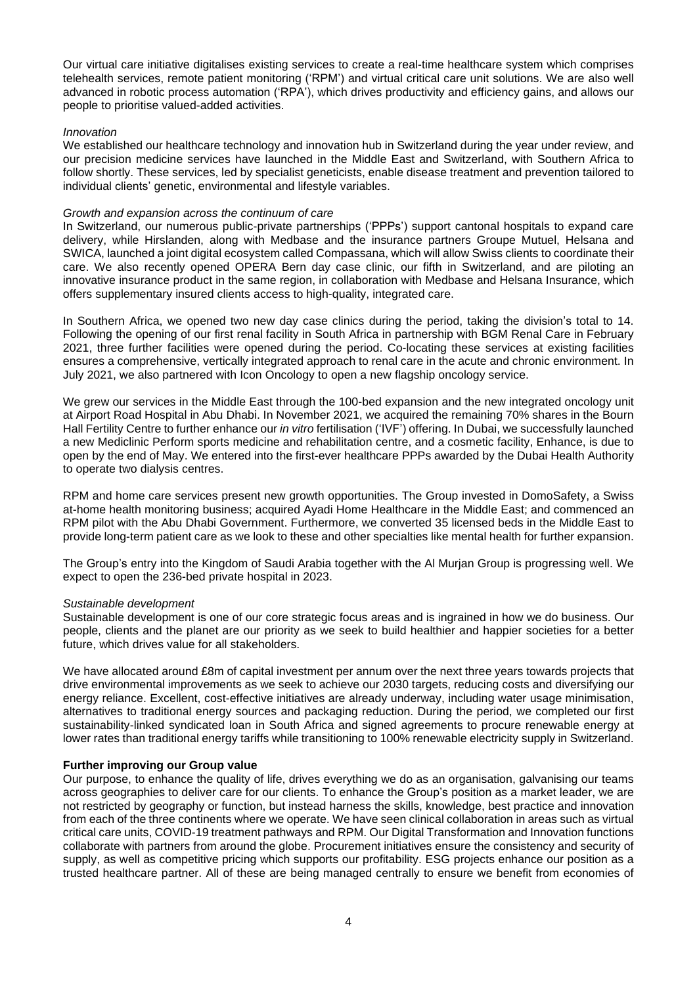Our virtual care initiative digitalises existing services to create a real-time healthcare system which comprises telehealth services, remote patient monitoring ('RPM') and virtual critical care unit solutions. We are also well advanced in robotic process automation ('RPA'), which drives productivity and efficiency gains, and allows our people to prioritise valued-added activities.

### *Innovation*

We established our healthcare technology and innovation hub in Switzerland during the year under review, and our precision medicine services have launched in the Middle East and Switzerland, with Southern Africa to follow shortly. These services, led by specialist geneticists, enable disease treatment and prevention tailored to individual clients' genetic, environmental and lifestyle variables.

### *Growth and expansion across the continuum of care*

In Switzerland, our numerous public-private partnerships ('PPPs') support cantonal hospitals to expand care delivery, while Hirslanden, along with Medbase and the insurance partners Groupe Mutuel, Helsana and SWICA, launched a joint digital ecosystem called Compassana, which will allow Swiss clients to coordinate their care. We also recently opened OPERA Bern day case clinic, our fifth in Switzerland, and are piloting an innovative insurance product in the same region, in collaboration with Medbase and Helsana Insurance, which offers supplementary insured clients access to high-quality, integrated care.

In Southern Africa, we opened two new day case clinics during the period, taking the division's total to 14. Following the opening of our first renal facility in South Africa in partnership with BGM Renal Care in February 2021, three further facilities were opened during the period. Co-locating these services at existing facilities ensures a comprehensive, vertically integrated approach to renal care in the acute and chronic environment. In July 2021, we also partnered with Icon Oncology to open a new flagship oncology service.

We grew our services in the Middle East through the 100-bed expansion and the new integrated oncology unit at Airport Road Hospital in Abu Dhabi. In November 2021, we acquired the remaining 70% shares in the Bourn Hall Fertility Centre to further enhance our *in vitro* fertilisation ('IVF') offering. In Dubai, we successfully launched a new Mediclinic Perform sports medicine and rehabilitation centre, and a cosmetic facility, Enhance, is due to open by the end of May. We entered into the first-ever healthcare PPPs awarded by the Dubai Health Authority to operate two dialysis centres.

RPM and home care services present new growth opportunities. The Group invested in DomoSafety, a Swiss at-home health monitoring business; acquired Ayadi Home Healthcare in the Middle East; and commenced an RPM pilot with the Abu Dhabi Government. Furthermore, we converted 35 licensed beds in the Middle East to provide long-term patient care as we look to these and other specialties like mental health for further expansion.

The Group's entry into the Kingdom of Saudi Arabia together with the Al Murjan Group is progressing well. We expect to open the 236-bed private hospital in 2023.

#### *Sustainable development*

Sustainable development is one of our core strategic focus areas and is ingrained in how we do business. Our people, clients and the planet are our priority as we seek to build healthier and happier societies for a better future, which drives value for all stakeholders.

We have allocated around £8m of capital investment per annum over the next three years towards projects that drive environmental improvements as we seek to achieve our 2030 targets, reducing costs and diversifying our energy reliance. Excellent, cost-effective initiatives are already underway, including water usage minimisation, alternatives to traditional energy sources and packaging reduction. During the period, we completed our first sustainability-linked syndicated loan in South Africa and signed agreements to procure renewable energy at lower rates than traditional energy tariffs while transitioning to 100% renewable electricity supply in Switzerland.

## **Further improving our Group value**

Our purpose, to enhance the quality of life, drives everything we do as an organisation, galvanising our teams across geographies to deliver care for our clients. To enhance the Group's position as a market leader, we are not restricted by geography or function, but instead harness the skills, knowledge, best practice and innovation from each of the three continents where we operate. We have seen clinical collaboration in areas such as virtual critical care units, COVID-19 treatment pathways and RPM. Our Digital Transformation and Innovation functions collaborate with partners from around the globe. Procurement initiatives ensure the consistency and security of supply, as well as competitive pricing which supports our profitability. ESG projects enhance our position as a trusted healthcare partner. All of these are being managed centrally to ensure we benefit from economies of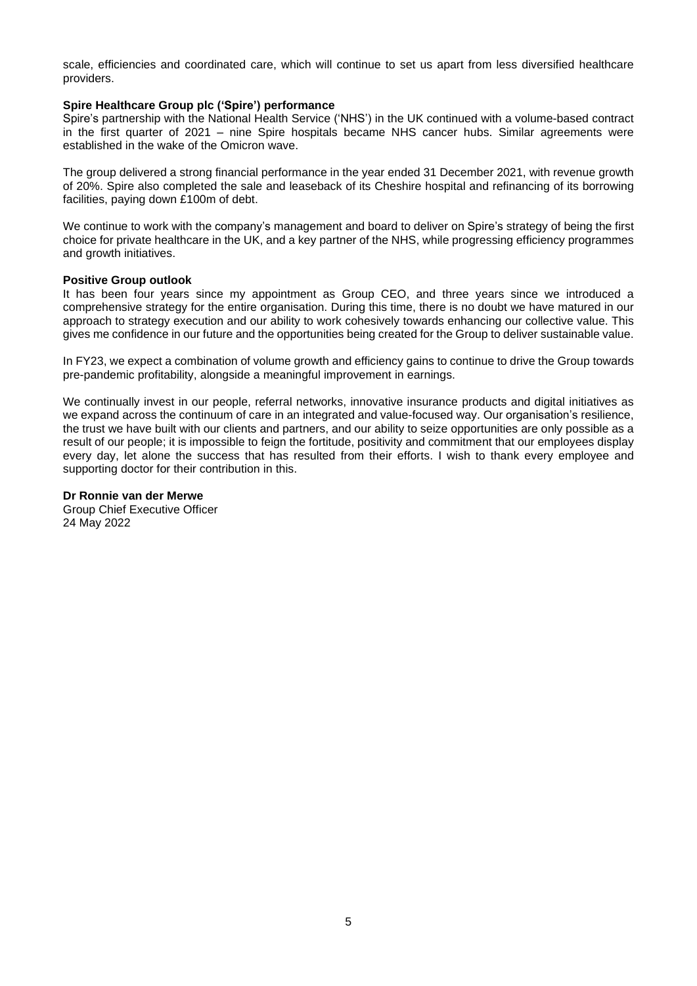scale, efficiencies and coordinated care, which will continue to set us apart from less diversified healthcare providers.

#### **Spire Healthcare Group plc ('Spire') performance**

Spire's partnership with the National Health Service ('NHS') in the UK continued with a volume-based contract in the first quarter of 2021 – nine Spire hospitals became NHS cancer hubs. Similar agreements were established in the wake of the Omicron wave.

The group delivered a strong financial performance in the year ended 31 December 2021, with revenue growth of 20%. Spire also completed the sale and leaseback of its Cheshire hospital and refinancing of its borrowing facilities, paying down £100m of debt.

We continue to work with the company's management and board to deliver on Spire's strategy of being the first choice for private healthcare in the UK, and a key partner of the NHS, while progressing efficiency programmes and growth initiatives.

#### **Positive Group outlook**

It has been four years since my appointment as Group CEO, and three years since we introduced a comprehensive strategy for the entire organisation. During this time, there is no doubt we have matured in our approach to strategy execution and our ability to work cohesively towards enhancing our collective value. This gives me confidence in our future and the opportunities being created for the Group to deliver sustainable value.

In FY23, we expect a combination of volume growth and efficiency gains to continue to drive the Group towards pre-pandemic profitability, alongside a meaningful improvement in earnings.

We continually invest in our people, referral networks, innovative insurance products and digital initiatives as we expand across the continuum of care in an integrated and value-focused way. Our organisation's resilience, the trust we have built with our clients and partners, and our ability to seize opportunities are only possible as a result of our people; it is impossible to feign the fortitude, positivity and commitment that our employees display every day, let alone the success that has resulted from their efforts. I wish to thank every employee and supporting doctor for their contribution in this.

#### **Dr Ronnie van der Merwe**

Group Chief Executive Officer 24 May 2022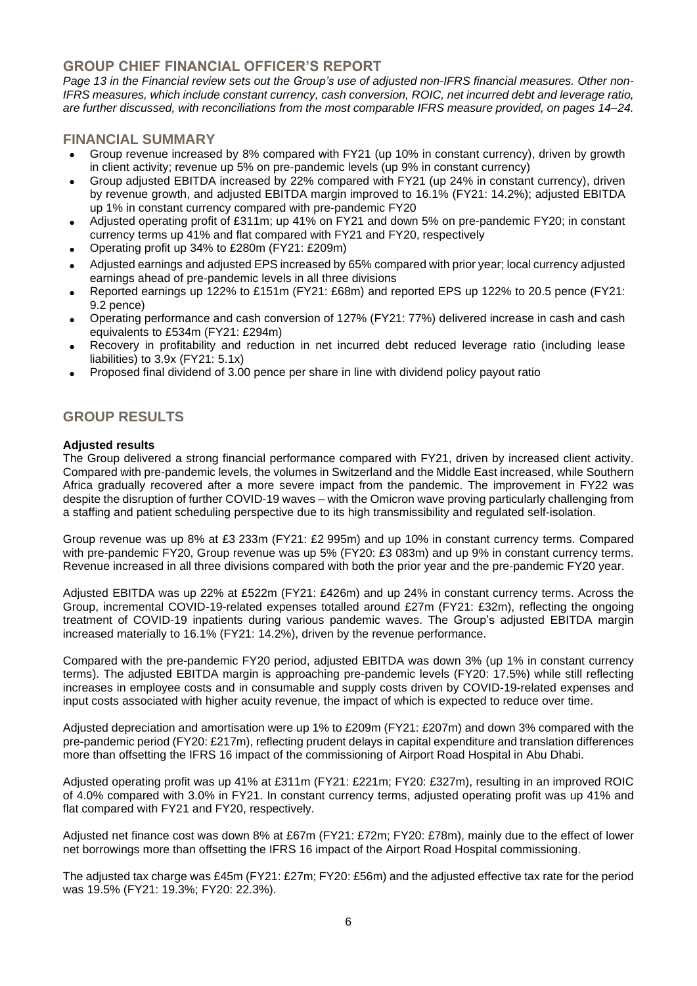# **GROUP CHIEF FINANCIAL OFFICER'S REPORT**

Page 13 in the Financial review sets out the Group's use of adjusted non-IFRS financial measures. Other non-*IFRS measures, which include constant currency, cash conversion, ROIC, net incurred debt and leverage ratio, are further discussed, with reconciliations from the most comparable IFRS measure provided, on pages 14–24.*

# **FINANCIAL SUMMARY**

- Group revenue increased by 8% compared with FY21 (up 10% in constant currency), driven by growth in client activity; revenue up 5% on pre-pandemic levels (up 9% in constant currency)
- Group adjusted EBITDA increased by 22% compared with FY21 (up 24% in constant currency), driven by revenue growth, and adjusted EBITDA margin improved to 16.1% (FY21: 14.2%); adjusted EBITDA up 1% in constant currency compared with pre-pandemic FY20
- Adjusted operating profit of £311m; up 41% on FY21 and down 5% on pre-pandemic FY20; in constant currency terms up 41% and flat compared with FY21 and FY20, respectively
- Operating profit up 34% to £280m (FY21: £209m)
- Adjusted earnings and adjusted EPS increased by 65% compared with prior year; local currency adjusted earnings ahead of pre-pandemic levels in all three divisions
- Reported earnings up 122% to £151m (FY21: £68m) and reported EPS up 122% to 20.5 pence (FY21: 9.2 pence)
- Operating performance and cash conversion of 127% (FY21: 77%) delivered increase in cash and cash equivalents to £534m (FY21: £294m)
- Recovery in profitability and reduction in net incurred debt reduced leverage ratio (including lease liabilities) to 3.9x (FY21: 5.1x)
- Proposed final dividend of 3.00 pence per share in line with dividend policy payout ratio

# **GROUP RESULTS**

## **Adjusted results**

The Group delivered a strong financial performance compared with FY21, driven by increased client activity. Compared with pre-pandemic levels, the volumes in Switzerland and the Middle East increased, while Southern Africa gradually recovered after a more severe impact from the pandemic. The improvement in FY22 was despite the disruption of further COVID-19 waves – with the Omicron wave proving particularly challenging from a staffing and patient scheduling perspective due to its high transmissibility and regulated self-isolation.

Group revenue was up 8% at £3 233m (FY21: £2 995m) and up 10% in constant currency terms. Compared with pre-pandemic FY20, Group revenue was up 5% (FY20: £3 083m) and up 9% in constant currency terms. Revenue increased in all three divisions compared with both the prior year and the pre-pandemic FY20 year.

Adjusted EBITDA was up 22% at £522m (FY21: £426m) and up 24% in constant currency terms. Across the Group, incremental COVID-19-related expenses totalled around £27m (FY21: £32m), reflecting the ongoing treatment of COVID-19 inpatients during various pandemic waves. The Group's adjusted EBITDA margin increased materially to 16.1% (FY21: 14.2%), driven by the revenue performance.

Compared with the pre-pandemic FY20 period, adjusted EBITDA was down 3% (up 1% in constant currency terms). The adjusted EBITDA margin is approaching pre-pandemic levels (FY20: 17.5%) while still reflecting increases in employee costs and in consumable and supply costs driven by COVID-19-related expenses and input costs associated with higher acuity revenue, the impact of which is expected to reduce over time.

Adjusted depreciation and amortisation were up 1% to £209m (FY21: £207m) and down 3% compared with the pre-pandemic period (FY20: £217m), reflecting prudent delays in capital expenditure and translation differences more than offsetting the IFRS 16 impact of the commissioning of Airport Road Hospital in Abu Dhabi.

Adjusted operating profit was up 41% at £311m (FY21: £221m; FY20: £327m), resulting in an improved ROIC of 4.0% compared with 3.0% in FY21. In constant currency terms, adjusted operating profit was up 41% and flat compared with FY21 and FY20, respectively.

Adjusted net finance cost was down 8% at £67m (FY21: £72m; FY20: £78m), mainly due to the effect of lower net borrowings more than offsetting the IFRS 16 impact of the Airport Road Hospital commissioning.

The adjusted tax charge was £45m (FY21: £27m; FY20: £56m) and the adjusted effective tax rate for the period was 19.5% (FY21: 19.3%; FY20: 22.3%).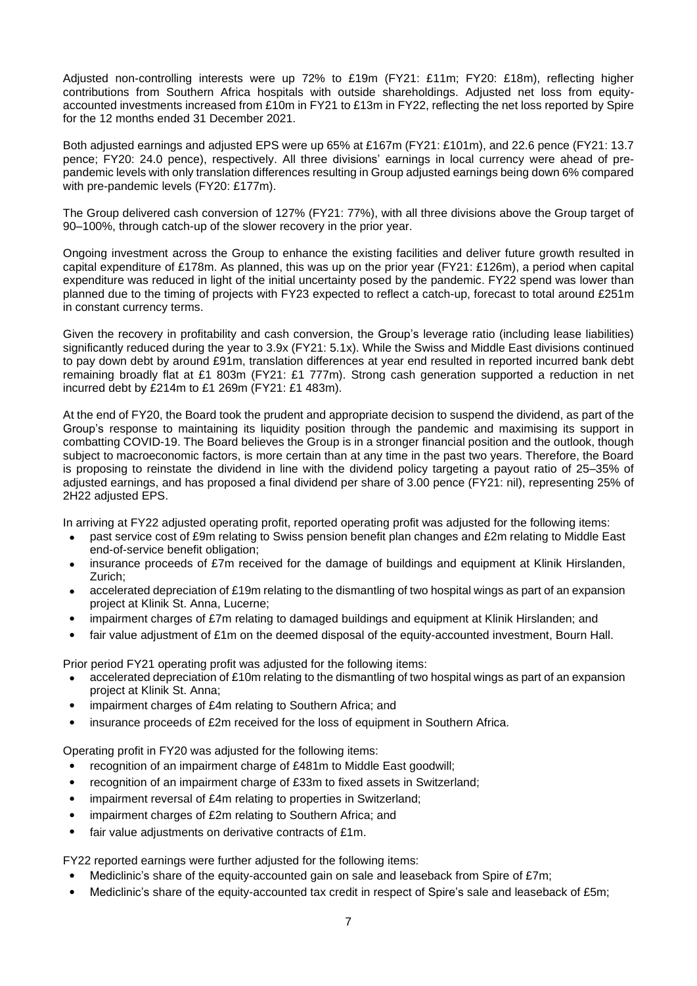Adjusted non-controlling interests were up 72% to £19m (FY21: £11m; FY20: £18m), reflecting higher contributions from Southern Africa hospitals with outside shareholdings. Adjusted net loss from equityaccounted investments increased from £10m in FY21 to £13m in FY22, reflecting the net loss reported by Spire for the 12 months ended 31 December 2021.

Both adjusted earnings and adjusted EPS were up 65% at £167m (FY21: £101m), and 22.6 pence (FY21: 13.7 pence; FY20: 24.0 pence), respectively. All three divisions' earnings in local currency were ahead of prepandemic levels with only translation differences resulting in Group adjusted earnings being down 6% compared with pre-pandemic levels (FY20: £177m).

The Group delivered cash conversion of 127% (FY21: 77%), with all three divisions above the Group target of 90–100%, through catch-up of the slower recovery in the prior year.

Ongoing investment across the Group to enhance the existing facilities and deliver future growth resulted in capital expenditure of £178m. As planned, this was up on the prior year (FY21: £126m), a period when capital expenditure was reduced in light of the initial uncertainty posed by the pandemic. FY22 spend was lower than planned due to the timing of projects with FY23 expected to reflect a catch-up, forecast to total around £251m in constant currency terms.

Given the recovery in profitability and cash conversion, the Group's leverage ratio (including lease liabilities) significantly reduced during the year to 3.9x (FY21: 5.1x). While the Swiss and Middle East divisions continued to pay down debt by around £91m, translation differences at year end resulted in reported incurred bank debt remaining broadly flat at £1 803m (FY21: £1 777m). Strong cash generation supported a reduction in net incurred debt by £214m to £1 269m (FY21: £1 483m).

At the end of FY20, the Board took the prudent and appropriate decision to suspend the dividend, as part of the Group's response to maintaining its liquidity position through the pandemic and maximising its support in combatting COVID-19. The Board believes the Group is in a stronger financial position and the outlook, though subject to macroeconomic factors, is more certain than at any time in the past two years. Therefore, the Board is proposing to reinstate the dividend in line with the dividend policy targeting a payout ratio of 25–35% of adjusted earnings, and has proposed a final dividend per share of 3.00 pence (FY21: nil), representing 25% of 2H22 adjusted EPS.

In arriving at FY22 adjusted operating profit, reported operating profit was adjusted for the following items:

- past service cost of £9m relating to Swiss pension benefit plan changes and £2m relating to Middle East end-of-service benefit obligation;
- insurance proceeds of £7m received for the damage of buildings and equipment at Klinik Hirslanden, Zurich;
- accelerated depreciation of £19m relating to the dismantling of two hospital wings as part of an expansion project at Klinik St. Anna, Lucerne;
- impairment charges of £7m relating to damaged buildings and equipment at Klinik Hirslanden; and
- fair value adjustment of £1m on the deemed disposal of the equity-accounted investment, Bourn Hall.

Prior period FY21 operating profit was adjusted for the following items:

- accelerated depreciation of £10m relating to the dismantling of two hospital wings as part of an expansion project at Klinik St. Anna;
- impairment charges of £4m relating to Southern Africa; and
- insurance proceeds of £2m received for the loss of equipment in Southern Africa.

Operating profit in FY20 was adjusted for the following items:

- recognition of an impairment charge of £481m to Middle East goodwill;
- recognition of an impairment charge of £33m to fixed assets in Switzerland;
- impairment reversal of £4m relating to properties in Switzerland;
- impairment charges of £2m relating to Southern Africa: and
- fair value adjustments on derivative contracts of £1m.

FY22 reported earnings were further adjusted for the following items:

- Mediclinic's share of the equity-accounted gain on sale and leaseback from Spire of £7m;
- Mediclinic's share of the equity-accounted tax credit in respect of Spire's sale and leaseback of £5m;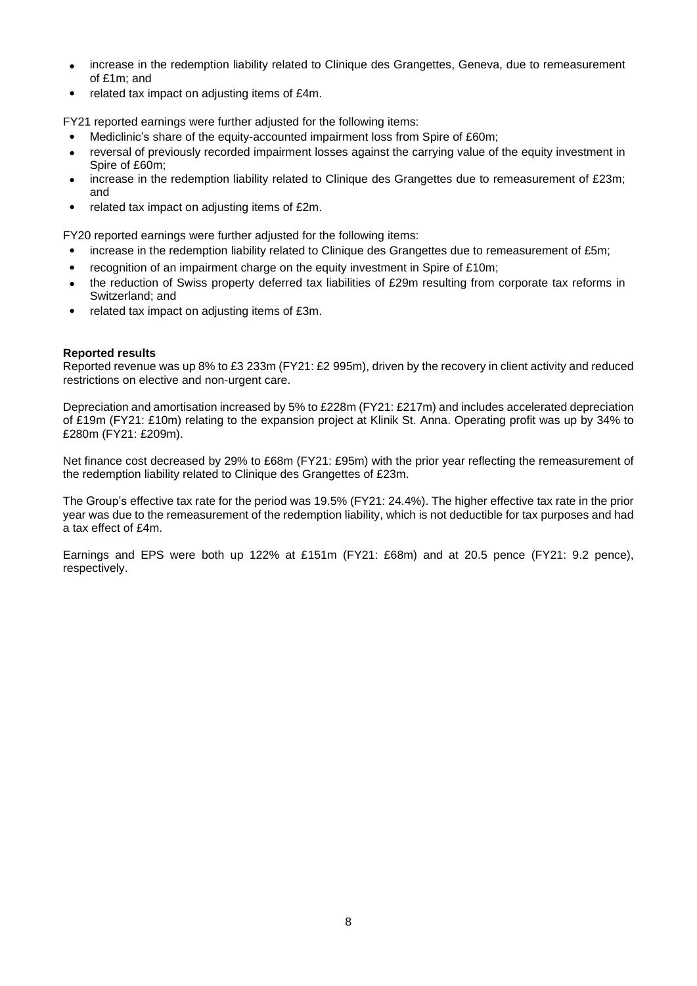- increase in the redemption liability related to Clinique des Grangettes, Geneva, due to remeasurement of £1m; and
- related tax impact on adjusting items of £4m.

FY21 reported earnings were further adjusted for the following items:

- Mediclinic's share of the equity-accounted impairment loss from Spire of £60m;
- reversal of previously recorded impairment losses against the carrying value of the equity investment in Spire of £60m;
- increase in the redemption liability related to Clinique des Grangettes due to remeasurement of £23m; and
- related tax impact on adjusting items of £2m.

FY20 reported earnings were further adjusted for the following items:

- increase in the redemption liability related to Clinique des Grangettes due to remeasurement of £5m;
- recognition of an impairment charge on the equity investment in Spire of £10m;
- the reduction of Swiss property deferred tax liabilities of £29m resulting from corporate tax reforms in Switzerland; and
- related tax impact on adjusting items of £3m.

## **Reported results**

Reported revenue was up 8% to £3 233m (FY21: £2 995m), driven by the recovery in client activity and reduced restrictions on elective and non-urgent care.

Depreciation and amortisation increased by 5% to £228m (FY21: £217m) and includes accelerated depreciation of £19m (FY21: £10m) relating to the expansion project at Klinik St. Anna. Operating profit was up by 34% to £280m (FY21: £209m).

Net finance cost decreased by 29% to £68m (FY21: £95m) with the prior year reflecting the remeasurement of the redemption liability related to Clinique des Grangettes of £23m.

The Group's effective tax rate for the period was 19.5% (FY21: 24.4%). The higher effective tax rate in the prior year was due to the remeasurement of the redemption liability, which is not deductible for tax purposes and had a tax effect of £4m.

Earnings and EPS were both up 122% at £151m (FY21: £68m) and at 20.5 pence (FY21: 9.2 pence), respectively.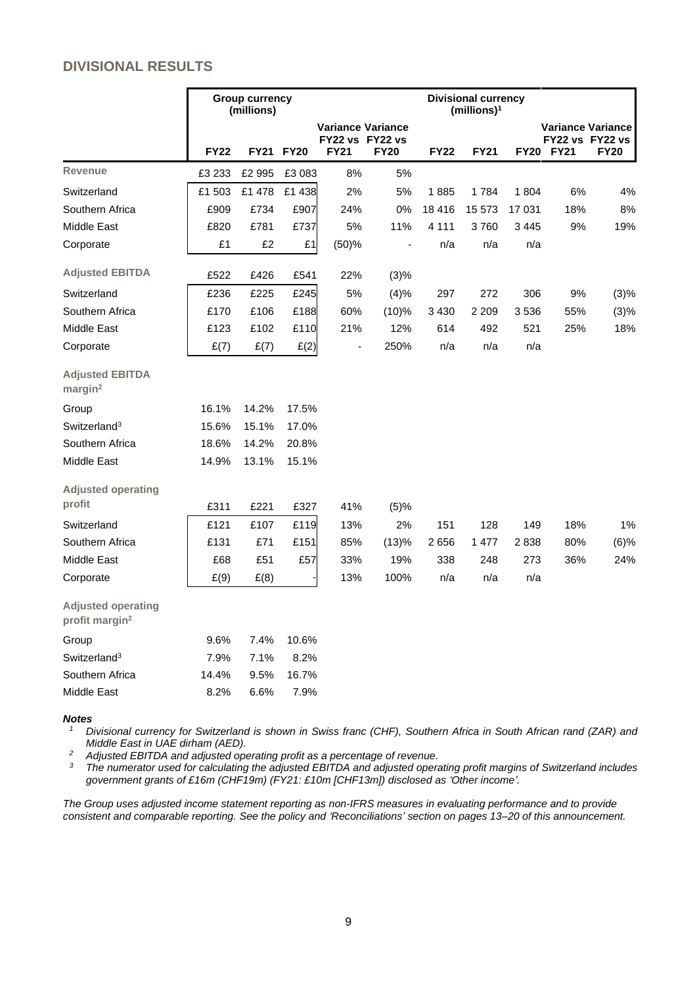# **DIVISIONAL RESULTS**

|                                                         |             | <b>Group currency</b><br>(millions) |           |                                                            |                |             | <b>Divisional currency</b><br>(millions) <sup>1</sup> |         |           |                                                            |
|---------------------------------------------------------|-------------|-------------------------------------|-----------|------------------------------------------------------------|----------------|-------------|-------------------------------------------------------|---------|-----------|------------------------------------------------------------|
|                                                         | <b>FY22</b> |                                     | FY21 FY20 | <b>Variance Variance</b><br>FY22 vs FY22 vs<br><b>FY21</b> | <b>FY20</b>    | <b>FY22</b> | <b>FY21</b>                                           |         | FY20 FY21 | <b>Variance Variance</b><br>FY22 vs FY22 vs<br><b>FY20</b> |
| <b>Revenue</b>                                          | £3 233      | £2 995                              | £3 083    | 8%                                                         | 5%             |             |                                                       |         |           |                                                            |
| Switzerland                                             | £1 503      | £1 478                              | £1 438    | 2%                                                         | 5%             | 1885        | 1784                                                  | 1804    | 6%        | 4%                                                         |
| Southern Africa                                         | £909        | £734                                | £907      | 24%                                                        | 0%             | 18 4 16     | 15 573                                                | 17 031  | 18%       | 8%                                                         |
| Middle East                                             | £820        | £781                                | £737      | 5%                                                         | 11%            | 4 1 1 1     | 3760                                                  | 3 4 4 5 | 9%        | 19%                                                        |
| Corporate                                               | £1          | £2                                  | £1        | (50)%                                                      | $\blacksquare$ | n/a         | n/a                                                   | n/a     |           |                                                            |
| <b>Adjusted EBITDA</b>                                  | £522        | £426                                | £541      | 22%                                                        | (3)%           |             |                                                       |         |           |                                                            |
| Switzerland                                             | £236        | £225                                | £245      | 5%                                                         | (4)%           | 297         | 272                                                   | 306     | 9%        | (3)%                                                       |
| Southern Africa                                         | £170        | £106                                | £188      | 60%                                                        | (10)%          | 3 4 3 0     | 2 2 0 9                                               | 3536    | 55%       | (3)%                                                       |
| Middle East                                             | £123        | £102                                | £110      | 21%                                                        | 12%            | 614         | 492                                                   | 521     | 25%       | 18%                                                        |
| Corporate                                               | E(7)        | E(7)                                | E(2)      | $\blacksquare$                                             | 250%           | n/a         | n/a                                                   | n/a     |           |                                                            |
| <b>Adjusted EBITDA</b><br>margin <sup>2</sup>           |             |                                     |           |                                                            |                |             |                                                       |         |           |                                                            |
| Group                                                   | 16.1%       | 14.2%                               | 17.5%     |                                                            |                |             |                                                       |         |           |                                                            |
| Switzerland <sup>3</sup>                                | 15.6%       | 15.1%                               | 17.0%     |                                                            |                |             |                                                       |         |           |                                                            |
| Southern Africa                                         | 18.6%       | 14.2%                               | 20.8%     |                                                            |                |             |                                                       |         |           |                                                            |
| Middle East                                             | 14.9%       | 13.1%                               | 15.1%     |                                                            |                |             |                                                       |         |           |                                                            |
| <b>Adjusted operating</b><br>profit                     | £311        | £221                                | £327      | 41%                                                        | (5)%           |             |                                                       |         |           |                                                            |
| Switzerland                                             | £121        | £107                                | £119      | 13%                                                        | 2%             | 151         | 128                                                   | 149     | 18%       | 1%                                                         |
| Southern Africa                                         | £131        | £71                                 | £151      | 85%                                                        | (13)%          | 2656        | 1 477                                                 | 2838    | 80%       | (6)%                                                       |
| Middle East                                             | £68         | £51                                 | £57       | 33%                                                        | 19%            | 338         | 248                                                   | 273     | 36%       | 24%                                                        |
| Corporate                                               | E(9)        | E(8)                                |           | 13%                                                        | 100%           | n/a         | n/a                                                   | n/a     |           |                                                            |
| <b>Adjusted operating</b><br>profit margin <sup>2</sup> |             |                                     |           |                                                            |                |             |                                                       |         |           |                                                            |
| Group                                                   | 9.6%        | 7.4%                                | 10.6%     |                                                            |                |             |                                                       |         |           |                                                            |
| Switzerland <sup>3</sup>                                | 7.9%        | 7.1%                                | 8.2%      |                                                            |                |             |                                                       |         |           |                                                            |
| Southern Africa                                         | 14.4%       | 9.5%                                | 16.7%     |                                                            |                |             |                                                       |         |           |                                                            |
| Middle East                                             | 8.2%        | 6.6%                                | 7.9%      |                                                            |                |             |                                                       |         |           |                                                            |
|                                                         |             |                                     |           |                                                            |                |             |                                                       |         |           |                                                            |

#### *Notes*

<sup>1</sup> Divisional currency for Switzerland is shown in Swiss franc (CHF), Southern Africa in South African rand (ZAR) and *Middle East in UAE dirham (AED).*

*<sup>2</sup> Adjusted EBITDA and adjusted operating profit as a percentage of revenue.*

 $3$  The numerator used for calculating the adjusted EBITDA and adjusted operating profit margins of Switzerland includes *government grants of £16m (CHF19m) (FY21: £10m [CHF13m]) disclosed as 'Other income'.*

*The Group uses adjusted income statement reporting as non-IFRS measures in evaluating performance and to provide consistent and comparable reporting. See the policy and 'Reconciliations' section on pages 13*–*20 of this announcement.*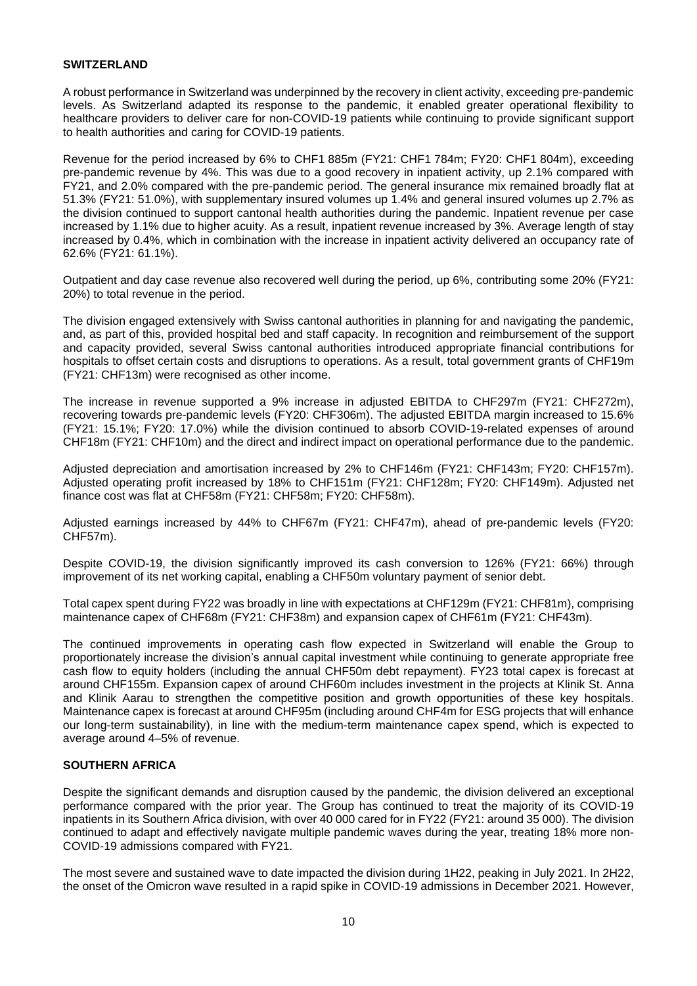## **SWITZERLAND**

A robust performance in Switzerland was underpinned by the recovery in client activity, exceeding pre-pandemic levels. As Switzerland adapted its response to the pandemic, it enabled greater operational flexibility to healthcare providers to deliver care for non-COVID-19 patients while continuing to provide significant support to health authorities and caring for COVID-19 patients.

Revenue for the period increased by 6% to CHF1 885m (FY21: CHF1 784m; FY20: CHF1 804m), exceeding pre-pandemic revenue by 4%. This was due to a good recovery in inpatient activity, up 2.1% compared with FY21, and 2.0% compared with the pre-pandemic period. The general insurance mix remained broadly flat at 51.3% (FY21: 51.0%), with supplementary insured volumes up 1.4% and general insured volumes up 2.7% as the division continued to support cantonal health authorities during the pandemic. Inpatient revenue per case increased by 1.1% due to higher acuity. As a result, inpatient revenue increased by 3%. Average length of stay increased by 0.4%, which in combination with the increase in inpatient activity delivered an occupancy rate of 62.6% (FY21: 61.1%).

Outpatient and day case revenue also recovered well during the period, up 6%, contributing some 20% (FY21: 20%) to total revenue in the period.

The division engaged extensively with Swiss cantonal authorities in planning for and navigating the pandemic, and, as part of this, provided hospital bed and staff capacity. In recognition and reimbursement of the support and capacity provided, several Swiss cantonal authorities introduced appropriate financial contributions for hospitals to offset certain costs and disruptions to operations. As a result, total government grants of CHF19m (FY21: CHF13m) were recognised as other income.

The increase in revenue supported a 9% increase in adjusted EBITDA to CHF297m (FY21: CHF272m), recovering towards pre-pandemic levels (FY20: CHF306m). The adjusted EBITDA margin increased to 15.6% (FY21: 15.1%; FY20: 17.0%) while the division continued to absorb COVID-19-related expenses of around CHF18m (FY21: CHF10m) and the direct and indirect impact on operational performance due to the pandemic.

Adjusted depreciation and amortisation increased by 2% to CHF146m (FY21: CHF143m; FY20: CHF157m). Adjusted operating profit increased by 18% to CHF151m (FY21: CHF128m; FY20: CHF149m). Adjusted net finance cost was flat at CHF58m (FY21: CHF58m; FY20: CHF58m).

Adjusted earnings increased by 44% to CHF67m (FY21: CHF47m), ahead of pre-pandemic levels (FY20: CHF57m).

Despite COVID-19, the division significantly improved its cash conversion to 126% (FY21: 66%) through improvement of its net working capital, enabling a CHF50m voluntary payment of senior debt.

Total capex spent during FY22 was broadly in line with expectations at CHF129m (FY21: CHF81m), comprising maintenance capex of CHF68m (FY21: CHF38m) and expansion capex of CHF61m (FY21: CHF43m).

The continued improvements in operating cash flow expected in Switzerland will enable the Group to proportionately increase the division's annual capital investment while continuing to generate appropriate free cash flow to equity holders (including the annual CHF50m debt repayment). FY23 total capex is forecast at around CHF155m. Expansion capex of around CHF60m includes investment in the projects at Klinik St. Anna and Klinik Aarau to strengthen the competitive position and growth opportunities of these key hospitals. Maintenance capex is forecast at around CHF95m (including around CHF4m for ESG projects that will enhance our long-term sustainability), in line with the medium-term maintenance capex spend, which is expected to average around 4–5% of revenue.

## **SOUTHERN AFRICA**

Despite the significant demands and disruption caused by the pandemic, the division delivered an exceptional performance compared with the prior year. The Group has continued to treat the majority of its COVID-19 inpatients in its Southern Africa division, with over 40 000 cared for in FY22 (FY21: around 35 000). The division continued to adapt and effectively navigate multiple pandemic waves during the year, treating 18% more non-COVID-19 admissions compared with FY21.

The most severe and sustained wave to date impacted the division during 1H22, peaking in July 2021. In 2H22, the onset of the Omicron wave resulted in a rapid spike in COVID-19 admissions in December 2021. However,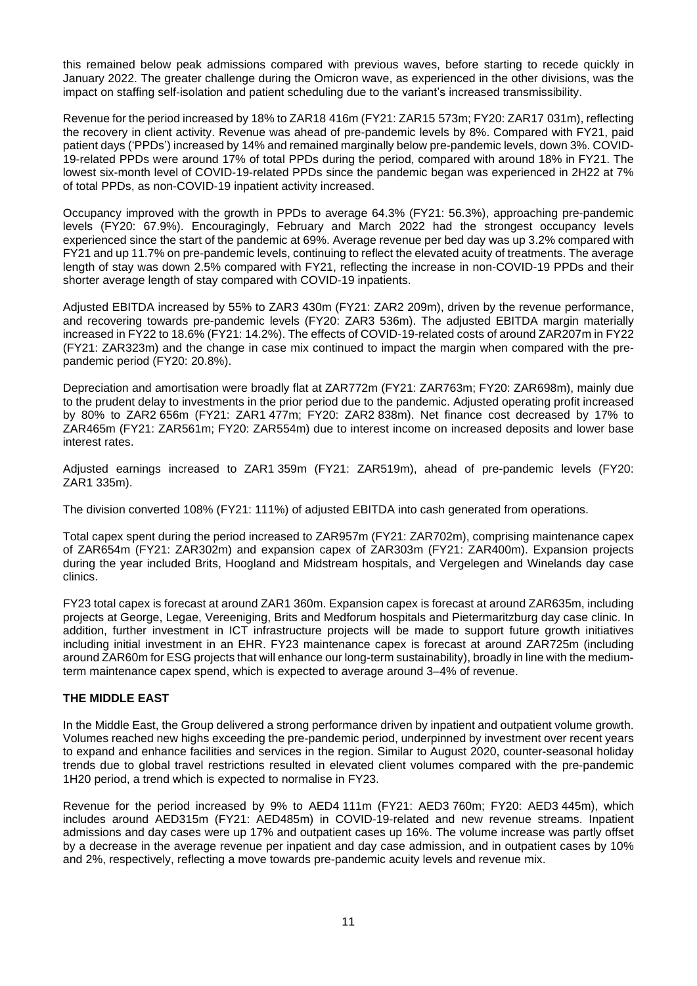this remained below peak admissions compared with previous waves, before starting to recede quickly in January 2022. The greater challenge during the Omicron wave, as experienced in the other divisions, was the impact on staffing self-isolation and patient scheduling due to the variant's increased transmissibility.

Revenue for the period increased by 18% to ZAR18 416m (FY21: ZAR15 573m; FY20: ZAR17 031m), reflecting the recovery in client activity. Revenue was ahead of pre-pandemic levels by 8%. Compared with FY21, paid patient days ('PPDs') increased by 14% and remained marginally below pre-pandemic levels, down 3%. COVID-19-related PPDs were around 17% of total PPDs during the period, compared with around 18% in FY21. The lowest six-month level of COVID-19-related PPDs since the pandemic began was experienced in 2H22 at 7% of total PPDs, as non-COVID-19 inpatient activity increased.

Occupancy improved with the growth in PPDs to average 64.3% (FY21: 56.3%), approaching pre-pandemic levels (FY20: 67.9%). Encouragingly, February and March 2022 had the strongest occupancy levels experienced since the start of the pandemic at 69%. Average revenue per bed day was up 3.2% compared with FY21 and up 11.7% on pre-pandemic levels, continuing to reflect the elevated acuity of treatments. The average length of stay was down 2.5% compared with FY21, reflecting the increase in non-COVID-19 PPDs and their shorter average length of stay compared with COVID-19 inpatients.

Adjusted EBITDA increased by 55% to ZAR3 430m (FY21: ZAR2 209m), driven by the revenue performance, and recovering towards pre-pandemic levels (FY20: ZAR3 536m). The adjusted EBITDA margin materially increased in FY22 to 18.6% (FY21: 14.2%). The effects of COVID-19-related costs of around ZAR207m in FY22 (FY21: ZAR323m) and the change in case mix continued to impact the margin when compared with the prepandemic period (FY20: 20.8%).

Depreciation and amortisation were broadly flat at ZAR772m (FY21: ZAR763m; FY20: ZAR698m), mainly due to the prudent delay to investments in the prior period due to the pandemic. Adjusted operating profit increased by 80% to ZAR2 656m (FY21: ZAR1 477m; FY20: ZAR2 838m). Net finance cost decreased by 17% to ZAR465m (FY21: ZAR561m; FY20: ZAR554m) due to interest income on increased deposits and lower base interest rates.

Adjusted earnings increased to ZAR1 359m (FY21: ZAR519m), ahead of pre-pandemic levels (FY20: ZAR1 335m).

The division converted 108% (FY21: 111%) of adjusted EBITDA into cash generated from operations.

Total capex spent during the period increased to ZAR957m (FY21: ZAR702m), comprising maintenance capex of ZAR654m (FY21: ZAR302m) and expansion capex of ZAR303m (FY21: ZAR400m). Expansion projects during the year included Brits, Hoogland and Midstream hospitals, and Vergelegen and Winelands day case clinics.

FY23 total capex is forecast at around ZAR1 360m. Expansion capex is forecast at around ZAR635m, including projects at George, Legae, Vereeniging, Brits and Medforum hospitals and Pietermaritzburg day case clinic. In addition, further investment in ICT infrastructure projects will be made to support future growth initiatives including initial investment in an EHR. FY23 maintenance capex is forecast at around ZAR725m (including around ZAR60m for ESG projects that will enhance our long-term sustainability), broadly in line with the mediumterm maintenance capex spend, which is expected to average around 3–4% of revenue.

## **THE MIDDLE EAST**

In the Middle East, the Group delivered a strong performance driven by inpatient and outpatient volume growth. Volumes reached new highs exceeding the pre-pandemic period, underpinned by investment over recent years to expand and enhance facilities and services in the region. Similar to August 2020, counter-seasonal holiday trends due to global travel restrictions resulted in elevated client volumes compared with the pre-pandemic 1H20 period, a trend which is expected to normalise in FY23.

Revenue for the period increased by 9% to AED4 111m (FY21: AED3 760m; FY20: AED3 445m), which includes around AED315m (FY21: AED485m) in COVID-19-related and new revenue streams. Inpatient admissions and day cases were up 17% and outpatient cases up 16%. The volume increase was partly offset by a decrease in the average revenue per inpatient and day case admission, and in outpatient cases by 10% and 2%, respectively, reflecting a move towards pre-pandemic acuity levels and revenue mix.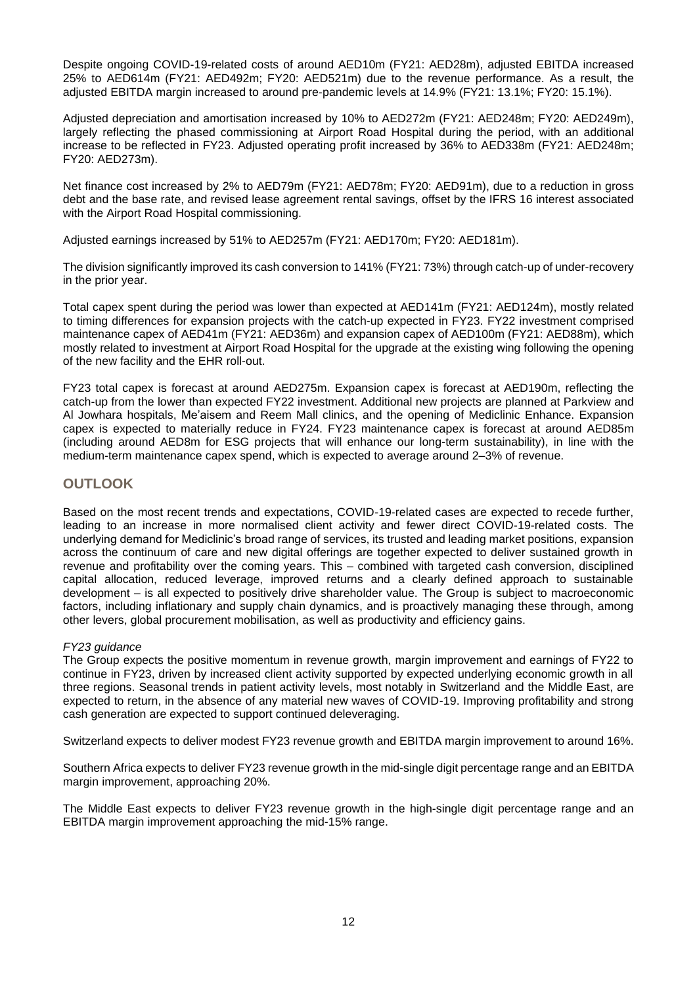Despite ongoing COVID-19-related costs of around AED10m (FY21: AED28m), adjusted EBITDA increased 25% to AED614m (FY21: AED492m; FY20: AED521m) due to the revenue performance. As a result, the adjusted EBITDA margin increased to around pre-pandemic levels at 14.9% (FY21: 13.1%; FY20: 15.1%).

Adjusted depreciation and amortisation increased by 10% to AED272m (FY21: AED248m; FY20: AED249m), largely reflecting the phased commissioning at Airport Road Hospital during the period, with an additional increase to be reflected in FY23. Adjusted operating profit increased by 36% to AED338m (FY21: AED248m; FY20: AED273m).

Net finance cost increased by 2% to AED79m (FY21: AED78m; FY20: AED91m), due to a reduction in gross debt and the base rate, and revised lease agreement rental savings, offset by the IFRS 16 interest associated with the Airport Road Hospital commissioning.

Adjusted earnings increased by 51% to AED257m (FY21: AED170m; FY20: AED181m).

The division significantly improved its cash conversion to 141% (FY21: 73%) through catch-up of under-recovery in the prior year.

Total capex spent during the period was lower than expected at AED141m (FY21: AED124m), mostly related to timing differences for expansion projects with the catch-up expected in FY23. FY22 investment comprised maintenance capex of AED41m (FY21: AED36m) and expansion capex of AED100m (FY21: AED88m), which mostly related to investment at Airport Road Hospital for the upgrade at the existing wing following the opening of the new facility and the EHR roll-out.

FY23 total capex is forecast at around AED275m. Expansion capex is forecast at AED190m, reflecting the catch-up from the lower than expected FY22 investment. Additional new projects are planned at Parkview and Al Jowhara hospitals, Me'aisem and Reem Mall clinics, and the opening of Mediclinic Enhance. Expansion capex is expected to materially reduce in FY24. FY23 maintenance capex is forecast at around AED85m (including around AED8m for ESG projects that will enhance our long-term sustainability), in line with the medium-term maintenance capex spend, which is expected to average around 2–3% of revenue.

# **OUTLOOK**

Based on the most recent trends and expectations, COVID-19-related cases are expected to recede further, leading to an increase in more normalised client activity and fewer direct COVID-19-related costs. The underlying demand for Mediclinic's broad range of services, its trusted and leading market positions, expansion across the continuum of care and new digital offerings are together expected to deliver sustained growth in revenue and profitability over the coming years. This – combined with targeted cash conversion, disciplined capital allocation, reduced leverage, improved returns and a clearly defined approach to sustainable development – is all expected to positively drive shareholder value. The Group is subject to macroeconomic factors, including inflationary and supply chain dynamics, and is proactively managing these through, among other levers, global procurement mobilisation, as well as productivity and efficiency gains.

## *FY23 guidance*

The Group expects the positive momentum in revenue growth, margin improvement and earnings of FY22 to continue in FY23, driven by increased client activity supported by expected underlying economic growth in all three regions. Seasonal trends in patient activity levels, most notably in Switzerland and the Middle East, are expected to return, in the absence of any material new waves of COVID-19. Improving profitability and strong cash generation are expected to support continued deleveraging.

Switzerland expects to deliver modest FY23 revenue growth and EBITDA margin improvement to around 16%.

Southern Africa expects to deliver FY23 revenue growth in the mid-single digit percentage range and an EBITDA margin improvement, approaching 20%.

The Middle East expects to deliver FY23 revenue growth in the high-single digit percentage range and an EBITDA margin improvement approaching the mid-15% range.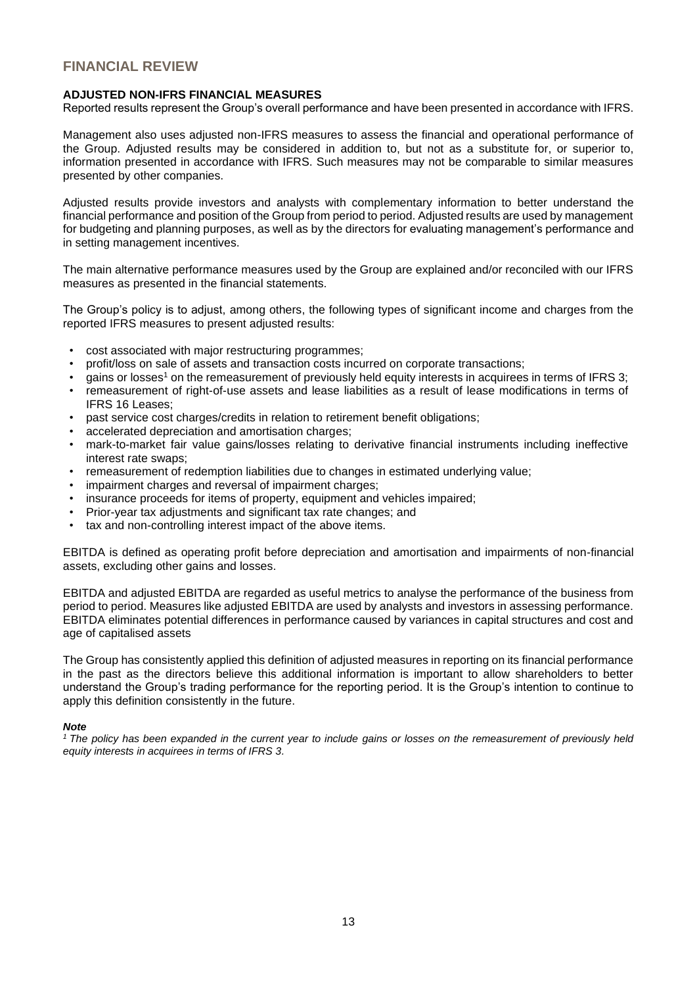# **FINANCIAL REVIEW**

## **ADJUSTED NON-IFRS FINANCIAL MEASURES**

Reported results represent the Group's overall performance and have been presented in accordance with IFRS.

Management also uses adjusted non-IFRS measures to assess the financial and operational performance of the Group. Adjusted results may be considered in addition to, but not as a substitute for, or superior to, information presented in accordance with IFRS. Such measures may not be comparable to similar measures presented by other companies.

Adjusted results provide investors and analysts with complementary information to better understand the financial performance and position of the Group from period to period. Adjusted results are used by management for budgeting and planning purposes, as well as by the directors for evaluating management's performance and in setting management incentives.

The main alternative performance measures used by the Group are explained and/or reconciled with our IFRS measures as presented in the financial statements.

The Group's policy is to adjust, among others, the following types of significant income and charges from the reported IFRS measures to present adjusted results:

- cost associated with major restructuring programmes;
- profit/loss on sale of assets and transaction costs incurred on corporate transactions;
- gains or losses<sup>1</sup> on the remeasurement of previously held equity interests in acquirees in terms of IFRS 3;
- remeasurement of right-of-use assets and lease liabilities as a result of lease modifications in terms of IFRS 16 Leases;
- past service cost charges/credits in relation to retirement benefit obligations;
- accelerated depreciation and amortisation charges:
- mark-to-market fair value gains/losses relating to derivative financial instruments including ineffective interest rate swaps;
- remeasurement of redemption liabilities due to changes in estimated underlying value;
- impairment charges and reversal of impairment charges:
- insurance proceeds for items of property, equipment and vehicles impaired;
- Prior-year tax adjustments and significant tax rate changes; and
- tax and non-controlling interest impact of the above items.

EBITDA is defined as operating profit before depreciation and amortisation and impairments of non-financial assets, excluding other gains and losses.

EBITDA and adjusted EBITDA are regarded as useful metrics to analyse the performance of the business from period to period. Measures like adjusted EBITDA are used by analysts and investors in assessing performance. EBITDA eliminates potential differences in performance caused by variances in capital structures and cost and age of capitalised assets

The Group has consistently applied this definition of adjusted measures in reporting on its financial performance in the past as the directors believe this additional information is important to allow shareholders to better understand the Group's trading performance for the reporting period. It is the Group's intention to continue to apply this definition consistently in the future.

#### *Note*

*<sup>1</sup>The policy has been expanded in the current year to include gains or losses on the remeasurement of previously held equity interests in acquirees in terms of IFRS 3.*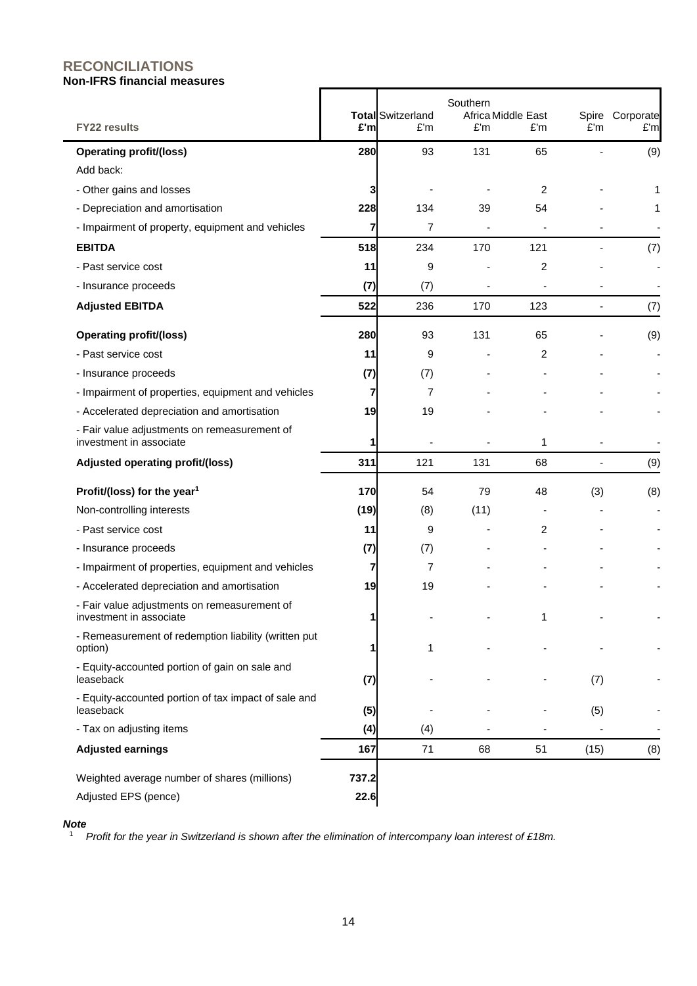# **RECONCILIATIONS Non-IFRS financial measures**

| <b>FY22 results</b>                                                     | £'m   | <b>Total Switzerland</b><br>£'m | Southern<br>£'m | Africa Middle East<br>£'m | £'m  | Spire Corporate<br>E'm |
|-------------------------------------------------------------------------|-------|---------------------------------|-----------------|---------------------------|------|------------------------|
| <b>Operating profit/(loss)</b>                                          | 280   | 93                              | 131             | 65                        |      | (9)                    |
| Add back:                                                               |       |                                 |                 |                           |      |                        |
| - Other gains and losses                                                | 3     |                                 |                 | 2                         |      | 1                      |
| - Depreciation and amortisation                                         | 228   | 134                             | 39              | 54                        |      | 1                      |
| - Impairment of property, equipment and vehicles                        | 7     | 7                               | $\blacksquare$  |                           |      |                        |
| <b>EBITDA</b>                                                           | 518   | 234                             | 170             | 121                       |      | (7)                    |
| - Past service cost                                                     | 11    | 9                               |                 | 2                         |      |                        |
| - Insurance proceeds                                                    | (7)   | (7)                             |                 |                           |      |                        |
| <b>Adjusted EBITDA</b>                                                  | 522   | 236                             | 170             | 123                       |      | (7)                    |
| <b>Operating profit/(loss)</b>                                          | 280   | 93                              | 131             | 65                        |      | (9)                    |
| - Past service cost                                                     | 11    | 9                               |                 | 2                         |      |                        |
| - Insurance proceeds                                                    | (7)   | (7)                             |                 |                           |      |                        |
| - Impairment of properties, equipment and vehicles                      | 7     | 7                               |                 |                           |      |                        |
| - Accelerated depreciation and amortisation                             | 19    | 19                              |                 |                           |      |                        |
| - Fair value adjustments on remeasurement of<br>investment in associate | 1     |                                 |                 | 1                         |      |                        |
| Adjusted operating profit/(loss)                                        | 311   | 121                             | 131             | 68                        |      | (9)                    |
| Profit/(loss) for the year <sup>1</sup>                                 | 170   | 54                              | 79              | 48                        | (3)  | (8)                    |
| Non-controlling interests                                               | (19)  | (8)                             | (11)            |                           |      |                        |
| - Past service cost                                                     | 11    | 9                               | $\blacksquare$  | 2                         |      |                        |
| - Insurance proceeds                                                    | (7)   | (7)                             |                 |                           |      |                        |
| - Impairment of properties, equipment and vehicles                      | 7     | 7                               |                 |                           |      |                        |
| - Accelerated depreciation and amortisation                             | 19    | 19                              |                 |                           |      |                        |
| - Fair value adjustments on remeasurement of<br>investment in associate |       |                                 |                 |                           |      |                        |
| - Remeasurement of redemption liability (written put<br>option)         |       | 1                               |                 |                           |      |                        |
| - Equity-accounted portion of gain on sale and<br>leaseback             | (7)   |                                 |                 |                           | (7)  |                        |
| - Equity-accounted portion of tax impact of sale and<br>leaseback       | (5)   |                                 |                 |                           | (5)  |                        |
| - Tax on adjusting items                                                | (4)   | (4)                             |                 |                           |      |                        |
| <b>Adjusted earnings</b>                                                | 167   | 71                              | 68              | 51                        | (15) | (8)                    |
| Weighted average number of shares (millions)                            | 737.2 |                                 |                 |                           |      |                        |
| Adjusted EPS (pence)                                                    | 22.6  |                                 |                 |                           |      |                        |

## *Note*

<sup>1</sup> *Profit for the year in Switzerland is shown after the elimination of intercompany loan interest of £18m.*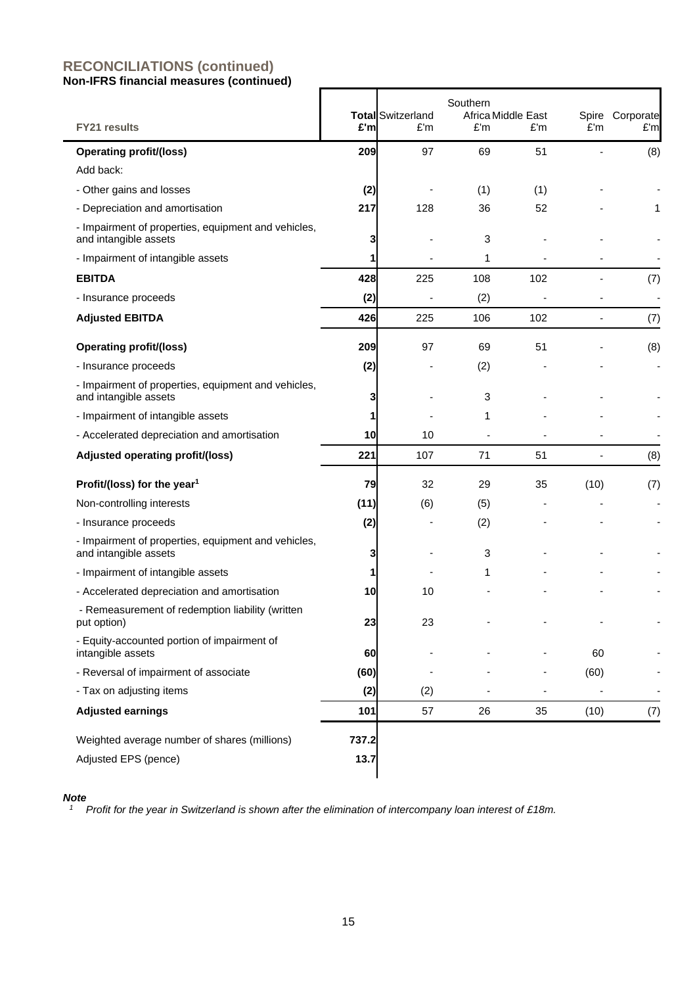| <b>FY21 results</b>                                                          | £'m           | <b>Total</b> Switzerland<br>£'m | Southern<br>£'m | Africa Middle East<br>£'m | E'm  | Spire Corporate<br>£'m |
|------------------------------------------------------------------------------|---------------|---------------------------------|-----------------|---------------------------|------|------------------------|
| <b>Operating profit/(loss)</b>                                               | 209           | 97                              | 69              | 51                        |      | (8)                    |
| Add back:                                                                    |               |                                 |                 |                           |      |                        |
| - Other gains and losses                                                     | (2)           |                                 | (1)             | (1)                       |      |                        |
| - Depreciation and amortisation                                              | 217           | 128                             | 36              | 52                        |      | 1                      |
| - Impairment of properties, equipment and vehicles,<br>and intangible assets | 3             |                                 | 3               |                           |      |                        |
| - Impairment of intangible assets                                            | 1             |                                 | 1               |                           |      |                        |
| <b>EBITDA</b>                                                                | 428           | 225                             | 108             | 102                       |      | (7)                    |
| - Insurance proceeds                                                         | (2)           |                                 | (2)             |                           |      |                        |
| <b>Adjusted EBITDA</b>                                                       | 426           | 225                             | 106             | 102                       | ÷,   | (7)                    |
| <b>Operating profit/(loss)</b>                                               | 209           | 97                              | 69              | 51                        |      | (8)                    |
| - Insurance proceeds                                                         | (2)           |                                 | (2)             |                           |      |                        |
| - Impairment of properties, equipment and vehicles,<br>and intangible assets | 3             |                                 | 3               |                           |      |                        |
| - Impairment of intangible assets                                            | 1             |                                 | 1               |                           |      |                        |
| - Accelerated depreciation and amortisation                                  | 10            | 10                              |                 |                           |      |                        |
| Adjusted operating profit/(loss)                                             | 221           | 107                             | 71              | 51                        |      | (8)                    |
| Profit/(loss) for the year <sup>1</sup>                                      | 79            | 32                              | 29              | 35                        | (10) | (7)                    |
| Non-controlling interests                                                    | (11)          | (6)                             | (5)             |                           |      |                        |
| - Insurance proceeds                                                         | (2)           |                                 | (2)             |                           |      |                        |
| - Impairment of properties, equipment and vehicles,<br>and intangible assets | 3             |                                 | 3               |                           |      |                        |
| - Impairment of intangible assets                                            | 1             |                                 | 1               |                           |      |                        |
| - Accelerated depreciation and amortisation                                  | 10            | 10                              |                 |                           |      |                        |
| - Remeasurement of redemption liability (written<br>put option)              | 23            | 23                              |                 |                           |      |                        |
| - Equity-accounted portion of impairment of<br>intangible assets             | 60            |                                 |                 |                           | 60   |                        |
| - Reversal of impairment of associate                                        | (60)          |                                 |                 |                           | (60) |                        |
| - Tax on adjusting items                                                     | (2)           | (2)                             |                 |                           |      |                        |
| <b>Adjusted earnings</b>                                                     | 101           | 57                              | 26              | 35                        | (10) | (7)                    |
| Weighted average number of shares (millions)<br>Adjusted EPS (pence)         | 737.2<br>13.7 |                                 |                 |                           |      |                        |

## *Note*

*<sup>1</sup> Profit for the year in Switzerland is shown after the elimination of intercompany loan interest of £18m.*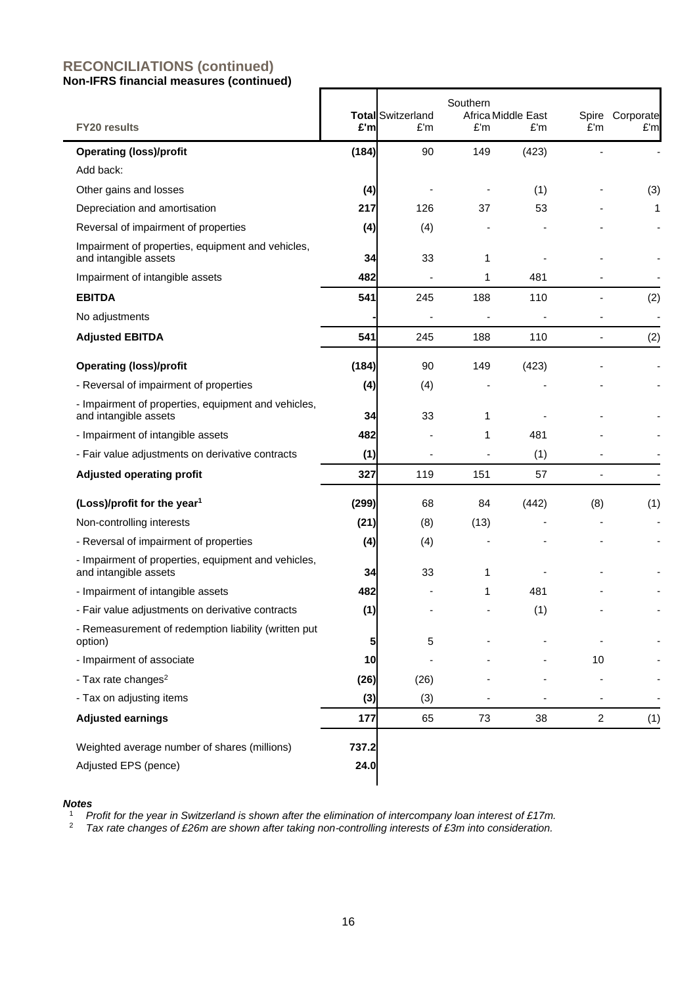| <b>FY20 results</b>                                                          | £'m   | <b>Total Switzerland</b><br>£'m | Southern<br>£'m | Africa Middle East<br>£'m | £'m                      | Spire Corporate<br>£'m |
|------------------------------------------------------------------------------|-------|---------------------------------|-----------------|---------------------------|--------------------------|------------------------|
| <b>Operating (loss)/profit</b>                                               | (184) | 90                              | 149             | (423)                     |                          |                        |
| Add back:                                                                    |       |                                 |                 |                           |                          |                        |
| Other gains and losses                                                       | (4)   |                                 |                 | (1)                       |                          | (3)                    |
| Depreciation and amortisation                                                | 217   | 126                             | 37              | 53                        |                          | 1                      |
| Reversal of impairment of properties                                         | (4)   | (4)                             |                 |                           |                          |                        |
| Impairment of properties, equipment and vehicles,<br>and intangible assets   | 34    | 33                              | 1               |                           |                          |                        |
| Impairment of intangible assets                                              | 482   |                                 | 1               | 481                       |                          |                        |
| <b>EBITDA</b>                                                                | 541   | 245                             | 188             | 110                       |                          | (2)                    |
| No adjustments                                                               |       |                                 |                 |                           |                          |                        |
| <b>Adjusted EBITDA</b>                                                       | 541   | 245                             | 188             | 110                       |                          | (2)                    |
| <b>Operating (loss)/profit</b>                                               | (184) | 90                              | 149             | (423)                     |                          |                        |
| - Reversal of impairment of properties                                       | (4)   | (4)                             |                 |                           |                          |                        |
| - Impairment of properties, equipment and vehicles,<br>and intangible assets | 34    | 33                              | 1               |                           |                          |                        |
| - Impairment of intangible assets                                            | 482   |                                 | 1               | 481                       |                          |                        |
| - Fair value adjustments on derivative contracts                             | (1)   |                                 |                 | (1)                       |                          |                        |
| <b>Adjusted operating profit</b>                                             | 327   | 119                             | 151             | 57                        |                          |                        |
| (Loss)/profit for the year <sup>1</sup>                                      | (299) | 68                              | 84              | (442)                     | (8)                      | (1)                    |
| Non-controlling interests                                                    | (21)  | (8)                             | (13)            |                           |                          |                        |
| - Reversal of impairment of properties                                       | (4)   | (4)                             |                 |                           |                          |                        |
| - Impairment of properties, equipment and vehicles,<br>and intangible assets | 34    | 33                              | 1               |                           |                          |                        |
| - Impairment of intangible assets                                            | 482   |                                 | 1               | 481                       |                          |                        |
| - Fair value adjustments on derivative contracts                             | (1)   |                                 |                 | (1)                       |                          |                        |
| - Remeasurement of redemption liability (written put<br>option)              | 5     | 5                               |                 |                           |                          |                        |
| - Impairment of associate                                                    | 10    |                                 |                 |                           | 10                       |                        |
| - Tax rate changes <sup>2</sup>                                              | (26)  | (26)                            |                 |                           |                          |                        |
| - Tax on adjusting items                                                     | (3)   | (3)                             |                 |                           | $\overline{\phantom{a}}$ |                        |
| <b>Adjusted earnings</b>                                                     | 177   | 65                              | 73              | 38                        | $\overline{a}$           | (1)                    |
| Weighted average number of shares (millions)                                 | 737.2 |                                 |                 |                           |                          |                        |
| Adjusted EPS (pence)                                                         | 24.0  |                                 |                 |                           |                          |                        |

#### *Notes*

<sup>1</sup> *Profit for the year in Switzerland is shown after the elimination of intercompany loan interest of £17m.*

<sup>2</sup> *Tax rate changes of £26m are shown after taking non-controlling interests of £3m into consideration.*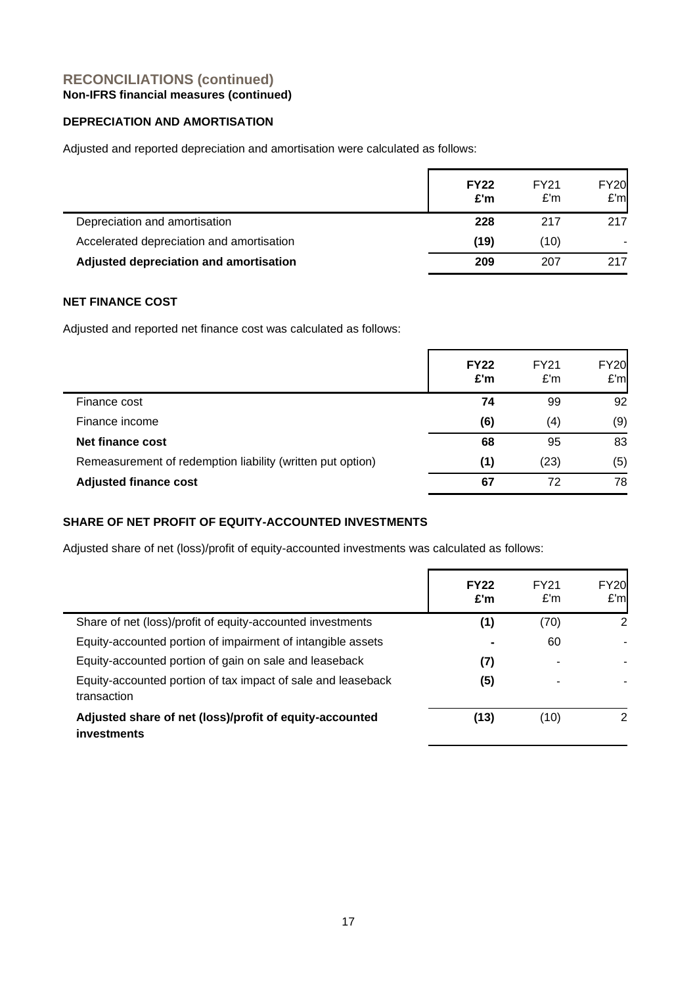# **DEPRECIATION AND AMORTISATION**

Adjusted and reported depreciation and amortisation were calculated as follows:

|                                           | <b>FY22</b><br>£'m | FY21<br>E'm | <b>FY20</b><br>E'm |
|-------------------------------------------|--------------------|-------------|--------------------|
| Depreciation and amortisation             | 228                | 217         | 217                |
| Accelerated depreciation and amortisation | (19)               | (10)        |                    |
| Adjusted depreciation and amortisation    | 209                | 207         | 217                |

# **NET FINANCE COST**

Adjusted and reported net finance cost was calculated as follows:

|                                                            | <b>FY22</b><br>E'm | FY21<br>E'm | <b>FY20</b><br>E'm |
|------------------------------------------------------------|--------------------|-------------|--------------------|
| Finance cost                                               | 74                 | 99          | 92                 |
| Finance income                                             | (6)                | (4)         | (9)                |
| Net finance cost                                           | 68                 | 95          | 83                 |
| Remeasurement of redemption liability (written put option) | (1)                | (23)        | (5)                |
| <b>Adjusted finance cost</b>                               | 67                 | 72          | 78                 |

# **SHARE OF NET PROFIT OF EQUITY-ACCOUNTED INVESTMENTS**

Adjusted share of net (loss)/profit of equity-accounted investments was calculated as follows:

|                                                                             | <b>FY22</b><br>£'m | FY21<br>E'm | <b>FY20</b><br>E'm |
|-----------------------------------------------------------------------------|--------------------|-------------|--------------------|
| Share of net (loss)/profit of equity-accounted investments                  | (1)                | (70)        | 2                  |
| Equity-accounted portion of impairment of intangible assets                 |                    | 60          |                    |
| Equity-accounted portion of gain on sale and leaseback                      | (7)                |             |                    |
| Equity-accounted portion of tax impact of sale and leaseback<br>transaction | (5)                |             |                    |
| Adjusted share of net (loss)/profit of equity-accounted<br>investments      | (13)               | (10)        | 2                  |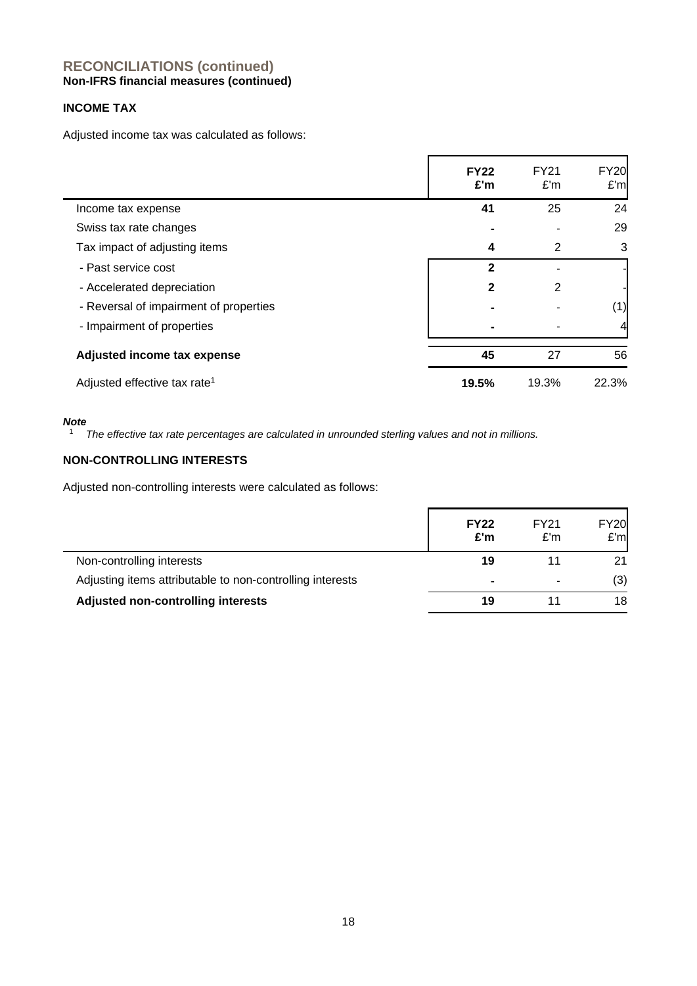# **INCOME TAX**

Adjusted income tax was calculated as follows:

|                                          | <b>FY22</b><br>£'m | <b>FY21</b><br>E'm | <b>FY20</b><br>E'm |
|------------------------------------------|--------------------|--------------------|--------------------|
| Income tax expense                       | 41                 | 25                 | 24                 |
| Swiss tax rate changes                   |                    |                    | 29                 |
| Tax impact of adjusting items            | 4                  | 2                  | 3                  |
| - Past service cost                      | $\overline{2}$     |                    |                    |
| - Accelerated depreciation               | $\mathbf{2}$       | 2                  |                    |
| - Reversal of impairment of properties   |                    |                    | (1)                |
| - Impairment of properties               |                    |                    | 4                  |
| Adjusted income tax expense              | 45                 | 27                 | 56                 |
| Adjusted effective tax rate <sup>1</sup> | 19.5%              | 19.3%              | 22.3%              |

#### *Note*

<sup>1</sup> *The effective tax rate percentages are calculated in unrounded sterling values and not in millions.*

# **NON-CONTROLLING INTERESTS**

Adjusted non-controlling interests were calculated as follows:

|                                                           | <b>FY22</b><br>£'m | FY21<br>E'm | <b>FY20</b><br>E'm |
|-----------------------------------------------------------|--------------------|-------------|--------------------|
| Non-controlling interests                                 | 19                 |             | 21                 |
| Adjusting items attributable to non-controlling interests | $\blacksquare$     |             | (3)                |
| Adjusted non-controlling interests                        | 19                 |             | 18                 |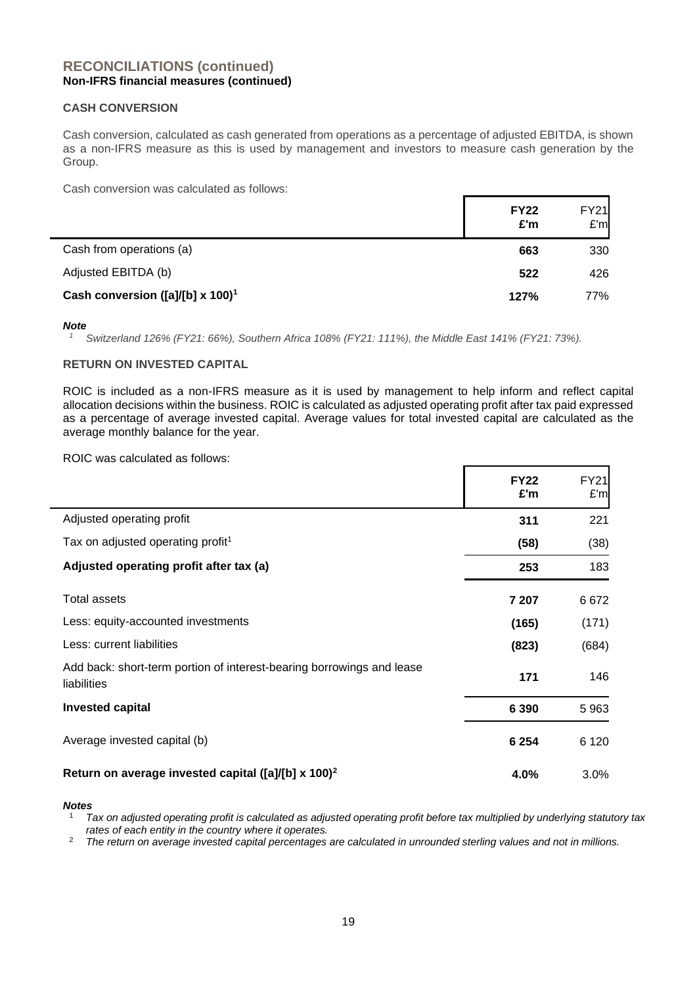## **CASH CONVERSION**

Cash conversion, calculated as cash generated from operations as a percentage of adjusted EBITDA, is shown as a non-IFRS measure as this is used by management and investors to measure cash generation by the Group.

Cash conversion was calculated as follows:

|                                                 | <b>FY22</b><br>£'m | <b>FY21</b><br>E'm |
|-------------------------------------------------|--------------------|--------------------|
| Cash from operations (a)                        | 663                | 330                |
| Adjusted EBITDA (b)                             | 522                | 426                |
| Cash conversion ([a]/[b] x $100$ ] <sup>1</sup> | 127%               | 77%                |

#### *Note*

*<sup>1</sup> Switzerland 126% (FY21: 66%), Southern Africa 108% (FY21: 111%), the Middle East 141% (FY21: 73%).*

## **RETURN ON INVESTED CAPITAL**

ROIC is included as a non-IFRS measure as it is used by management to help inform and reflect capital allocation decisions within the business. ROIC is calculated as adjusted operating profit after tax paid expressed as a percentage of average invested capital. Average values for total invested capital are calculated as the average monthly balance for the year.

ROIC was calculated as follows:

|                                                                                      | <b>FY22</b><br>£'m | <b>FY21</b><br>E'm |
|--------------------------------------------------------------------------------------|--------------------|--------------------|
| Adjusted operating profit                                                            | 311                | 221                |
| Tax on adjusted operating profit <sup>1</sup>                                        | (58)               | (38)               |
| Adjusted operating profit after tax (a)                                              | 253                | 183                |
| <b>Total assets</b>                                                                  | 7 207              | 6672               |
| Less: equity-accounted investments                                                   | (165)              | (171)              |
| Less: current liabilities                                                            | (823)              | (684)              |
| Add back: short-term portion of interest-bearing borrowings and lease<br>liabilities | 171                | 146                |
| <b>Invested capital</b>                                                              | 6 3 9 0            | 5963               |
| Average invested capital (b)                                                         | 6 2 5 4            | 6 1 2 0            |
| Return on average invested capital ([a]/[b] x 100) <sup>2</sup>                      | 4.0%               | 3.0%               |

#### *Notes*

<sup>1</sup> *Tax on adjusted operating profit is calculated as adjusted operating profit before tax multiplied by underlying statutory tax rates of each entity in the country where it operates.*

<sup>2</sup> *The return on average invested capital percentages are calculated in unrounded sterling values and not in millions.*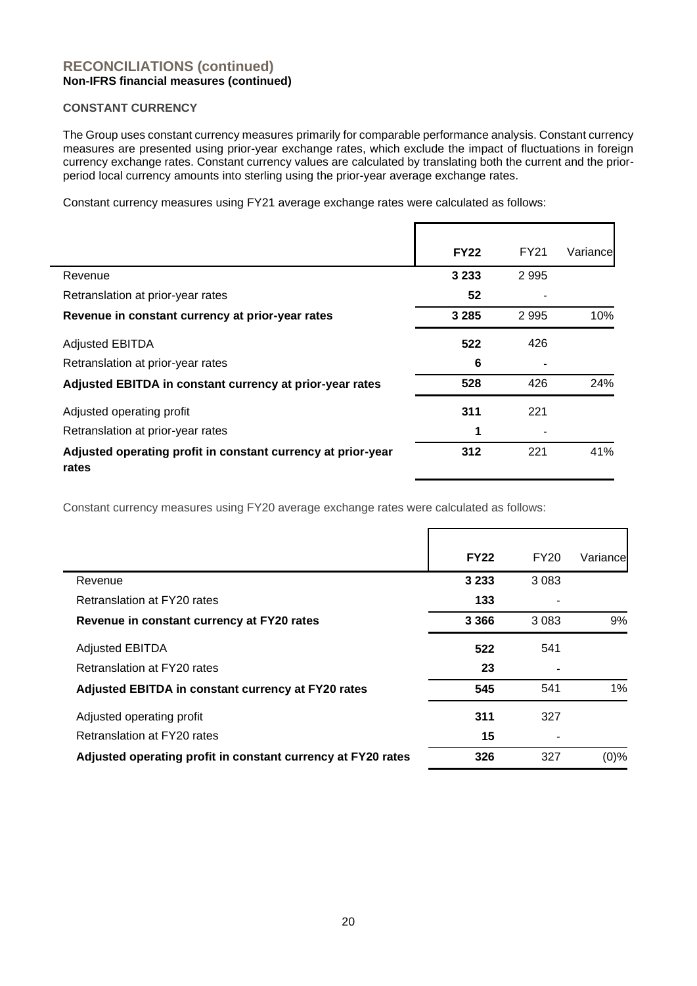## **CONSTANT CURRENCY**

The Group uses constant currency measures primarily for comparable performance analysis. Constant currency measures are presented using prior-year exchange rates, which exclude the impact of fluctuations in foreign currency exchange rates. Constant currency values are calculated by translating both the current and the priorperiod local currency amounts into sterling using the prior-year average exchange rates.

Constant currency measures using FY21 average exchange rates were calculated as follows:

|                                                                       | <b>FY22</b> | <b>FY21</b> | Variancel |
|-----------------------------------------------------------------------|-------------|-------------|-----------|
| Revenue                                                               | 3 2 3 3     | 2995        |           |
| Retranslation at prior-year rates                                     | 52          |             |           |
| Revenue in constant currency at prior-year rates                      | 3 2 8 5     | 2995        | 10%       |
| <b>Adjusted EBITDA</b>                                                | 522         | 426         |           |
| Retranslation at prior-year rates                                     | 6           |             |           |
| Adjusted EBITDA in constant currency at prior-year rates              | 528         | 426         | 24%       |
| Adjusted operating profit                                             | 311         | 221         |           |
| Retranslation at prior-year rates                                     | 1           |             |           |
| Adjusted operating profit in constant currency at prior-year<br>rates | 312         | 221         | 41%       |

Constant currency measures using FY20 average exchange rates were calculated as follows:

|                                                              | <b>FY22</b> | FY20    | Variancel |
|--------------------------------------------------------------|-------------|---------|-----------|
| Revenue                                                      | 3 2 3 3     | 3 0 8 3 |           |
| Retranslation at FY20 rates                                  | 133         |         |           |
| Revenue in constant currency at FY20 rates                   | 3 3 6 6     | 3 0 8 3 | 9%        |
| <b>Adjusted EBITDA</b>                                       | 522         | 541     |           |
| Retranslation at FY20 rates                                  | 23          |         |           |
| Adjusted EBITDA in constant currency at FY20 rates           | 545         | 541     | $1\%$     |
| Adjusted operating profit                                    | 311         | 327     |           |
| Retranslation at FY20 rates                                  | 15          |         |           |
| Adjusted operating profit in constant currency at FY20 rates | 326         | 327     | $(0)\%$   |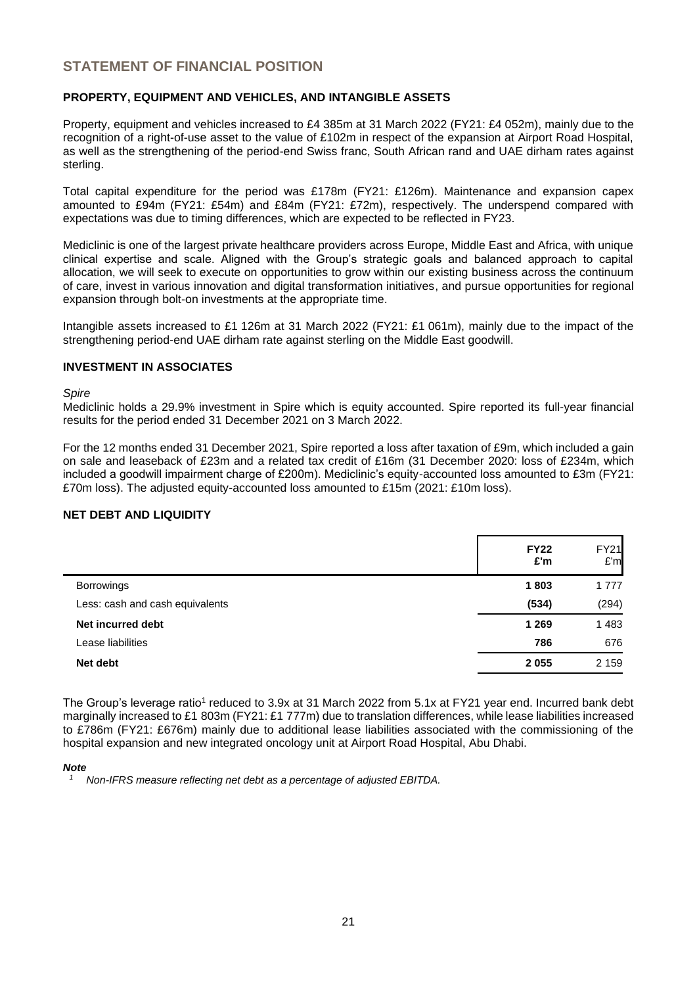# **STATEMENT OF FINANCIAL POSITION**

# **PROPERTY, EQUIPMENT AND VEHICLES, AND INTANGIBLE ASSETS**

Property, equipment and vehicles increased to £4 385m at 31 March 2022 (FY21: £4 052m), mainly due to the recognition of a right-of-use asset to the value of £102m in respect of the expansion at Airport Road Hospital, as well as the strengthening of the period-end Swiss franc, South African rand and UAE dirham rates against sterling.

Total capital expenditure for the period was £178m (FY21: £126m). Maintenance and expansion capex amounted to £94m (FY21: £54m) and £84m (FY21: £72m), respectively. The underspend compared with expectations was due to timing differences, which are expected to be reflected in FY23.

Mediclinic is one of the largest private healthcare providers across Europe, Middle East and Africa, with unique clinical expertise and scale. Aligned with the Group's strategic goals and balanced approach to capital allocation, we will seek to execute on opportunities to grow within our existing business across the continuum of care, invest in various innovation and digital transformation initiatives, and pursue opportunities for regional expansion through bolt-on investments at the appropriate time.

Intangible assets increased to £1 126m at 31 March 2022 (FY21: £1 061m), mainly due to the impact of the strengthening period-end UAE dirham rate against sterling on the Middle East goodwill.

## **INVESTMENT IN ASSOCIATES**

#### *Spire*

Mediclinic holds a 29.9% investment in Spire which is equity accounted. Spire reported its full-year financial results for the period ended 31 December 2021 on 3 March 2022.

For the 12 months ended 31 December 2021, Spire reported a loss after taxation of £9m, which included a gain on sale and leaseback of £23m and a related tax credit of £16m (31 December 2020: loss of £234m, which included a goodwill impairment charge of £200m). Mediclinic's equity-accounted loss amounted to £3m (FY21: £70m loss). The adjusted equity-accounted loss amounted to £15m (2021: £10m loss).

#### **NET DEBT AND LIQUIDITY**

|                                 | <b>FY22</b><br>£'m | <b>FY21</b><br>E'm |
|---------------------------------|--------------------|--------------------|
| <b>Borrowings</b>               | 1803               | 1 7 7 7            |
| Less: cash and cash equivalents | (534)              | (294)              |
| Net incurred debt               | 1 2 6 9            | 1483               |
| Lease liabilities               | 786                | 676                |
| Net debt                        | 2055               | 2 1 5 9            |

The Group's leverage ratio<sup>1</sup> reduced to 3.9x at 31 March 2022 from 5.1x at FY21 year end. Incurred bank debt marginally increased to £1 803m (FY21: £1 777m) due to translation differences, while lease liabilities increased to £786m (FY21: £676m) mainly due to additional lease liabilities associated with the commissioning of the hospital expansion and new integrated oncology unit at Airport Road Hospital, Abu Dhabi.

#### *Note*

*<sup>1</sup> Non-IFRS measure reflecting net debt as a percentage of adjusted EBITDA.*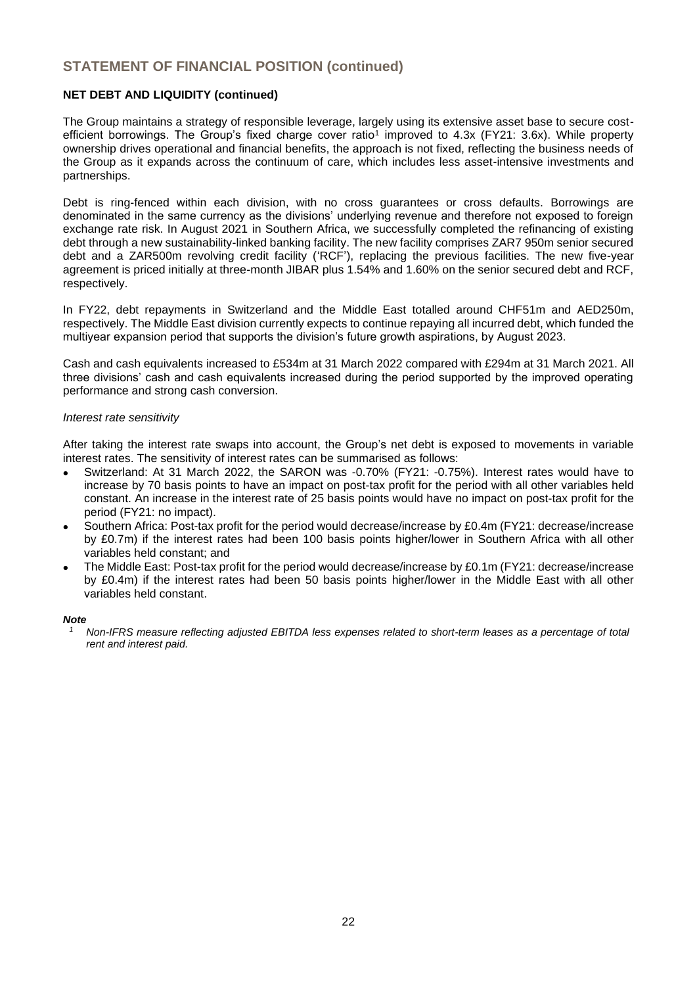# **STATEMENT OF FINANCIAL POSITION (continued)**

## **NET DEBT AND LIQUIDITY (continued)**

The Group maintains a strategy of responsible leverage, largely using its extensive asset base to secure costefficient borrowings. The Group's fixed charge cover ratio<sup>1</sup> improved to 4.3x (FY21: 3.6x). While property ownership drives operational and financial benefits, the approach is not fixed, reflecting the business needs of the Group as it expands across the continuum of care, which includes less asset-intensive investments and partnerships.

Debt is ring-fenced within each division, with no cross guarantees or cross defaults. Borrowings are denominated in the same currency as the divisions' underlying revenue and therefore not exposed to foreign exchange rate risk. In August 2021 in Southern Africa, we successfully completed the refinancing of existing debt through a new sustainability-linked banking facility. The new facility comprises ZAR7 950m senior secured debt and a ZAR500m revolving credit facility ('RCF'), replacing the previous facilities. The new five-year agreement is priced initially at three-month JIBAR plus 1.54% and 1.60% on the senior secured debt and RCF, respectively.

In FY22, debt repayments in Switzerland and the Middle East totalled around CHF51m and AED250m, respectively. The Middle East division currently expects to continue repaying all incurred debt, which funded the multiyear expansion period that supports the division's future growth aspirations, by August 2023.

Cash and cash equivalents increased to £534m at 31 March 2022 compared with £294m at 31 March 2021. All three divisions' cash and cash equivalents increased during the period supported by the improved operating performance and strong cash conversion.

## *Interest rate sensitivity*

After taking the interest rate swaps into account, the Group's net debt is exposed to movements in variable interest rates. The sensitivity of interest rates can be summarised as follows:

- Switzerland: At 31 March 2022, the SARON was -0.70% (FY21: -0.75%). Interest rates would have to increase by 70 basis points to have an impact on post-tax profit for the period with all other variables held constant. An increase in the interest rate of 25 basis points would have no impact on post-tax profit for the period (FY21: no impact).
- Southern Africa: Post-tax profit for the period would decrease/increase by £0.4m (FY21: decrease/increase by £0.7m) if the interest rates had been 100 basis points higher/lower in Southern Africa with all other variables held constant; and
- The Middle East: Post-tax profit for the period would decrease/increase by £0.1m (FY21: decrease/increase by £0.4m) if the interest rates had been 50 basis points higher/lower in the Middle East with all other variables held constant.

#### *Note*

*<sup>1</sup> Non-IFRS measure reflecting adjusted EBITDA less expenses related to short-term leases as a percentage of total rent and interest paid.*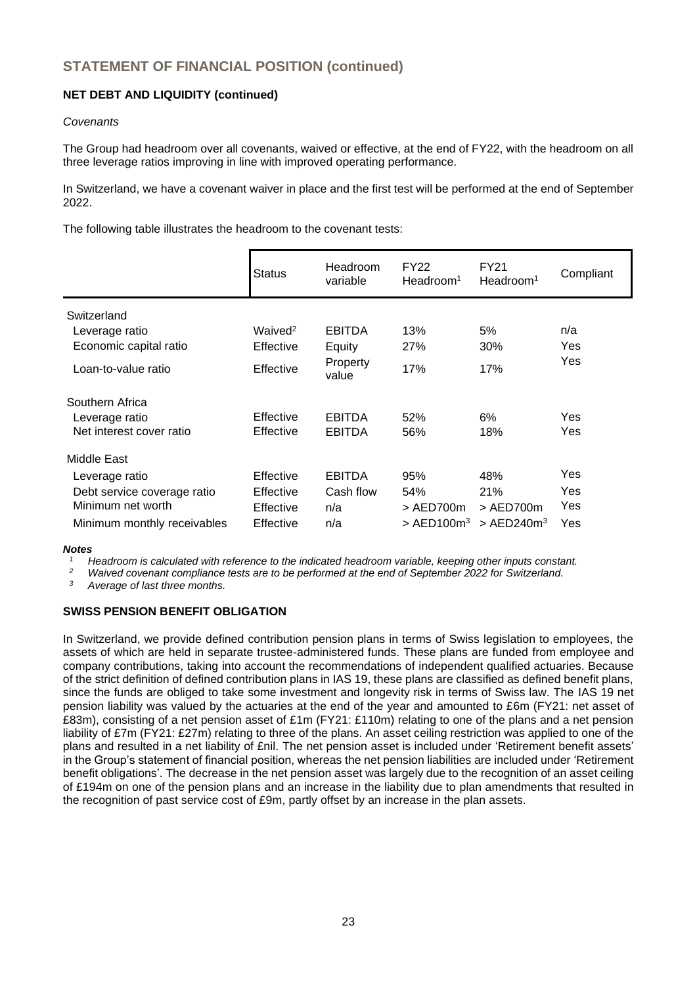# **NET DEBT AND LIQUIDITY (continued)**

## *Covenants*

The Group had headroom over all covenants, waived or effective, at the end of FY22, with the headroom on all three leverage ratios improving in line with improved operating performance.

In Switzerland, we have a covenant waiver in place and the first test will be performed at the end of September 2022.

The following table illustrates the headroom to the covenant tests:

|                                                                                                                  | <b>Status</b>                                           | Headroom<br>variable                         | <b>FY22</b><br>Headroom <sup>1</sup>         | FY21<br>Headroom <sup>1</sup>                            | Compliant                |
|------------------------------------------------------------------------------------------------------------------|---------------------------------------------------------|----------------------------------------------|----------------------------------------------|----------------------------------------------------------|--------------------------|
| Switzerland<br>Leverage ratio<br>Economic capital ratio<br>Loan-to-value ratio                                   | Waived <sup>2</sup><br>Effective<br>Effective           | <b>EBITDA</b><br>Equity<br>Property<br>value | 13%<br>27%<br>17%                            | 5%<br>30%<br>17%                                         | n/a<br>Yes<br>Yes        |
| Southern Africa<br>Leverage ratio<br>Net interest cover ratio                                                    | Effective<br>Effective                                  | <b>EBITDA</b><br><b>EBITDA</b>               | 52%<br>56%                                   | 6%<br>18%                                                | Yes<br>Yes               |
| Middle East<br>Leverage ratio<br>Debt service coverage ratio<br>Minimum net worth<br>Minimum monthly receivables | Effective<br>Effective<br><b>Effective</b><br>Effective | <b>EBITDA</b><br>Cash flow<br>n/a<br>n/a     | 95%<br>54%<br>$>$ AED700m<br>$>$ AED100 $m3$ | 48%<br>21%<br>$>$ AED700 $m$<br>$>$ AED240m <sup>3</sup> | Yes<br>Yes<br>Yes<br>Yes |

## *Notes*

*<sup>1</sup> Headroom is calculated with reference to the indicated headroom variable, keeping other inputs constant.*

*<sup>2</sup> Waived covenant compliance tests are to be performed at the end of September 2022 for Switzerland.*

*<sup>3</sup> Average of last three months.*

## **SWISS PENSION BENEFIT OBLIGATION**

In Switzerland, we provide defined contribution pension plans in terms of Swiss legislation to employees, the assets of which are held in separate trustee-administered funds. These plans are funded from employee and company contributions, taking into account the recommendations of independent qualified actuaries. Because of the strict definition of defined contribution plans in IAS 19, these plans are classified as defined benefit plans, since the funds are obliged to take some investment and longevity risk in terms of Swiss law. The IAS 19 net pension liability was valued by the actuaries at the end of the year and amounted to £6m (FY21: net asset of £83m), consisting of a net pension asset of £1m (FY21: £110m) relating to one of the plans and a net pension liability of £7m (FY21: £27m) relating to three of the plans. An asset ceiling restriction was applied to one of the plans and resulted in a net liability of £nil. The net pension asset is included under 'Retirement benefit assets' in the Group's statement of financial position, whereas the net pension liabilities are included under 'Retirement benefit obligations'. The decrease in the net pension asset was largely due to the recognition of an asset ceiling of £194m on one of the pension plans and an increase in the liability due to plan amendments that resulted in the recognition of past service cost of £9m, partly offset by an increase in the plan assets.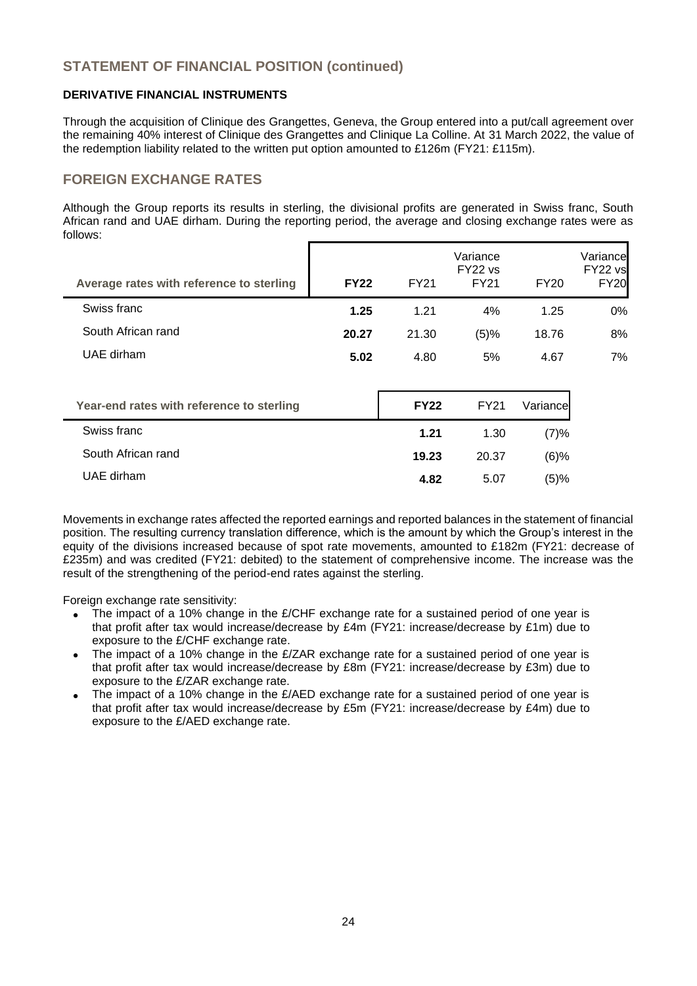# **STATEMENT OF FINANCIAL POSITION (continued)**

## **DERIVATIVE FINANCIAL INSTRUMENTS**

Through the acquisition of Clinique des Grangettes, Geneva, the Group entered into a put/call agreement over the remaining 40% interest of Clinique des Grangettes and Clinique La Colline. At 31 March 2022, the value of the redemption liability related to the written put option amounted to £126m (FY21: £115m).

# **FOREIGN EXCHANGE RATES**

Although the Group reports its results in sterling, the divisional profits are generated in Swiss franc, South African rand and UAE dirham. During the reporting period, the average and closing exchange rates were as follows:

| Average rates with reference to sterling  | <b>FY22</b> | <b>FY21</b> | Variance<br>FY22 vs<br><b>FY21</b> | <b>FY20</b> | Variance<br>FY22 vs<br><b>FY20</b> |
|-------------------------------------------|-------------|-------------|------------------------------------|-------------|------------------------------------|
| Swiss franc                               | 1.25        | 1.21        | 4%                                 | 1.25        | $0\%$                              |
| South African rand                        | 20.27       | 21.30       | (5)%                               | 18.76       | 8%                                 |
| UAE dirham                                | 5.02        | 4.80        | 5%                                 | 4.67        | 7%                                 |
|                                           |             |             |                                    |             |                                    |
| Year-end rates with reference to sterling |             | <b>FY22</b> | <b>FY21</b>                        | Variance    |                                    |
| Swiss franc                               |             | 1.21        | 1.30                               | (7)%        |                                    |
| South African rand                        |             | 19.23       | 20.37                              | $(6)\%$     |                                    |

Movements in exchange rates affected the reported earnings and reported balances in the statement of financial position. The resulting currency translation difference, which is the amount by which the Group's interest in the equity of the divisions increased because of spot rate movements, amounted to £182m (FY21: decrease of £235m) and was credited (FY21: debited) to the statement of comprehensive income. The increase was the result of the strengthening of the period-end rates against the sterling.

UAE dirham **4.82** 5.07 (5)%

Foreign exchange rate sensitivity:

- The impact of a 10% change in the £/CHF exchange rate for a sustained period of one year is that profit after tax would increase/decrease by £4m (FY21: increase/decrease by £1m) due to exposure to the £/CHF exchange rate.
- The impact of a 10% change in the £/ZAR exchange rate for a sustained period of one year is that profit after tax would increase/decrease by £8m (FY21: increase/decrease by £3m) due to exposure to the £/ZAR exchange rate.
- The impact of a 10% change in the £/AED exchange rate for a sustained period of one year is that profit after tax would increase/decrease by £5m (FY21: increase/decrease by £4m) due to exposure to the £/AED exchange rate.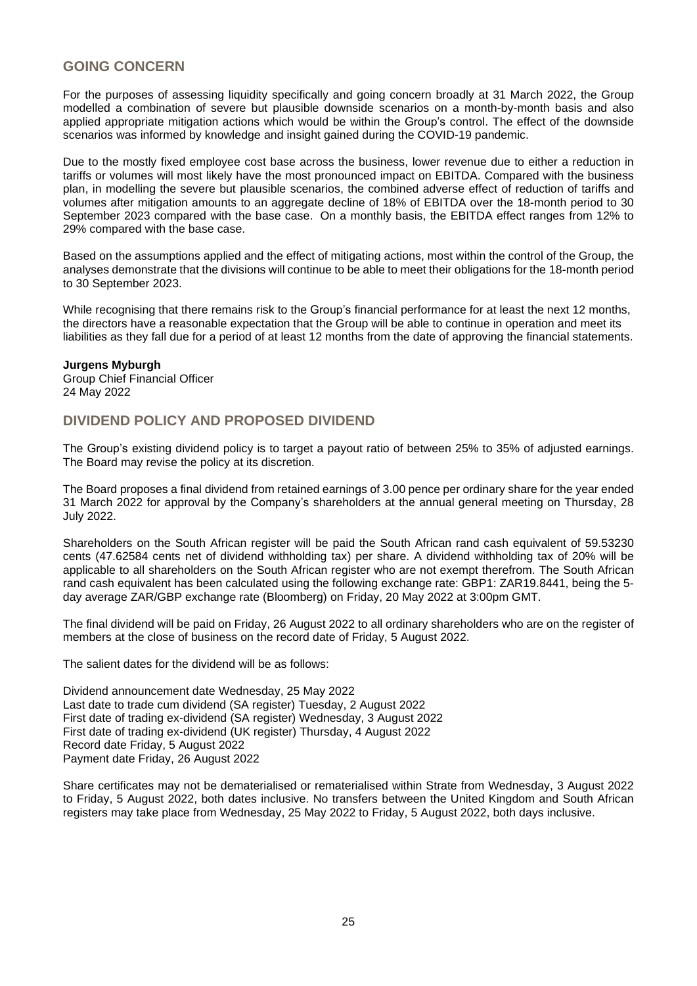# **GOING CONCERN**

For the purposes of assessing liquidity specifically and going concern broadly at 31 March 2022, the Group modelled a combination of severe but plausible downside scenarios on a month-by-month basis and also applied appropriate mitigation actions which would be within the Group's control. The effect of the downside scenarios was informed by knowledge and insight gained during the COVID-19 pandemic.

Due to the mostly fixed employee cost base across the business, lower revenue due to either a reduction in tariffs or volumes will most likely have the most pronounced impact on EBITDA. Compared with the business plan, in modelling the severe but plausible scenarios, the combined adverse effect of reduction of tariffs and volumes after mitigation amounts to an aggregate decline of 18% of EBITDA over the 18-month period to 30 September 2023 compared with the base case. On a monthly basis, the EBITDA effect ranges from 12% to 29% compared with the base case.

Based on the assumptions applied and the effect of mitigating actions, most within the control of the Group, the analyses demonstrate that the divisions will continue to be able to meet their obligations for the 18-month period to 30 September 2023.

While recognising that there remains risk to the Group's financial performance for at least the next 12 months, the directors have a reasonable expectation that the Group will be able to continue in operation and meet its liabilities as they fall due for a period of at least 12 months from the date of approving the financial statements.

## **Jurgens Myburgh**

Group Chief Financial Officer 24 May 2022

# **DIVIDEND POLICY AND PROPOSED DIVIDEND**

The Group's existing dividend policy is to target a payout ratio of between 25% to 35% of adjusted earnings. The Board may revise the policy at its discretion.

The Board proposes a final dividend from retained earnings of 3.00 pence per ordinary share for the year ended 31 March 2022 for approval by the Company's shareholders at the annual general meeting on Thursday, 28 July 2022.

Shareholders on the South African register will be paid the South African rand cash equivalent of 59.53230 cents (47.62584 cents net of dividend withholding tax) per share. A dividend withholding tax of 20% will be applicable to all shareholders on the South African register who are not exempt therefrom. The South African rand cash equivalent has been calculated using the following exchange rate: GBP1: ZAR19.8441, being the 5 day average ZAR/GBP exchange rate (Bloomberg) on Friday, 20 May 2022 at 3:00pm GMT.

The final dividend will be paid on Friday, 26 August 2022 to all ordinary shareholders who are on the register of members at the close of business on the record date of Friday, 5 August 2022.

The salient dates for the dividend will be as follows:

Dividend announcement date Wednesday, 25 May 2022 Last date to trade cum dividend (SA register) Tuesday, 2 August 2022 First date of trading ex-dividend (SA register) Wednesday, 3 August 2022 First date of trading ex-dividend (UK register) Thursday, 4 August 2022 Record date Friday, 5 August 2022 Payment date Friday, 26 August 2022

Share certificates may not be dematerialised or rematerialised within Strate from Wednesday, 3 August 2022 to Friday, 5 August 2022, both dates inclusive. No transfers between the United Kingdom and South African registers may take place from Wednesday, 25 May 2022 to Friday, 5 August 2022, both days inclusive.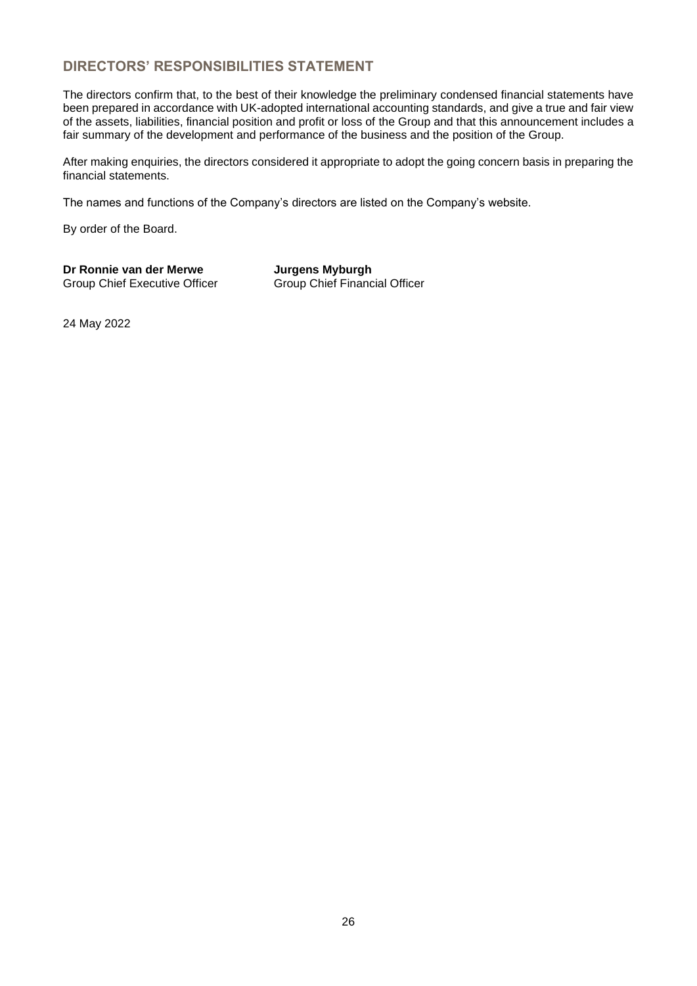# **DIRECTORS' RESPONSIBILITIES STATEMENT**

The directors confirm that, to the best of their knowledge the preliminary condensed financial statements have been prepared in accordance with UK-adopted international accounting standards, and give a true and fair view of the assets, liabilities, financial position and profit or loss of the Group and that this announcement includes a fair summary of the development and performance of the business and the position of the Group.

After making enquiries, the directors considered it appropriate to adopt the going concern basis in preparing the financial statements.

The names and functions of the Company's directors are listed on the Company's website.

By order of the Board.

**Dr Ronnie van der Merwe Jurgens Myburgh** Group Chief Executive Officer Group Chief Financial Officer

24 May 2022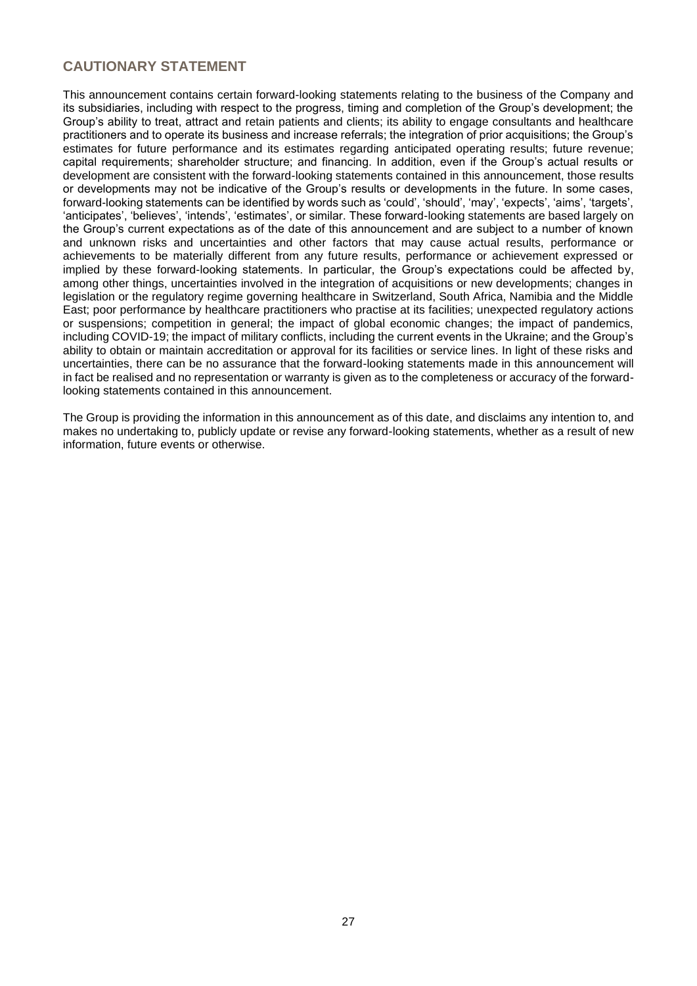# **CAUTIONARY STATEMENT**

This announcement contains certain forward-looking statements relating to the business of the Company and its subsidiaries, including with respect to the progress, timing and completion of the Group's development; the Group's ability to treat, attract and retain patients and clients; its ability to engage consultants and healthcare practitioners and to operate its business and increase referrals; the integration of prior acquisitions; the Group's estimates for future performance and its estimates regarding anticipated operating results; future revenue; capital requirements; shareholder structure; and financing. In addition, even if the Group's actual results or development are consistent with the forward-looking statements contained in this announcement, those results or developments may not be indicative of the Group's results or developments in the future. In some cases, forward-looking statements can be identified by words such as 'could', 'should', 'may', 'expects', 'aims', 'targets', 'anticipates', 'believes', 'intends', 'estimates', or similar. These forward-looking statements are based largely on the Group's current expectations as of the date of this announcement and are subject to a number of known and unknown risks and uncertainties and other factors that may cause actual results, performance or achievements to be materially different from any future results, performance or achievement expressed or implied by these forward-looking statements. In particular, the Group's expectations could be affected by, among other things, uncertainties involved in the integration of acquisitions or new developments; changes in legislation or the regulatory regime governing healthcare in Switzerland, South Africa, Namibia and the Middle East; poor performance by healthcare practitioners who practise at its facilities; unexpected regulatory actions or suspensions; competition in general; the impact of global economic changes; the impact of pandemics, including COVID-19; the impact of military conflicts, including the current events in the Ukraine; and the Group's ability to obtain or maintain accreditation or approval for its facilities or service lines. In light of these risks and uncertainties, there can be no assurance that the forward-looking statements made in this announcement will in fact be realised and no representation or warranty is given as to the completeness or accuracy of the forwardlooking statements contained in this announcement.

The Group is providing the information in this announcement as of this date, and disclaims any intention to, and makes no undertaking to, publicly update or revise any forward-looking statements, whether as a result of new information, future events or otherwise.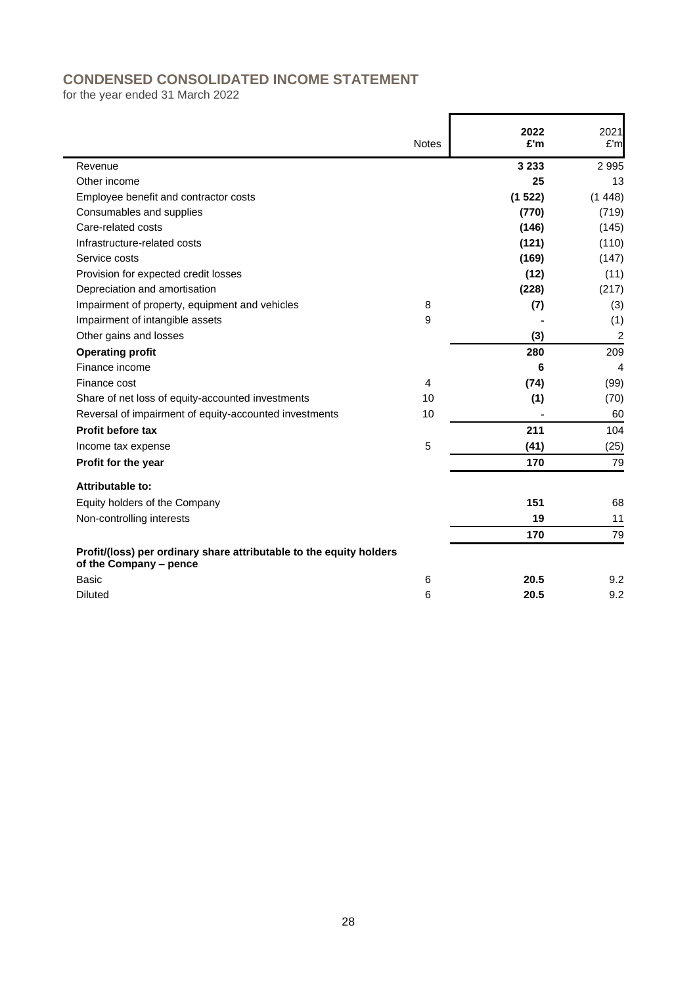# **CONDENSED CONSOLIDATED INCOME STATEMENT**

for the year ended 31 March 2022

|                                                                                               | <b>Notes</b> | 2022<br>£'m | 2021<br>£'m    |
|-----------------------------------------------------------------------------------------------|--------------|-------------|----------------|
| Revenue                                                                                       |              | 3 2 3 3     | 2 9 9 5        |
| Other income                                                                                  |              | 25          | 13             |
| Employee benefit and contractor costs                                                         |              | (1522)      | (1448)         |
| Consumables and supplies                                                                      |              | (770)       | (719)          |
| Care-related costs                                                                            |              | (146)       | (145)          |
| Infrastructure-related costs                                                                  |              | (121)       | (110)          |
| Service costs                                                                                 |              | (169)       | (147)          |
| Provision for expected credit losses                                                          |              | (12)        | (11)           |
| Depreciation and amortisation                                                                 |              | (228)       | (217)          |
| Impairment of property, equipment and vehicles                                                | 8            | (7)         | (3)            |
| Impairment of intangible assets                                                               | 9            |             | (1)            |
| Other gains and losses                                                                        |              | (3)         | $\overline{c}$ |
| <b>Operating profit</b>                                                                       |              | 280         | 209            |
| Finance income                                                                                |              | 6           | 4              |
| Finance cost                                                                                  | 4            | (74)        | (99)           |
| Share of net loss of equity-accounted investments                                             | 10           | (1)         | (70)           |
| Reversal of impairment of equity-accounted investments                                        | 10           |             | 60             |
| Profit before tax                                                                             |              | 211         | 104            |
| Income tax expense                                                                            | 5            | (41)        | (25)           |
| Profit for the year                                                                           |              | 170         | 79             |
| Attributable to:                                                                              |              |             |                |
| Equity holders of the Company                                                                 |              | 151         | 68             |
| Non-controlling interests                                                                     |              | 19          | 11             |
|                                                                                               |              | 170         | 79             |
| Profit/(loss) per ordinary share attributable to the equity holders<br>of the Company - pence |              |             |                |
| Basic                                                                                         | 6            | 20.5        | 9.2            |
| <b>Diluted</b>                                                                                | 6            | 20.5        | 9.2            |
|                                                                                               |              |             |                |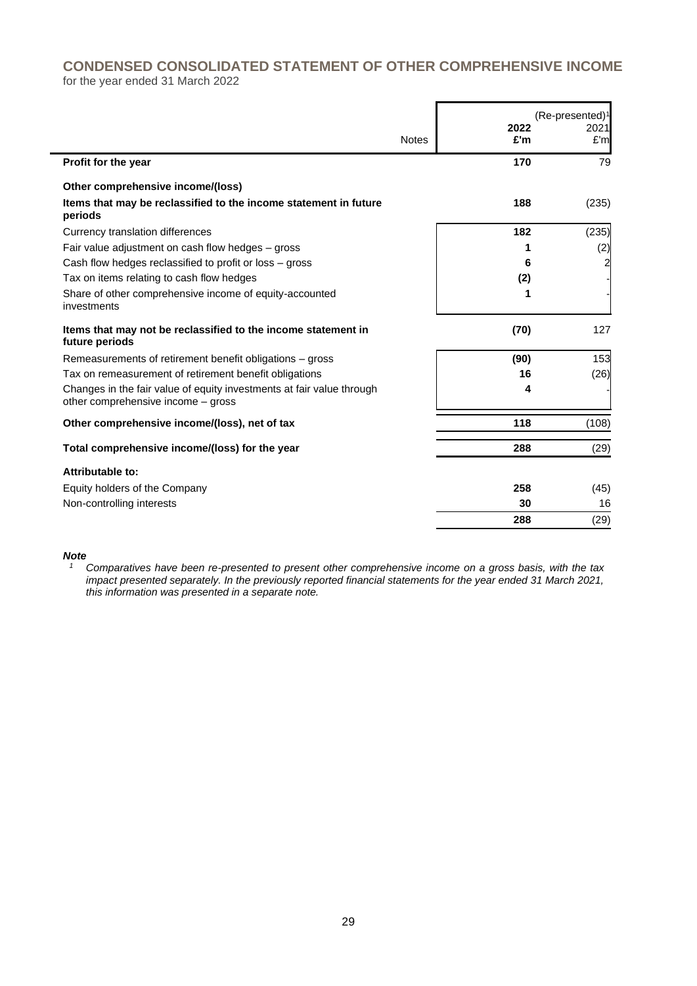# **CONDENSED CONSOLIDATED STATEMENT OF OTHER COMPREHENSIVE INCOME** for the year ended 31 March 2022

|                                                                                                             |              |             | $(Re\text{-}presented)1$ |
|-------------------------------------------------------------------------------------------------------------|--------------|-------------|--------------------------|
|                                                                                                             | <b>Notes</b> | 2022<br>£'m | 2021<br>£'m              |
| Profit for the year                                                                                         |              | 170         | 79                       |
| Other comprehensive income/(loss)                                                                           |              |             |                          |
| Items that may be reclassified to the income statement in future<br>periods                                 |              | 188         | (235)                    |
| Currency translation differences                                                                            |              | 182         | (235)                    |
| Fair value adjustment on cash flow hedges – gross                                                           |              |             | (2)                      |
| Cash flow hedges reclassified to profit or loss – gross                                                     |              | 6           | $\overline{\mathbf{c}}$  |
| Tax on items relating to cash flow hedges                                                                   |              | (2)         |                          |
| Share of other comprehensive income of equity-accounted<br>investments                                      |              | 1           |                          |
| Items that may not be reclassified to the income statement in<br>future periods                             |              | (70)        | 127                      |
| Remeasurements of retirement benefit obligations – gross                                                    |              | (90)        | 153                      |
| Tax on remeasurement of retirement benefit obligations                                                      |              | 16          | (26)                     |
| Changes in the fair value of equity investments at fair value through<br>other comprehensive income - gross |              | 4           |                          |
| Other comprehensive income/(loss), net of tax                                                               |              | 118         | (108)                    |
| Total comprehensive income/(loss) for the year                                                              |              | 288         | (29)                     |
| Attributable to:                                                                                            |              |             |                          |
| Equity holders of the Company                                                                               |              | 258         | (45)                     |
| Non-controlling interests                                                                                   |              | 30          | 16                       |
|                                                                                                             |              | 288         | (29)                     |

# *Note*

*<sup>1</sup> Comparatives have been re-presented to present other comprehensive income on a gross basis, with the tax impact presented separately. In the previously reported financial statements for the year ended 31 March 2021, this information was presented in a separate note.*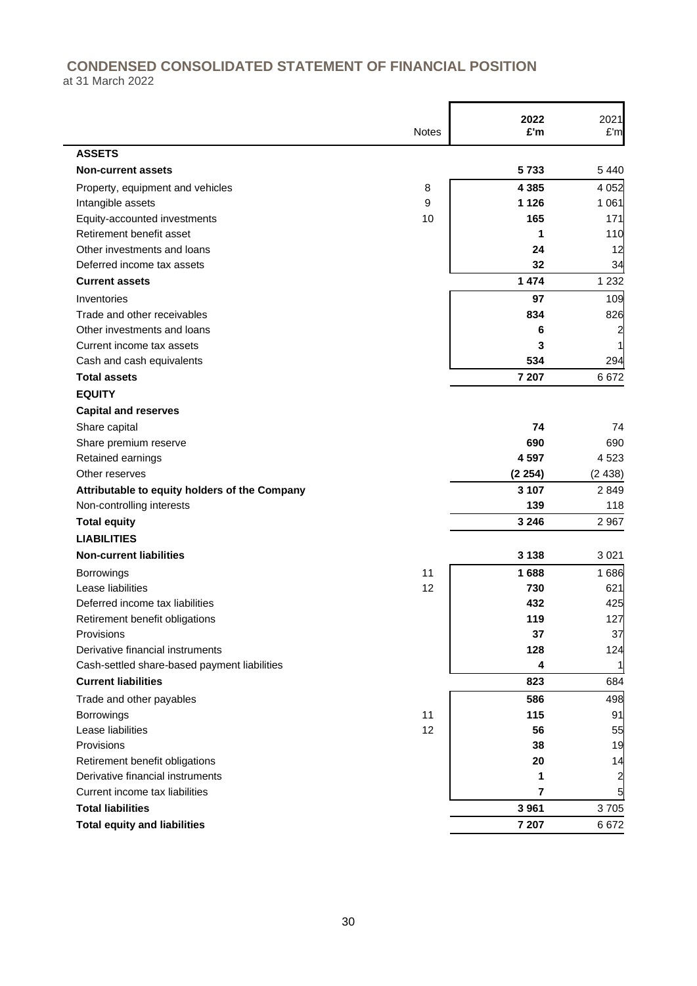# **CONDENSED CONSOLIDATED STATEMENT OF FINANCIAL POSITION**

÷

at 31 March 2022

|                                               |              | 2022    | 2021    |
|-----------------------------------------------|--------------|---------|---------|
|                                               | <b>Notes</b> | £'m     | E'm     |
| <b>ASSETS</b>                                 |              |         |         |
| <b>Non-current assets</b>                     |              | 5733    | 5440    |
| Property, equipment and vehicles              | 8            | 4 3 8 5 | 4 0 5 2 |
| Intangible assets                             | 9            | 1 1 2 6 | 1 0 6 1 |
| Equity-accounted investments                  | 10           | 165     | 171     |
| Retirement benefit asset                      |              | 1       | 110     |
| Other investments and loans                   |              | 24      | 12      |
| Deferred income tax assets                    |              | 32      | 34      |
| <b>Current assets</b>                         |              | 1 474   | 1 2 3 2 |
| Inventories                                   |              | 97      | 109     |
| Trade and other receivables                   |              | 834     | 826     |
| Other investments and loans                   |              | 6       | 2       |
| Current income tax assets                     |              | 3       |         |
| Cash and cash equivalents                     |              | 534     | 294     |
| <b>Total assets</b>                           |              | 7 207   | 6672    |
| <b>EQUITY</b>                                 |              |         |         |
| <b>Capital and reserves</b>                   |              |         |         |
| Share capital                                 |              | 74      | 74      |
| Share premium reserve                         |              | 690     | 690     |
| Retained earnings                             |              | 4597    | 4 5 23  |
| Other reserves                                |              | (2254)  | (2438)  |
| Attributable to equity holders of the Company |              | 3 1 0 7 | 2849    |
| Non-controlling interests                     |              | 139     | 118     |
| <b>Total equity</b>                           |              | 3 2 4 6 | 2 9 6 7 |
| <b>LIABILITIES</b>                            |              |         |         |
| <b>Non-current liabilities</b>                |              | 3 1 3 8 | 3 0 21  |
| <b>Borrowings</b>                             | 11           | 1688    | 1686    |
| Lease liabilities                             | 12           | 730     | 621     |
| Deferred income tax liabilities               |              | 432     | 425     |
| Retirement benefit obligations                |              | 119     | 127     |
| Provisions                                    |              | 37      | 37      |
| Derivative financial instruments              |              | 128     | 124     |
| Cash-settled share-based payment liabilities  |              | 4       |         |
| <b>Current liabilities</b>                    |              | 823     | 684     |
| Trade and other payables                      |              | 586     | 498     |
| <b>Borrowings</b>                             | 11           | 115     | 91      |
| Lease liabilities                             | 12           | 56      | 55      |
| Provisions                                    |              | 38      | 19      |
| Retirement benefit obligations                |              | 20      | 14      |
| Derivative financial instruments              |              | 1       | 2       |
| Current income tax liabilities                |              | 7       | 5       |
| <b>Total liabilities</b>                      |              | 3 9 6 1 | 3705    |
| <b>Total equity and liabilities</b>           |              | 7 207   | 6672    |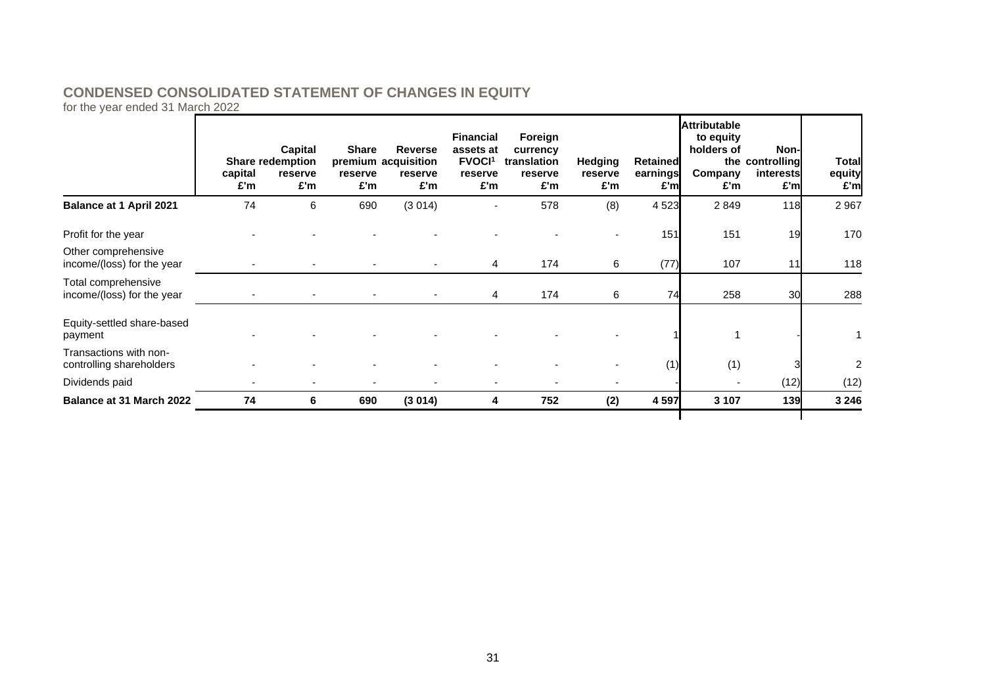# **CONDENSED CONSOLIDATED STATEMENT OF CHANGES IN EQUITY**

for the year ended 31 March 2022

|                                                    | capital<br>£'m | Capital<br>Share redemption<br>reserve<br>£'m | <b>Share</b><br>reserve<br>£'m | <b>Reverse</b><br>premium acquisition<br>reserve<br>£'m | <b>Financial</b><br>assets at<br><b>FVOCI1</b><br>reserve<br>£'m | Foreign<br>currency<br>translation<br>reserve<br>£'m | Hedging<br>reserve<br>£'m | Retained<br>earnings<br>£'ml | <b>Attributable</b><br>to equity<br>holders of<br>Company<br>£'m | Non-<br>the controlling<br>interests<br>£'m | <b>Total</b><br>equity<br>£'m |
|----------------------------------------------------|----------------|-----------------------------------------------|--------------------------------|---------------------------------------------------------|------------------------------------------------------------------|------------------------------------------------------|---------------------------|------------------------------|------------------------------------------------------------------|---------------------------------------------|-------------------------------|
| <b>Balance at 1 April 2021</b>                     | 74             | 6                                             | 690                            | (3014)                                                  | $\overline{a}$                                                   | 578                                                  | (8)                       | 4523                         | 2849                                                             | 118                                         | 2967                          |
| Profit for the year                                |                |                                               |                                |                                                         |                                                                  |                                                      |                           | 151                          | 151                                                              | 19                                          | 170                           |
| Other comprehensive<br>income/(loss) for the year  |                |                                               |                                |                                                         | 4                                                                | 174                                                  | 6                         | (77)                         | 107                                                              | 11                                          | 118                           |
| Total comprehensive<br>income/(loss) for the year  |                |                                               |                                |                                                         | 4                                                                | 174                                                  | 6                         | 74                           | 258                                                              | 30                                          | 288                           |
| Equity-settled share-based<br>payment              |                |                                               |                                |                                                         |                                                                  |                                                      |                           |                              |                                                                  |                                             |                               |
| Transactions with non-<br>controlling shareholders |                |                                               |                                |                                                         |                                                                  |                                                      |                           | (1)                          | (1)                                                              |                                             | 2                             |
| Dividends paid                                     |                |                                               |                                |                                                         | $\overline{\phantom{a}}$                                         |                                                      |                           |                              |                                                                  | (12)                                        | (12)                          |
| <b>Balance at 31 March 2022</b>                    | 74             | 6                                             | 690                            | (3014)                                                  | 4                                                                | 752                                                  | (2)                       | 4 5 9 7                      | 3 1 0 7                                                          | 139                                         | 3 2 4 6                       |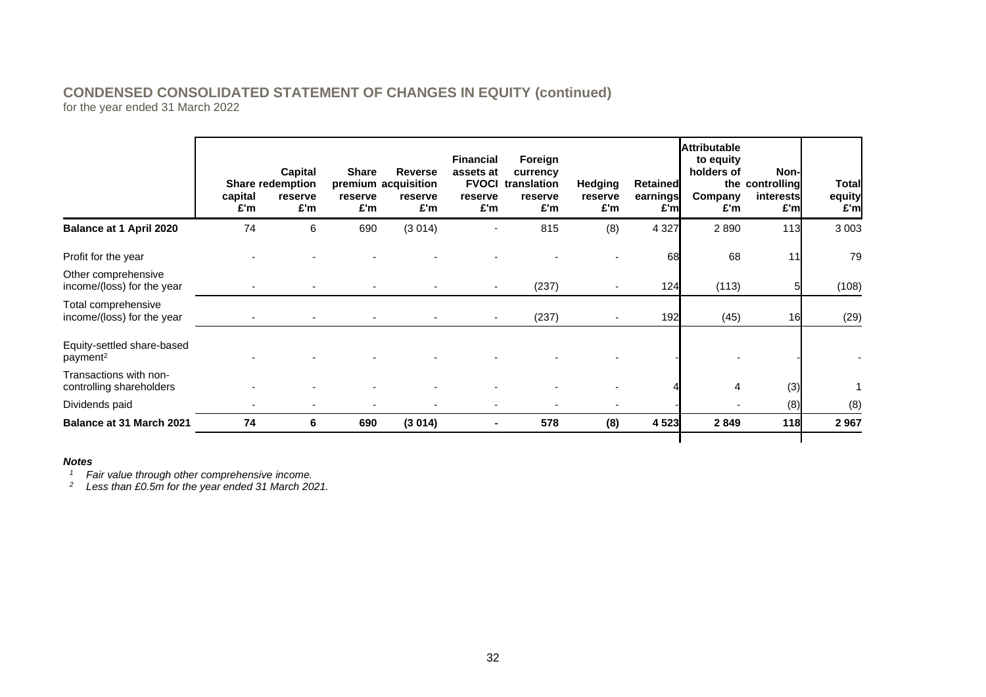# **CONDENSED CONSOLIDATED STATEMENT OF CHANGES IN EQUITY (continued)** for the year ended 31 March 2022

|                                                    | capital<br>£'m | Capital<br><b>Share redemption</b><br>reserve<br>£'m | <b>Share</b><br>reserve<br>£'m | <b>Reverse</b><br>premium acquisition<br>reserve<br>£'m | <b>Financial</b><br>assets at<br>reserve<br>£'m | Foreign<br>currency<br><b>FVOCI</b> translation<br>reserve<br>£'m | Hedging<br>reserve<br>£'m | Retained<br>earnings<br>£'ml | <b>Attributable</b><br>to equity<br>holders of<br>Company<br>£'m | Non-l<br>the controlling<br>interests<br>£'ml | <b>Total</b><br>equity<br>£'m |
|----------------------------------------------------|----------------|------------------------------------------------------|--------------------------------|---------------------------------------------------------|-------------------------------------------------|-------------------------------------------------------------------|---------------------------|------------------------------|------------------------------------------------------------------|-----------------------------------------------|-------------------------------|
| Balance at 1 April 2020                            | 74             | 6                                                    | 690                            | (3014)                                                  | $\overline{\phantom{a}}$                        | 815                                                               | (8)                       | 4 3 2 7                      | 2890                                                             | 113                                           | 3 0 0 3                       |
| Profit for the year                                |                |                                                      |                                |                                                         |                                                 |                                                                   |                           | 68                           | 68                                                               | 11                                            | 79                            |
| Other comprehensive<br>income/(loss) for the year  |                |                                                      |                                |                                                         | $\overline{\phantom{a}}$                        | (237)                                                             |                           | 124                          | (113)                                                            |                                               | (108)                         |
| Total comprehensive<br>income/(loss) for the year  |                |                                                      |                                |                                                         | $\sim$                                          | (237)                                                             |                           | 192                          | (45)                                                             | 16                                            | (29)                          |
| Equity-settled share-based<br>payment <sup>2</sup> |                |                                                      |                                |                                                         |                                                 |                                                                   |                           |                              |                                                                  |                                               |                               |
| Transactions with non-<br>controlling shareholders |                |                                                      |                                |                                                         |                                                 |                                                                   |                           |                              | 4                                                                | (3)                                           |                               |
| Dividends paid                                     |                |                                                      |                                |                                                         | $\blacksquare$                                  |                                                                   |                           |                              |                                                                  | (8)                                           | (8)                           |
| <b>Balance at 31 March 2021</b>                    | 74             | 6                                                    | 690                            | (3014)                                                  | $\blacksquare$                                  | 578                                                               | (8)                       | 4523                         | 2849                                                             | 118                                           | 2967                          |

### *Notes*

*<sup>1</sup> Fair value through other comprehensive income.*

*<sup>2</sup> Less than £0.5m for the year ended 31 March 2021.*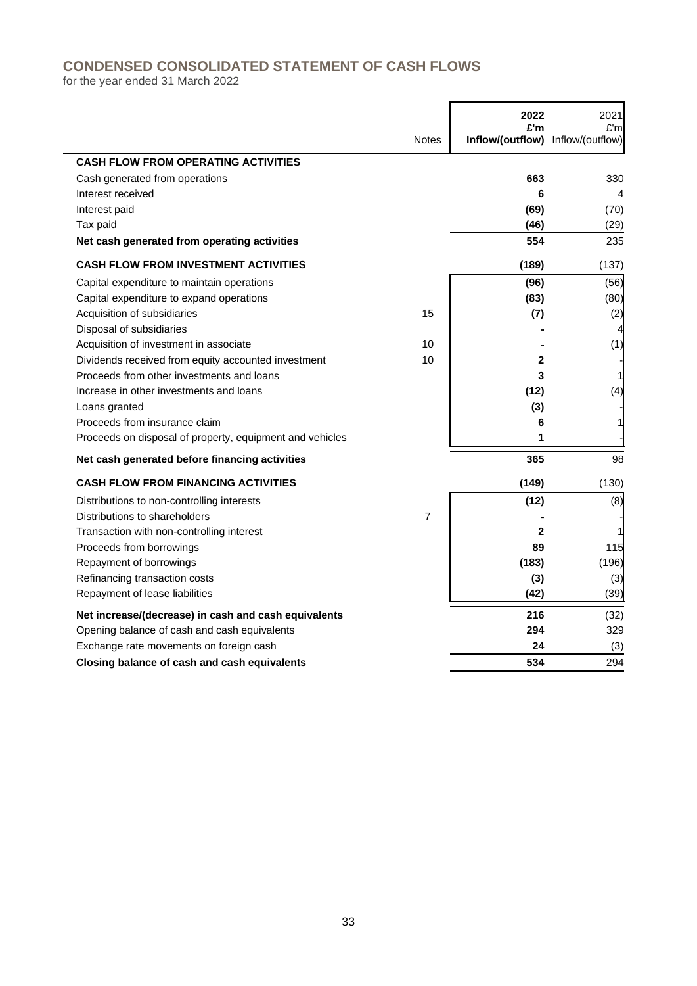# **CONDENSED CONSOLIDATED STATEMENT OF CASH FLOWS**

for the year ended 31 March 2022

|                                                          |                | 2022<br>£'m                       | 2021<br>£'m |
|----------------------------------------------------------|----------------|-----------------------------------|-------------|
|                                                          | <b>Notes</b>   | Inflow/(outflow) Inflow/(outflow) |             |
| <b>CASH FLOW FROM OPERATING ACTIVITIES</b>               |                |                                   |             |
| Cash generated from operations                           |                | 663                               | 330         |
| Interest received                                        |                | 6                                 | 4           |
| Interest paid                                            |                | (69)                              | (70)        |
| Tax paid                                                 |                | (46)                              | (29)        |
| Net cash generated from operating activities             |                | 554                               | 235         |
| <b>CASH FLOW FROM INVESTMENT ACTIVITIES</b>              |                | (189)                             | (137)       |
| Capital expenditure to maintain operations               |                | (96)                              | (56)        |
| Capital expenditure to expand operations                 |                | (83)                              | (80)        |
| Acquisition of subsidiaries                              | 15             | (7)                               | (2)         |
| Disposal of subsidiaries                                 |                |                                   |             |
| Acquisition of investment in associate                   | 10             |                                   | (1)         |
| Dividends received from equity accounted investment      | 10             | 2                                 |             |
| Proceeds from other investments and loans                |                | 3                                 |             |
| Increase in other investments and loans                  |                | (12)                              | (4)         |
| Loans granted                                            |                | (3)                               |             |
| Proceeds from insurance claim                            |                | 6                                 |             |
| Proceeds on disposal of property, equipment and vehicles |                | 1                                 |             |
| Net cash generated before financing activities           |                | 365                               | 98          |
| <b>CASH FLOW FROM FINANCING ACTIVITIES</b>               |                | (149)                             | (130)       |
| Distributions to non-controlling interests               |                | (12)                              | (8)         |
| Distributions to shareholders                            | $\overline{7}$ |                                   |             |
| Transaction with non-controlling interest                |                | $\mathbf{2}$                      |             |
| Proceeds from borrowings                                 |                | 89                                | 115         |
| Repayment of borrowings                                  |                | (183)                             | (196)       |
| Refinancing transaction costs                            |                | (3)                               | (3)         |
| Repayment of lease liabilities                           |                | (42)                              | (39)        |
| Net increase/(decrease) in cash and cash equivalents     |                | 216                               | (32)        |
| Opening balance of cash and cash equivalents             |                | 294                               | 329         |
| Exchange rate movements on foreign cash                  |                | 24                                | (3)         |
| Closing balance of cash and cash equivalents             |                | 534                               | 294         |

÷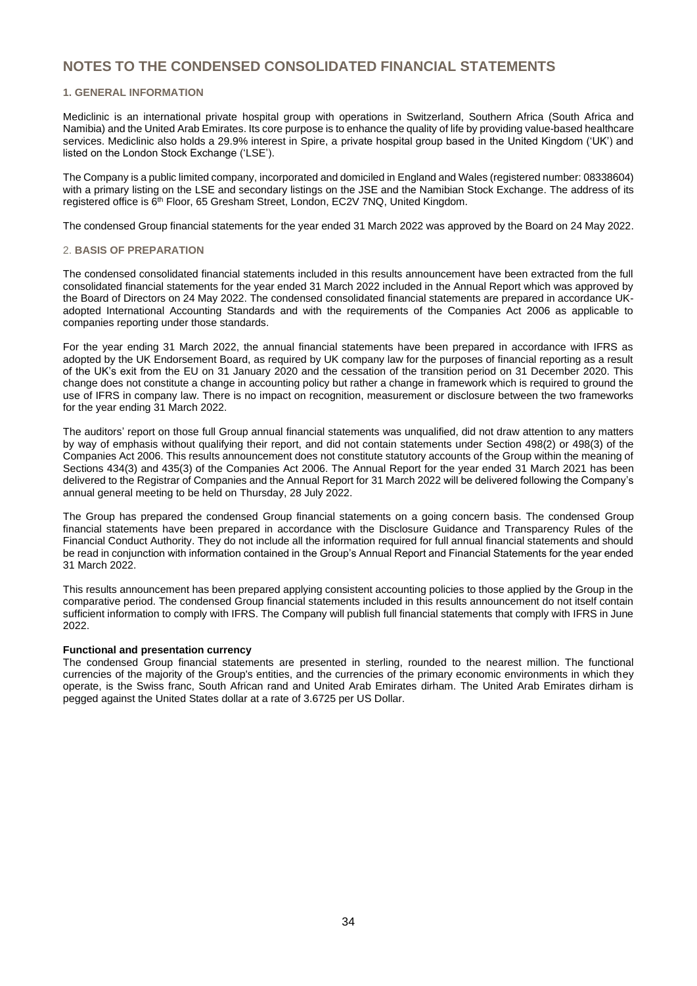#### **1. GENERAL INFORMATION**

Mediclinic is an international private hospital group with operations in Switzerland, Southern Africa (South Africa and Namibia) and the United Arab Emirates. Its core purpose is to enhance the quality of life by providing value-based healthcare services. Mediclinic also holds a 29.9% interest in Spire, a private hospital group based in the United Kingdom ('UK') and listed on the London Stock Exchange ('LSE').

The Company is a public limited company, incorporated and domiciled in England and Wales (registered number: 08338604) with a primary listing on the LSE and secondary listings on the JSE and the Namibian Stock Exchange. The address of its registered office is 6<sup>th</sup> Floor, 65 Gresham Street, London, EC2V 7NQ, United Kingdom.

The condensed Group financial statements for the year ended 31 March 2022 was approved by the Board on 24 May 2022.

#### 2. **BASIS OF PREPARATION**

The condensed consolidated financial statements included in this results announcement have been extracted from the full consolidated financial statements for the year ended 31 March 2022 included in the Annual Report which was approved by the Board of Directors on 24 May 2022. The condensed consolidated financial statements are prepared in accordance UKadopted International Accounting Standards and with the requirements of the Companies Act 2006 as applicable to companies reporting under those standards.

For the year ending 31 March 2022, the annual financial statements have been prepared in accordance with IFRS as adopted by the UK Endorsement Board, as required by UK company law for the purposes of financial reporting as a result of the UK's exit from the EU on 31 January 2020 and the cessation of the transition period on 31 December 2020. This change does not constitute a change in accounting policy but rather a change in framework which is required to ground the use of IFRS in company law. There is no impact on recognition, measurement or disclosure between the two frameworks for the year ending 31 March 2022.

The auditors' report on those full Group annual financial statements was unqualified, did not draw attention to any matters by way of emphasis without qualifying their report, and did not contain statements under Section 498(2) or 498(3) of the Companies Act 2006. This results announcement does not constitute statutory accounts of the Group within the meaning of Sections 434(3) and 435(3) of the Companies Act 2006. The Annual Report for the year ended 31 March 2021 has been delivered to the Registrar of Companies and the Annual Report for 31 March 2022 will be delivered following the Company's annual general meeting to be held on Thursday, 28 July 2022.

The Group has prepared the condensed Group financial statements on a going concern basis. The condensed Group financial statements have been prepared in accordance with the Disclosure Guidance and Transparency Rules of the Financial Conduct Authority. They do not include all the information required for full annual financial statements and should be read in conjunction with information contained in the Group's Annual Report and Financial Statements for the year ended 31 March 2022.

This results announcement has been prepared applying consistent accounting policies to those applied by the Group in the comparative period. The condensed Group financial statements included in this results announcement do not itself contain sufficient information to comply with IFRS. The Company will publish full financial statements that comply with IFRS in June 2022.

#### **Functional and presentation currency**

The condensed Group financial statements are presented in sterling, rounded to the nearest million. The functional currencies of the majority of the Group's entities, and the currencies of the primary economic environments in which they operate, is the Swiss franc, South African rand and United Arab Emirates dirham. The United Arab Emirates dirham is pegged against the United States dollar at a rate of 3.6725 per US Dollar.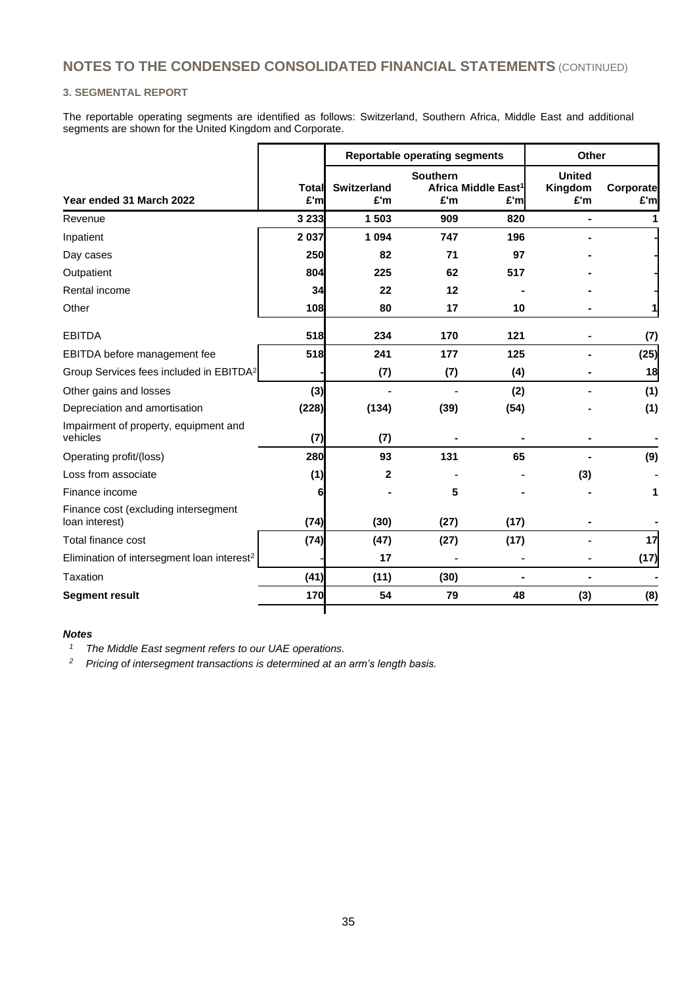#### **3. SEGMENTAL REPORT**

The reportable operating segments are identified as follows: Switzerland, Southern Africa, Middle East and additional segments are shown for the United Kingdom and Corporate.

|                                                        |               |                           | <b>Reportable operating segments</b> | Other                                   |                                 |                   |
|--------------------------------------------------------|---------------|---------------------------|--------------------------------------|-----------------------------------------|---------------------------------|-------------------|
| Year ended 31 March 2022                               | Total<br>£'ml | <b>Switzerland</b><br>£'m | <b>Southern</b><br>£'m               | Africa Middle East <sup>1</sup><br>£'ml | <b>United</b><br>Kingdom<br>£'m | Corporate<br>£'ml |
| Revenue                                                | 3 2 3 3       | 1 503                     | 909                                  | 820                                     |                                 |                   |
| Inpatient                                              | 2 0 3 7       | 1 0 9 4                   | 747                                  | 196                                     |                                 |                   |
| Day cases                                              | 250           | 82                        | 71                                   | 97                                      |                                 |                   |
| Outpatient                                             | 804           | 225                       | 62                                   | 517                                     |                                 |                   |
| Rental income                                          | 34            | 22                        | 12                                   |                                         |                                 |                   |
| Other                                                  | 108           | 80                        | 17                                   | 10                                      |                                 |                   |
| <b>EBITDA</b>                                          | 518           | 234                       | 170                                  | 121                                     |                                 | (7)               |
| EBITDA before management fee                           | 518           | 241                       | 177                                  | 125                                     |                                 | (25)              |
| Group Services fees included in EBITDA <sup>2</sup>    |               | (7)                       | (7)                                  | (4)                                     |                                 | 18                |
| Other gains and losses                                 | (3)           |                           |                                      | (2)                                     |                                 | (1)               |
| Depreciation and amortisation                          | (228)         | (134)                     | (39)                                 | (54)                                    |                                 | (1)               |
| Impairment of property, equipment and<br>vehicles      | (7)           | (7)                       |                                      |                                         |                                 |                   |
| Operating profit/(loss)                                | 280           | 93                        | 131                                  | 65                                      |                                 | (9)               |
| Loss from associate                                    | (1)           | 2                         |                                      |                                         | (3)                             |                   |
| Finance income                                         | 6             |                           | 5                                    |                                         |                                 | 1                 |
| Finance cost (excluding intersegment<br>loan interest) | (74)          | (30)                      | (27)                                 | (17)                                    |                                 |                   |
| Total finance cost                                     | (74)          | (47)                      | (27)                                 | (17)                                    |                                 | 17                |
| Elimination of intersegment loan interest <sup>2</sup> |               | 17                        |                                      |                                         |                                 | (17)              |
| <b>Taxation</b>                                        | (41)          | (11)                      | (30)                                 |                                         |                                 |                   |
| <b>Segment result</b>                                  | 170           | 54                        | 79                                   | 48                                      | (3)                             | (8)               |
|                                                        |               |                           |                                      |                                         |                                 |                   |

#### *Notes*

*<sup>1</sup> The Middle East segment refers to our UAE operations.*

*<sup>2</sup> Pricing of intersegment transactions is determined at an arm's length basis.*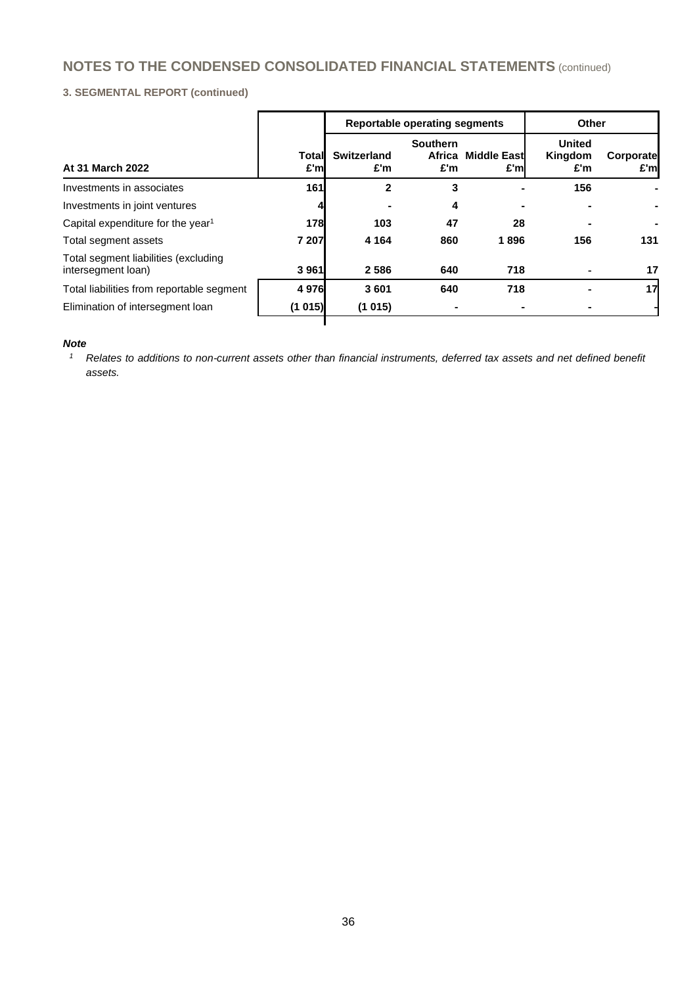## **3. SEGMENTAL REPORT (continued)**

|               |                    |                        |      | Other                                                         |                  |  |
|---------------|--------------------|------------------------|------|---------------------------------------------------------------|------------------|--|
| Total<br>£'ml | Switzerland<br>£'m | <b>Southern</b><br>£'m | £'m  | <b>United</b><br>Kingdom<br>£'m                               | Corporate<br>£'m |  |
| 161           | $\mathbf{2}$       | 3                      |      | 156                                                           |                  |  |
|               |                    | 4                      |      |                                                               |                  |  |
| 178           | 103                | 47                     | 28   |                                                               |                  |  |
| 7 207         | 4 1 6 4            | 860                    | 1896 | 156                                                           | 131              |  |
| 3 9 6 1       | 2586               | 640                    | 718  |                                                               | 17               |  |
| 4976          | 3601               | 640                    | 718  |                                                               | 17               |  |
| (1 015)       | (1015)             |                        |      |                                                               |                  |  |
|               |                    |                        |      | <b>Reportable operating segments</b><br>Middle East<br>Africa |                  |  |

## *Note*

*<sup>1</sup> Relates to additions to non-current assets other than financial instruments, deferred tax assets and net defined benefit assets.*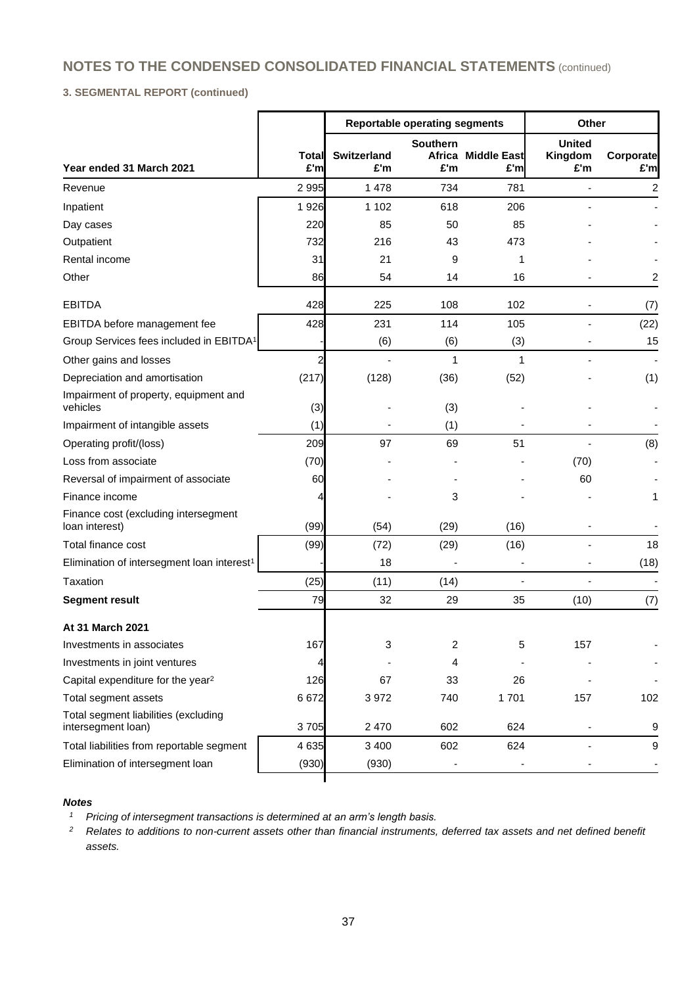## **3. SEGMENTAL REPORT (continued)**

|                                                            |              |                           | <b>Reportable operating segments</b> |                           | Other                           |                  |
|------------------------------------------------------------|--------------|---------------------------|--------------------------------------|---------------------------|---------------------------------|------------------|
| Year ended 31 March 2021                                   | Total<br>£'m | <b>Switzerland</b><br>£'m | <b>Southern</b><br>£'m               | Africa Middle East<br>£'m | <b>United</b><br>Kingdom<br>£'m | Corporate<br>£'m |
| Revenue                                                    | 2995         | 1478                      | 734                                  | 781                       |                                 | 2                |
| Inpatient                                                  | 1926         | 1 1 0 2                   | 618                                  | 206                       |                                 |                  |
| Day cases                                                  | 220          | 85                        | 50                                   | 85                        |                                 |                  |
| Outpatient                                                 | 732          | 216                       | 43                                   | 473                       |                                 |                  |
| Rental income                                              | 31           | 21                        | 9                                    | 1                         |                                 |                  |
| Other                                                      | 86           | 54                        | 14                                   | 16                        |                                 | 2                |
| <b>EBITDA</b>                                              | 428          | 225                       | 108                                  | 102                       |                                 | (7)              |
| EBITDA before management fee                               | 428          | 231                       | 114                                  | 105                       |                                 | (22)             |
| Group Services fees included in EBITDA <sup>1</sup>        |              | (6)                       | (6)                                  | (3)                       |                                 | 15               |
| Other gains and losses                                     | 2            | ÷,                        | 1                                    | 1                         |                                 | $\sim$           |
| Depreciation and amortisation                              | (217)        | (128)                     | (36)                                 | (52)                      |                                 | (1)              |
| Impairment of property, equipment and<br>vehicles          | (3)          |                           | (3)                                  |                           |                                 |                  |
| Impairment of intangible assets                            | (1)          |                           | (1)                                  |                           |                                 |                  |
| Operating profit/(loss)                                    | 209          | 97                        | 69                                   | 51                        |                                 | (8)              |
| Loss from associate                                        | (70)         |                           |                                      |                           | (70)                            |                  |
| Reversal of impairment of associate                        | 60           |                           |                                      |                           | 60                              |                  |
| Finance income                                             | 4            |                           | 3                                    |                           |                                 | 1                |
| Finance cost (excluding intersegment<br>loan interest)     | (99)         | (54)                      | (29)                                 | (16)                      |                                 |                  |
| Total finance cost                                         | (99)         | (72)                      | (29)                                 | (16)                      |                                 | 18               |
| Elimination of intersegment loan interest <sup>1</sup>     |              | 18                        |                                      |                           |                                 | (18)             |
| Taxation                                                   | (25)         | (11)                      | (14)                                 |                           |                                 |                  |
| <b>Segment result</b>                                      | 79           | 32                        | 29                                   | 35                        | (10)                            | (7)              |
| At 31 March 2021                                           |              |                           |                                      |                           |                                 |                  |
| Investments in associates                                  | 167          | 3                         | 2                                    | 5                         | 157                             |                  |
| Investments in joint ventures                              |              |                           | 4                                    |                           |                                 |                  |
| Capital expenditure for the year <sup>2</sup>              | 126          | 67                        | 33                                   | 26                        |                                 |                  |
| Total segment assets                                       | 6672         | 3972                      | 740                                  | 1701                      | 157                             | 102              |
| Total segment liabilities (excluding<br>intersegment loan) | 3705         | 2 4 7 0                   | 602                                  | 624                       |                                 | 9                |
| Total liabilities from reportable segment                  | 4 6 3 5      | 3 4 0 0                   | 602                                  | 624                       |                                 | 9                |
| Elimination of intersegment loan                           | (930)        | (930)                     |                                      |                           |                                 |                  |
|                                                            |              |                           |                                      |                           |                                 |                  |

## *Notes*

*<sup>1</sup> Pricing of intersegment transactions is determined at an arm's length basis.*

*<sup>2</sup> Relates to additions to non-current assets other than financial instruments, deferred tax assets and net defined benefit assets.*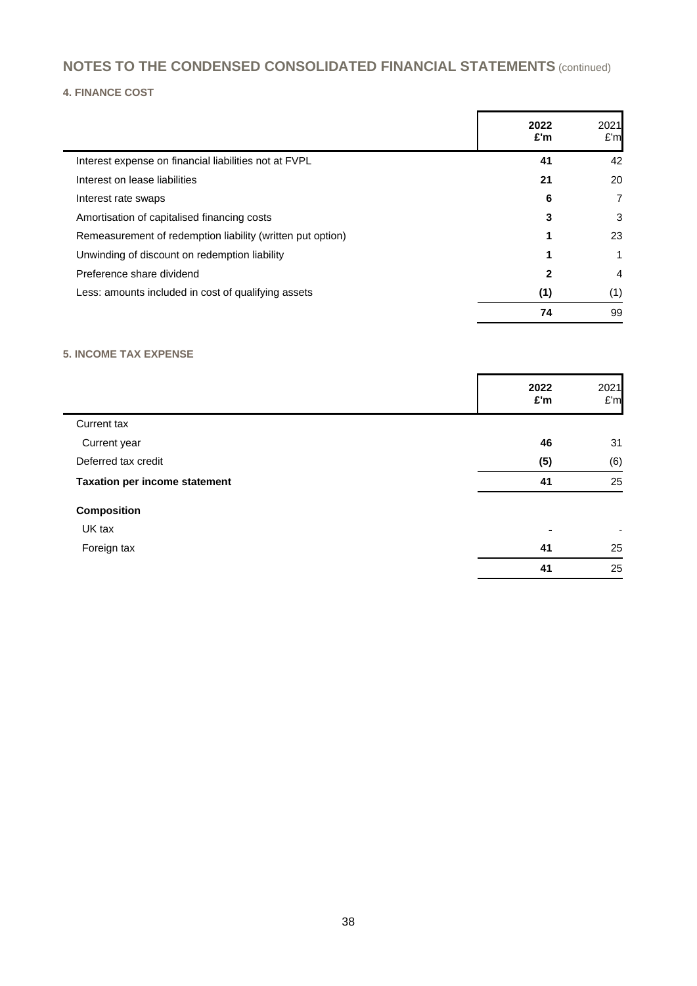## **4. FINANCE COST**

|                                                            | 2022<br>£'m | 2021<br>£'m    |
|------------------------------------------------------------|-------------|----------------|
| Interest expense on financial liabilities not at FVPL      | 41          | 42             |
| Interest on lease liabilities                              | 21          | 20             |
| Interest rate swaps                                        | 6           | 7              |
| Amortisation of capitalised financing costs                | 3           | 3              |
| Remeasurement of redemption liability (written put option) | 1           | 23             |
| Unwinding of discount on redemption liability              |             |                |
| Preference share dividend                                  | 2           | $\overline{4}$ |
| Less: amounts included in cost of qualifying assets        | (1)         | (1)            |
|                                                            | 74          | 99             |

# **5. INCOME TAX EXPENSE**

|                                      | 2022<br>£'m    | 2021<br>E'm              |
|--------------------------------------|----------------|--------------------------|
| Current tax                          |                |                          |
| Current year                         | 46             | 31                       |
| Deferred tax credit                  | (5)            | (6)                      |
| <b>Taxation per income statement</b> | 41             | 25                       |
| <b>Composition</b>                   |                |                          |
| UK tax                               | $\blacksquare$ | $\overline{\phantom{a}}$ |
| Foreign tax                          | 41             | 25                       |
|                                      | 41             | 25                       |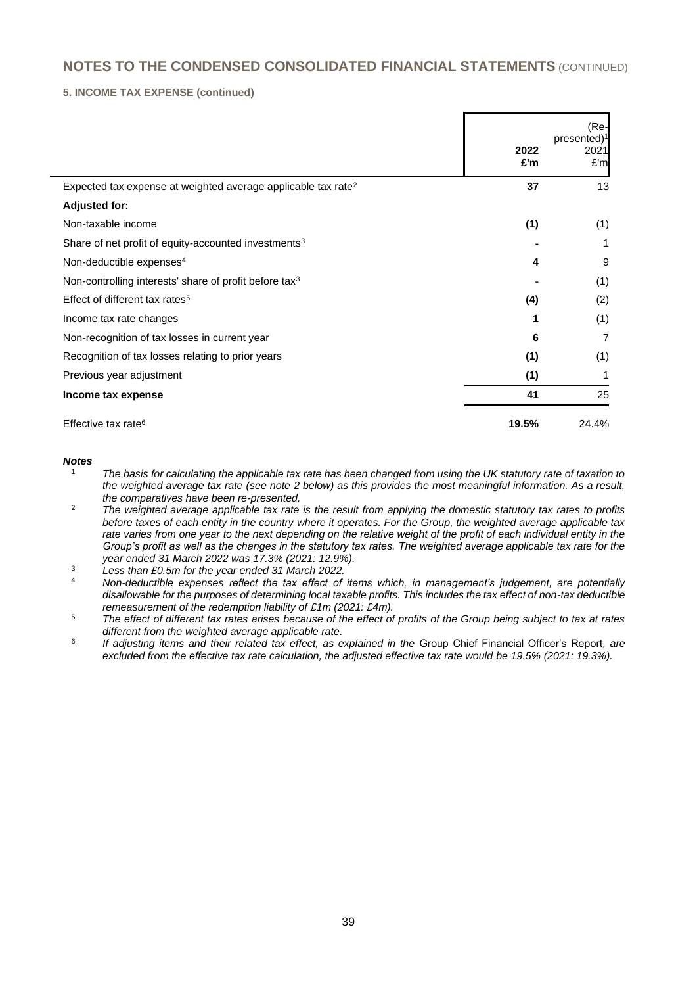#### **5. INCOME TAX EXPENSE (continued)**

|                                                                           | 2022<br>£'m | (Re-<br>presented) <sup>1</sup><br>2021<br>E'm |
|---------------------------------------------------------------------------|-------------|------------------------------------------------|
| Expected tax expense at weighted average applicable tax rate <sup>2</sup> | 37          | 13                                             |
| <b>Adjusted for:</b>                                                      |             |                                                |
| Non-taxable income                                                        | (1)         | (1)                                            |
| Share of net profit of equity-accounted investments <sup>3</sup>          |             | 1                                              |
| Non-deductible expenses <sup>4</sup>                                      | 4           | 9                                              |
| Non-controlling interests' share of profit before tax <sup>3</sup>        |             | (1)                                            |
| Effect of different tax rates <sup>5</sup>                                | (4)         | (2)                                            |
| Income tax rate changes                                                   |             | (1)                                            |
| Non-recognition of tax losses in current year                             | 6           | 7                                              |
| Recognition of tax losses relating to prior years                         | (1)         | (1)                                            |
| Previous year adjustment                                                  | (1)         | 1                                              |
| Income tax expense                                                        | 41          | 25                                             |
| Effective tax rate <sup>6</sup>                                           | 19.5%       | 24.4%                                          |

#### *Notes*

- <sup>1</sup> *The basis for calculating the applicable tax rate has been changed from using the UK statutory rate of taxation to the weighted average tax rate (see note 2 below) as this provides the most meaningful information. As a result, the comparatives have been re-presented.*
- <sup>2</sup> *The weighted average applicable tax rate is the result from applying the domestic statutory tax rates to profits before taxes of each entity in the country where it operates. For the Group, the weighted average applicable tax rate varies from one year to the next depending on the relative weight of the profit of each individual entity in the Group's profit as well as the changes in the statutory tax rates. The weighted average applicable tax rate for the year ended 31 March 2022 was 17.3% (2021: 12.9%).*
- <sup>3</sup> *Less than £0.5m for the year ended 31 March 2022.*
- <sup>4</sup> *Non-deductible expenses reflect the tax effect of items which, in management's judgement, are potentially disallowable for the purposes of determining local taxable profits. This includes the tax effect of non-tax deductible remeasurement of the redemption liability of £1m (2021: £4m).*
- <sup>5</sup> *The effect of different tax rates arises because of the effect of profits of the Group being subject to tax at rates different from the weighted average applicable rate.*
- 6 *If adjusting items and their related tax effect, as explained in the* Group Chief Financial Officer's Report*, are excluded from the effective tax rate calculation, the adjusted effective tax rate would be 19.5% (2021: 19.3%).*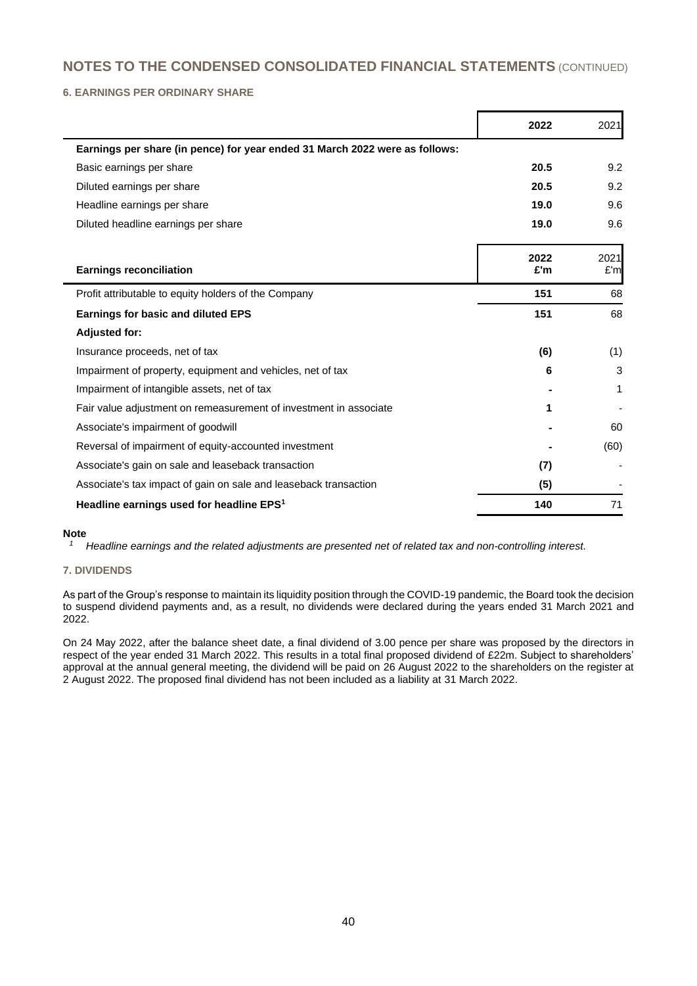**6. EARNINGS PER ORDINARY SHARE**

|                                                                             | 2022        | 2021        |
|-----------------------------------------------------------------------------|-------------|-------------|
| Earnings per share (in pence) for year ended 31 March 2022 were as follows: |             |             |
| Basic earnings per share                                                    | 20.5        | 9.2         |
| Diluted earnings per share                                                  | 20.5        | 9.2         |
| Headline earnings per share                                                 | 19.0        | 9.6         |
| Diluted headline earnings per share                                         | 19.0        | 9.6         |
| <b>Earnings reconciliation</b>                                              | 2022<br>£'m | 2021<br>£'m |
| Profit attributable to equity holders of the Company                        | 151         | 68          |
| <b>Earnings for basic and diluted EPS</b>                                   | 151         | 68          |
| <b>Adjusted for:</b>                                                        |             |             |
| Insurance proceeds, net of tax                                              | (6)         | (1)         |
| Impairment of property, equipment and vehicles, net of tax                  | 6           | 3           |
| Impairment of intangible assets, net of tax                                 |             | 1           |
| Fair value adjustment on remeasurement of investment in associate           | 1           |             |
| Associate's impairment of goodwill                                          |             | 60          |
| Reversal of impairment of equity-accounted investment                       |             | (60)        |
| Associate's gain on sale and leaseback transaction                          | (7)         |             |
| Associate's tax impact of gain on sale and leaseback transaction            | (5)         |             |
| Headline earnings used for headline EPS <sup>1</sup>                        | 140         | 71          |

#### **Note**

*<sup>1</sup> Headline earnings and the related adjustments are presented net of related tax and non-controlling interest.*

## **7. DIVIDENDS**

As part of the Group's response to maintain its liquidity position through the COVID-19 pandemic, the Board took the decision to suspend dividend payments and, as a result, no dividends were declared during the years ended 31 March 2021 and 2022.

On 24 May 2022, after the balance sheet date, a final dividend of 3.00 pence per share was proposed by the directors in respect of the year ended 31 March 2022. This results in a total final proposed dividend of £22m. Subject to shareholders' approval at the annual general meeting, the dividend will be paid on 26 August 2022 to the shareholders on the register at 2 August 2022. The proposed final dividend has not been included as a liability at 31 March 2022.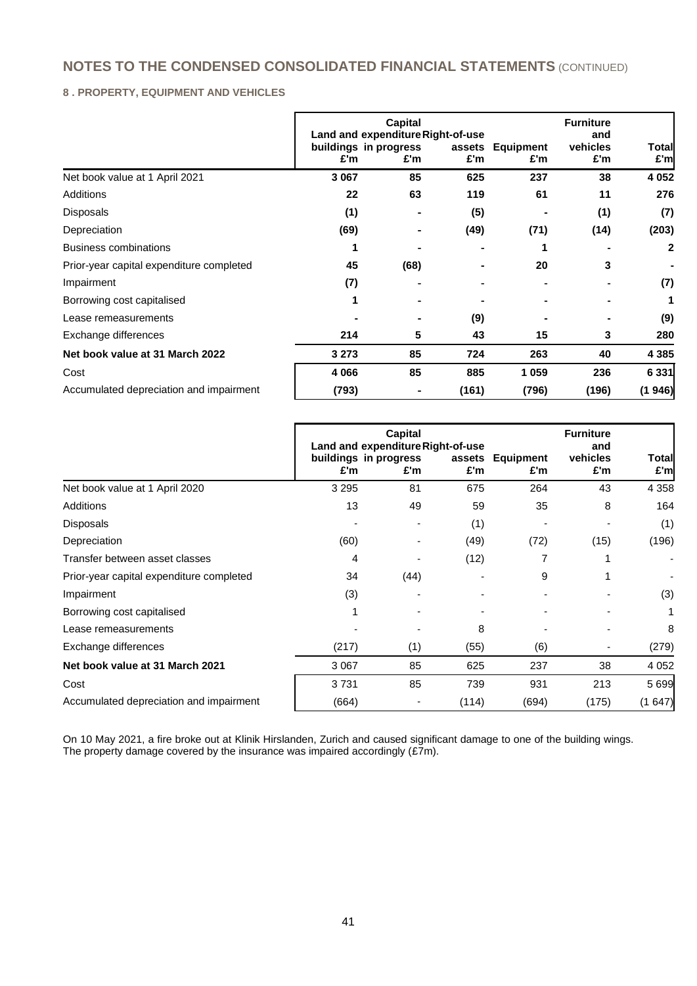## **8 . PROPERTY, EQUIPMENT AND VEHICLES**

|                                          |         | Capital<br>Land and expenditure Right-of-use |       |                         | <b>Furniture</b><br>and |              |
|------------------------------------------|---------|----------------------------------------------|-------|-------------------------|-------------------------|--------------|
|                                          | £'m     | buildings in progress<br>£'m                 | £'m   | assets Equipment<br>£'m | vehicles<br>£'m         | Total<br>£'m |
| Net book value at 1 April 2021           | 3 0 6 7 | 85                                           | 625   | 237                     | 38                      | 4 0 5 2      |
| Additions                                | 22      | 63                                           | 119   | 61                      | 11                      | 276          |
| Disposals                                | (1)     |                                              | (5)   |                         | (1)                     | (7)          |
| Depreciation                             | (69)    |                                              | (49)  | (71)                    | (14)                    | (203)        |
| <b>Business combinations</b>             |         |                                              |       |                         |                         | 2            |
| Prior-year capital expenditure completed | 45      | (68)                                         |       | 20                      | 3                       |              |
| Impairment                               | (7)     |                                              |       |                         |                         | (7)          |
| Borrowing cost capitalised               |         |                                              |       |                         |                         | 1            |
| Lease remeasurements                     |         |                                              | (9)   |                         |                         | (9)          |
| Exchange differences                     | 214     | 5                                            | 43    | 15                      | 3                       | 280          |
| Net book value at 31 March 2022          | 3 2 7 3 | 85                                           | 724   | 263                     | 40                      | 4 3 8 5      |
| Cost                                     | 4 0 6 6 | 85                                           | 885   | 1059                    | 236                     | 6 3 3 1      |
| Accumulated depreciation and impairment  | (793)   |                                              | (161) | (796)                   | (196)                   | (1946)       |

|                                          | Capital<br>Land and expenditure Right-of-use<br>buildings in progress<br>assets |      | <b>Equipment</b> | <b>Furniture</b><br>and<br>vehicles | <b>Total</b> |                              |
|------------------------------------------|---------------------------------------------------------------------------------|------|------------------|-------------------------------------|--------------|------------------------------|
|                                          | £'m                                                                             | £'m  | £'m              | £'m                                 | £'m          | £'m                          |
| Net book value at 1 April 2020           | 3 2 9 5                                                                         | 81   | 675              | 264                                 | 43           | 4 3 5 8                      |
| <b>Additions</b>                         | 13                                                                              | 49   | 59               | 35                                  | 8            | 164                          |
| <b>Disposals</b>                         |                                                                                 |      | (1)              |                                     |              | (1)                          |
| Depreciation                             | (60)                                                                            |      | (49)             | (72)                                | (15)         | (196)                        |
| Transfer between asset classes           | 4                                                                               |      | (12)             |                                     |              | $\qquad \qquad \blacksquare$ |
| Prior-year capital expenditure completed | 34                                                                              | (44) |                  | 9                                   |              |                              |
| Impairment                               | (3)                                                                             |      |                  |                                     |              | (3)                          |
| Borrowing cost capitalised               |                                                                                 |      |                  |                                     |              | 1                            |
| Lease remeasurements                     |                                                                                 |      | 8                |                                     |              | 8                            |
| Exchange differences                     | (217)                                                                           | (1)  | (55)             | (6)                                 |              | (279)                        |
| Net book value at 31 March 2021          | 3 0 6 7                                                                         | 85   | 625              | 237                                 | 38           | 4 0 5 2                      |
| Cost                                     | 3731                                                                            | 85   | 739              | 931                                 | 213          | 5 6 9 9                      |
| Accumulated depreciation and impairment  | (664)                                                                           |      | (114)            | (694)                               | (175)        | (1647)                       |

On 10 May 2021, a fire broke out at Klinik Hirslanden, Zurich and caused significant damage to one of the building wings. The property damage covered by the insurance was impaired accordingly (£7m).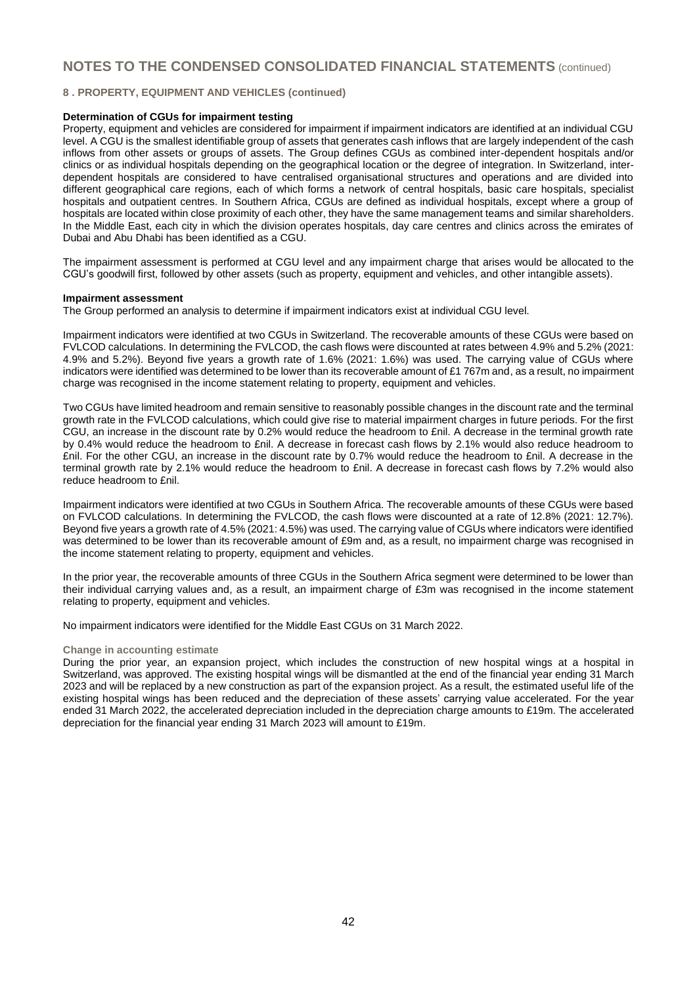#### **8 . PROPERTY, EQUIPMENT AND VEHICLES (continued)**

#### **Determination of CGUs for impairment testing**

Property, equipment and vehicles are considered for impairment if impairment indicators are identified at an individual CGU level. A CGU is the smallest identifiable group of assets that generates cash inflows that are largely independent of the cash inflows from other assets or groups of assets. The Group defines CGUs as combined inter-dependent hospitals and/or clinics or as individual hospitals depending on the geographical location or the degree of integration. In Switzerland, interdependent hospitals are considered to have centralised organisational structures and operations and are divided into different geographical care regions, each of which forms a network of central hospitals, basic care hospitals, specialist hospitals and outpatient centres. In Southern Africa, CGUs are defined as individual hospitals, except where a group of hospitals are located within close proximity of each other, they have the same management teams and similar shareholders. In the Middle East, each city in which the division operates hospitals, day care centres and clinics across the emirates of Dubai and Abu Dhabi has been identified as a CGU.

The impairment assessment is performed at CGU level and any impairment charge that arises would be allocated to the CGU's goodwill first, followed by other assets (such as property, equipment and vehicles, and other intangible assets).

#### **Impairment assessment**

The Group performed an analysis to determine if impairment indicators exist at individual CGU level.

Impairment indicators were identified at two CGUs in Switzerland. The recoverable amounts of these CGUs were based on FVLCOD calculations. In determining the FVLCOD, the cash flows were discounted at rates between 4.9% and 5.2% (2021: 4.9% and 5.2%). Beyond five years a growth rate of 1.6% (2021: 1.6%) was used. The carrying value of CGUs where indicators were identified was determined to be lower than its recoverable amount of £1 767m and, as a result, no impairment charge was recognised in the income statement relating to property, equipment and vehicles.

Two CGUs have limited headroom and remain sensitive to reasonably possible changes in the discount rate and the terminal growth rate in the FVLCOD calculations, which could give rise to material impairment charges in future periods. For the first CGU, an increase in the discount rate by 0.2% would reduce the headroom to £nil. A decrease in the terminal growth rate by 0.4% would reduce the headroom to £nil. A decrease in forecast cash flows by 2.1% would also reduce headroom to £nil. For the other CGU, an increase in the discount rate by 0.7% would reduce the headroom to £nil. A decrease in the terminal growth rate by 2.1% would reduce the headroom to £nil. A decrease in forecast cash flows by 7.2% would also reduce headroom to £nil.

Impairment indicators were identified at two CGUs in Southern Africa. The recoverable amounts of these CGUs were based on FVLCOD calculations. In determining the FVLCOD, the cash flows were discounted at a rate of 12.8% (2021: 12.7%). Beyond five years a growth rate of 4.5% (2021: 4.5%) was used. The carrying value of CGUs where indicators were identified was determined to be lower than its recoverable amount of £9m and, as a result, no impairment charge was recognised in the income statement relating to property, equipment and vehicles.

In the prior year, the recoverable amounts of three CGUs in the Southern Africa segment were determined to be lower than their individual carrying values and, as a result, an impairment charge of £3m was recognised in the income statement relating to property, equipment and vehicles.

No impairment indicators were identified for the Middle East CGUs on 31 March 2022.

#### **Change in accounting estimate**

During the prior year, an expansion project, which includes the construction of new hospital wings at a hospital in Switzerland, was approved. The existing hospital wings will be dismantled at the end of the financial year ending 31 March 2023 and will be replaced by a new construction as part of the expansion project. As a result, the estimated useful life of the existing hospital wings has been reduced and the depreciation of these assets' carrying value accelerated. For the year ended 31 March 2022, the accelerated depreciation included in the depreciation charge amounts to £19m. The accelerated depreciation for the financial year ending 31 March 2023 will amount to £19m.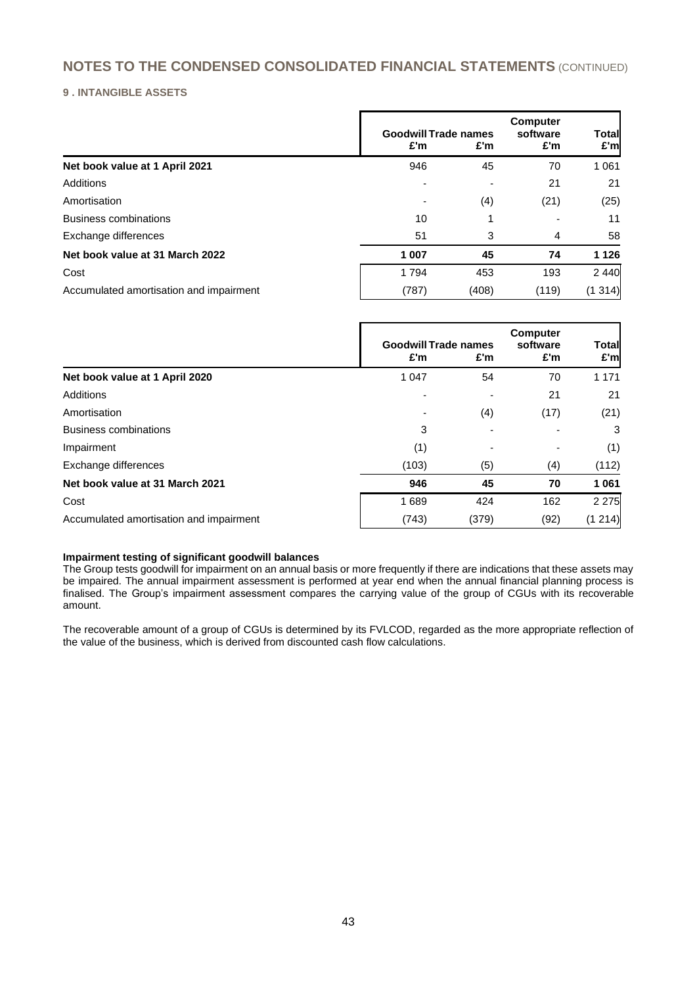## **9 . INTANGIBLE ASSETS**

|                                         | <b>Goodwill Trade names</b><br>£'m | £'m   | <b>Computer</b><br>software<br>£'m | Total<br>£'m |
|-----------------------------------------|------------------------------------|-------|------------------------------------|--------------|
| Net book value at 1 April 2021          | 946                                | 45    | 70                                 | 1 0 6 1      |
| Additions                               |                                    |       | 21                                 | 21           |
| Amortisation                            |                                    | (4)   | (21)                               | (25)         |
| <b>Business combinations</b>            | 10                                 |       |                                    | 11           |
| Exchange differences                    | 51                                 | 3     | 4                                  | 58           |
| Net book value at 31 March 2022         | 1 007                              | 45    | 74                                 | 1 1 2 6      |
| Cost                                    | 1794                               | 453   | 193                                | 2 4 4 0      |
| Accumulated amortisation and impairment | (787)                              | (408) | (119)                              | (1314)       |

|                                         | £'m                      | <b>Goodwill Trade names</b><br>£'m | <b>Computer</b><br>software<br>£'m | <b>Total</b><br>£'m |
|-----------------------------------------|--------------------------|------------------------------------|------------------------------------|---------------------|
| Net book value at 1 April 2020          | 1 0 4 7                  | 54                                 | 70                                 | 1 1 7 1             |
| Additions                               | $\overline{\phantom{a}}$ |                                    | 21                                 | 21                  |
| Amortisation                            |                          | (4)                                | (17)                               | (21)                |
| <b>Business combinations</b>            | 3                        |                                    |                                    | 3                   |
| Impairment                              | (1)                      | ۰                                  |                                    | (1)                 |
| Exchange differences                    | (103)                    | (5)                                | (4)                                | (112)               |
| Net book value at 31 March 2021         | 946                      | 45                                 | 70                                 | 1 0 6 1             |
| Cost                                    | 1689                     | 424                                | 162                                | 2 2 7 5             |
| Accumulated amortisation and impairment | (743)                    | (379)                              | (92)                               | (1214)              |

#### **Impairment testing of significant goodwill balances**

The Group tests goodwill for impairment on an annual basis or more frequently if there are indications that these assets may be impaired. The annual impairment assessment is performed at year end when the annual financial planning process is finalised. The Group's impairment assessment compares the carrying value of the group of CGUs with its recoverable amount.

The recoverable amount of a group of CGUs is determined by its FVLCOD, regarded as the more appropriate reflection of the value of the business, which is derived from discounted cash flow calculations.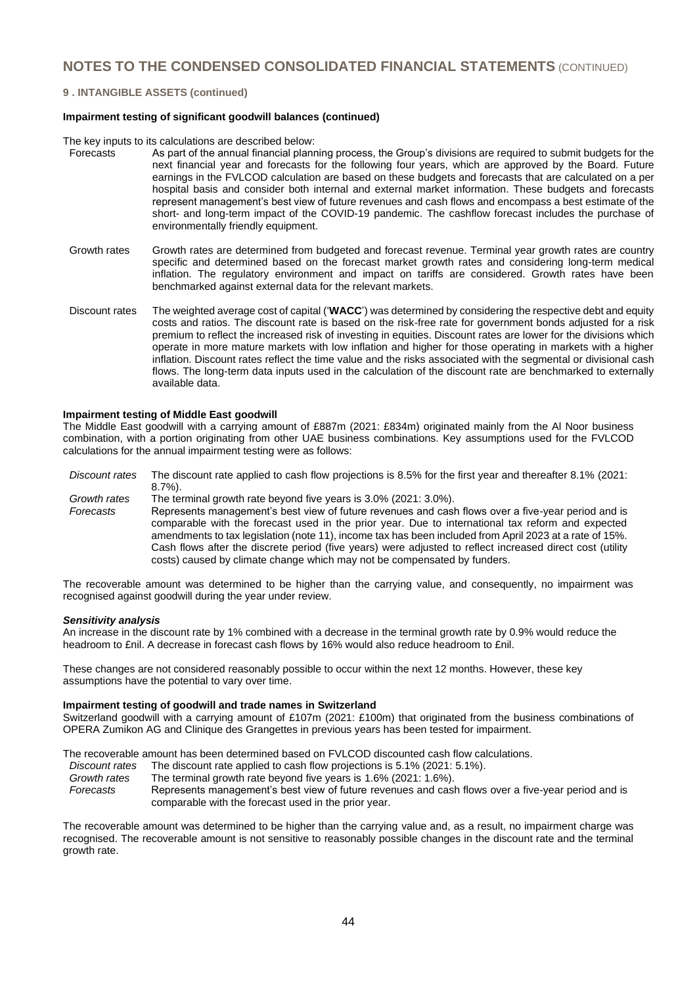#### **9 . INTANGIBLE ASSETS (continued)**

#### **Impairment testing of significant goodwill balances (continued)**

The key inputs to its calculations are described below:<br>Forecasts As part of the annual financial plann

- As part of the annual financial planning process, the Group's divisions are required to submit budgets for the next financial year and forecasts for the following four years, which are approved by the Board. Future earnings in the FVLCOD calculation are based on these budgets and forecasts that are calculated on a per hospital basis and consider both internal and external market information. These budgets and forecasts represent management's best view of future revenues and cash flows and encompass a best estimate of the short- and long-term impact of the COVID-19 pandemic. The cashflow forecast includes the purchase of environmentally friendly equipment.
- Growth rates Growth rates are determined from budgeted and forecast revenue. Terminal year growth rates are country specific and determined based on the forecast market growth rates and considering long-term medical inflation. The regulatory environment and impact on tariffs are considered. Growth rates have been benchmarked against external data for the relevant markets.
- Discount rates The weighted average cost of capital ('**WACC**') was determined by considering the respective debt and equity costs and ratios. The discount rate is based on the risk-free rate for government bonds adjusted for a risk premium to reflect the increased risk of investing in equities. Discount rates are lower for the divisions which operate in more mature markets with low inflation and higher for those operating in markets with a higher inflation. Discount rates reflect the time value and the risks associated with the segmental or divisional cash flows. The long-term data inputs used in the calculation of the discount rate are benchmarked to externally available data.

#### **Impairment testing of Middle East goodwill**

The Middle East goodwill with a carrying amount of £887m (2021: £834m) originated mainly from the Al Noor business combination, with a portion originating from other UAE business combinations. Key assumptions used for the FVLCOD calculations for the annual impairment testing were as follows:

*Discount rates* The discount rate applied to cash flow projections is 8.5% for the first year and thereafter 8.1% (2021: 8.7%). *Growth rates* The terminal growth rate beyond five years is 3.0% (2021: 3.0%). *Forecasts* Represents management's best view of future revenues and cash flows over a five-year period and is

comparable with the forecast used in the prior year. Due to international tax reform and expected amendments to tax legislation (note 11), income tax has been included from April 2023 at a rate of 15%. Cash flows after the discrete period (five years) were adjusted to reflect increased direct cost (utility costs) caused by climate change which may not be compensated by funders.

The recoverable amount was determined to be higher than the carrying value, and consequently, no impairment was recognised against goodwill during the year under review.

#### *Sensitivity analysis*

An increase in the discount rate by 1% combined with a decrease in the terminal growth rate by 0.9% would reduce the headroom to £nil. A decrease in forecast cash flows by 16% would also reduce headroom to £nil.

These changes are not considered reasonably possible to occur within the next 12 months. However, these key assumptions have the potential to vary over time.

#### **Impairment testing of goodwill and trade names in Switzerland**

Switzerland goodwill with a carrying amount of £107m (2021: £100m) that originated from the business combinations of OPERA Zumikon AG and Clinique des Grangettes in previous years has been tested for impairment.

The recoverable amount has been determined based on FVLCOD discounted cash flow calculations.

- *Discount rates* The discount rate applied to cash flow projections is 5.1% (2021: 5.1%).
- *Growth rates* The terminal growth rate beyond five years is 1.6% (2021: 1.6%). *Forecasts* Represents management's best view of future revenues and cash flows over a five-year period and is comparable with the forecast used in the prior year.

The recoverable amount was determined to be higher than the carrying value and, as a result, no impairment charge was recognised. The recoverable amount is not sensitive to reasonably possible changes in the discount rate and the terminal growth rate.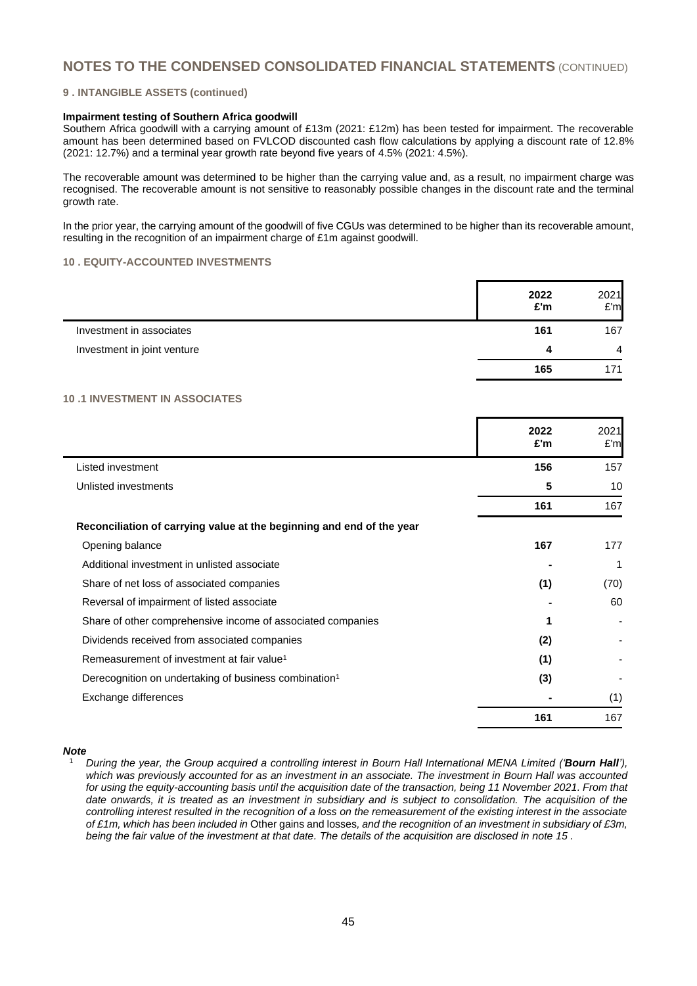#### **9 . INTANGIBLE ASSETS (continued)**

#### **Impairment testing of Southern Africa goodwill**

Southern Africa goodwill with a carrying amount of £13m (2021: £12m) has been tested for impairment. The recoverable amount has been determined based on FVLCOD discounted cash flow calculations by applying a discount rate of 12.8% (2021: 12.7%) and a terminal year growth rate beyond five years of 4.5% (2021: 4.5%).

The recoverable amount was determined to be higher than the carrying value and, as a result, no impairment charge was recognised. The recoverable amount is not sensitive to reasonably possible changes in the discount rate and the terminal growth rate.

In the prior year, the carrying amount of the goodwill of five CGUs was determined to be higher than its recoverable amount, resulting in the recognition of an impairment charge of £1m against goodwill.

### **10 . EQUITY-ACCOUNTED INVESTMENTS**

|                             | 2022<br>£'m | 2021<br>E'm    |
|-----------------------------|-------------|----------------|
| Investment in associates    | 161         | 167            |
| Investment in joint venture | 4           | $\overline{4}$ |
|                             | 165         | 171            |

#### **10 .1 INVESTMENT IN ASSOCIATES**

|                                                                       | 2022<br>£'m | 2021<br>E'm |
|-----------------------------------------------------------------------|-------------|-------------|
| Listed investment                                                     | 156         | 157         |
| Unlisted investments                                                  | 5           | 10          |
|                                                                       | 161         | 167         |
| Reconciliation of carrying value at the beginning and end of the year |             |             |
| Opening balance                                                       | 167         | 177         |
| Additional investment in unlisted associate                           |             |             |
| Share of net loss of associated companies                             | (1)         | (70)        |
| Reversal of impairment of listed associate                            |             | 60          |
| Share of other comprehensive income of associated companies           |             |             |
| Dividends received from associated companies                          | (2)         |             |
| Remeasurement of investment at fair value <sup>1</sup>                | (1)         |             |
| Derecognition on undertaking of business combination <sup>1</sup>     | (3)         |             |
| Exchange differences                                                  |             | (1)         |
|                                                                       | 161         | 167         |

#### *Note*

<sup>1</sup> *During the year, the Group acquired a controlling interest in Bourn Hall International MENA Limited ('Bourn Hall'), which was previously accounted for as an investment in an associate. The investment in Bourn Hall was accounted for using the equity-accounting basis until the acquisition date of the transaction, being 11 November 2021. From that*  date onwards, it is treated as an investment in subsidiary and is subject to consolidation. The acquisition of the *controlling interest resulted in the recognition of a loss on the remeasurement of the existing interest in the associate of £1m, which has been included in* Other gains and losses*, and the recognition of an investment in subsidiary of £3m, being the fair value of the investment at that date. The details of the acquisition are disclosed in note 15 .*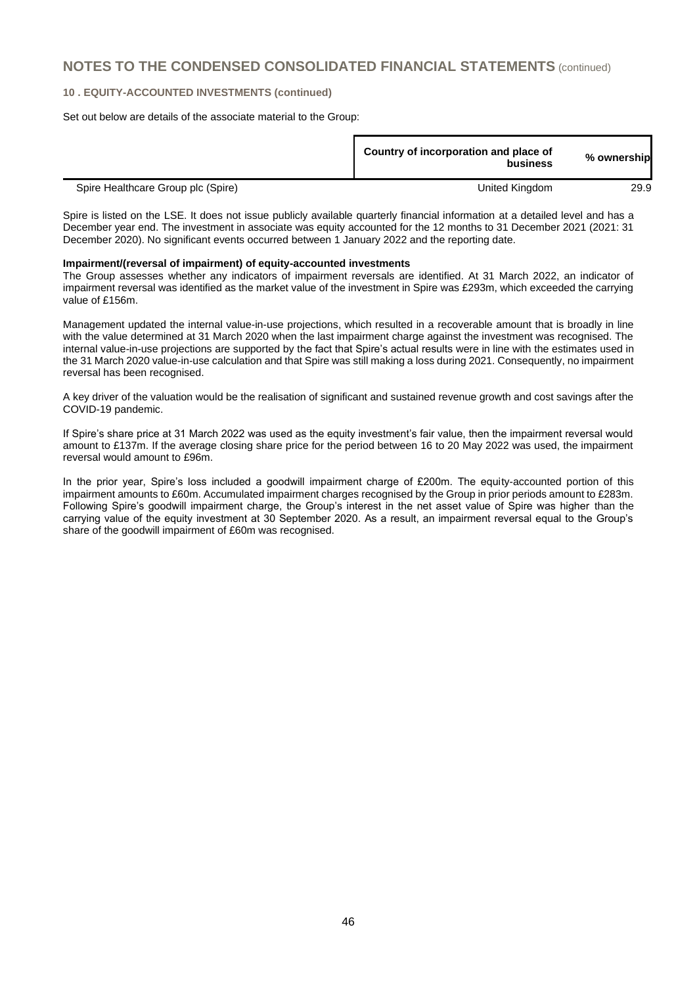#### **10 . EQUITY-ACCOUNTED INVESTMENTS (continued)**

Set out below are details of the associate material to the Group:

|                                    | Country of incorporation and place of<br>business | % ownership |
|------------------------------------|---------------------------------------------------|-------------|
| Spire Healthcare Group plc (Spire) | United Kingdom                                    | 29.9        |

Spire is listed on the LSE. It does not issue publicly available quarterly financial information at a detailed level and has a December year end. The investment in associate was equity accounted for the 12 months to 31 December 2021 (2021: 31 December 2020). No significant events occurred between 1 January 2022 and the reporting date.

#### **Impairment/(reversal of impairment) of equity-accounted investments**

The Group assesses whether any indicators of impairment reversals are identified. At 31 March 2022, an indicator of impairment reversal was identified as the market value of the investment in Spire was £293m, which exceeded the carrying value of £156m.

Management updated the internal value-in-use projections, which resulted in a recoverable amount that is broadly in line with the value determined at 31 March 2020 when the last impairment charge against the investment was recognised. The internal value-in-use projections are supported by the fact that Spire's actual results were in line with the estimates used in the 31 March 2020 value-in-use calculation and that Spire was still making a loss during 2021. Consequently, no impairment reversal has been recognised.

A key driver of the valuation would be the realisation of significant and sustained revenue growth and cost savings after the COVID-19 pandemic.

If Spire's share price at 31 March 2022 was used as the equity investment's fair value, then the impairment reversal would amount to £137m. If the average closing share price for the period between 16 to 20 May 2022 was used, the impairment reversal would amount to £96m.

In the prior year, Spire's loss included a goodwill impairment charge of £200m. The equity-accounted portion of this impairment amounts to £60m. Accumulated impairment charges recognised by the Group in prior periods amount to £283m. Following Spire's goodwill impairment charge, the Group's interest in the net asset value of Spire was higher than the carrying value of the equity investment at 30 September 2020. As a result, an impairment reversal equal to the Group's share of the goodwill impairment of £60m was recognised.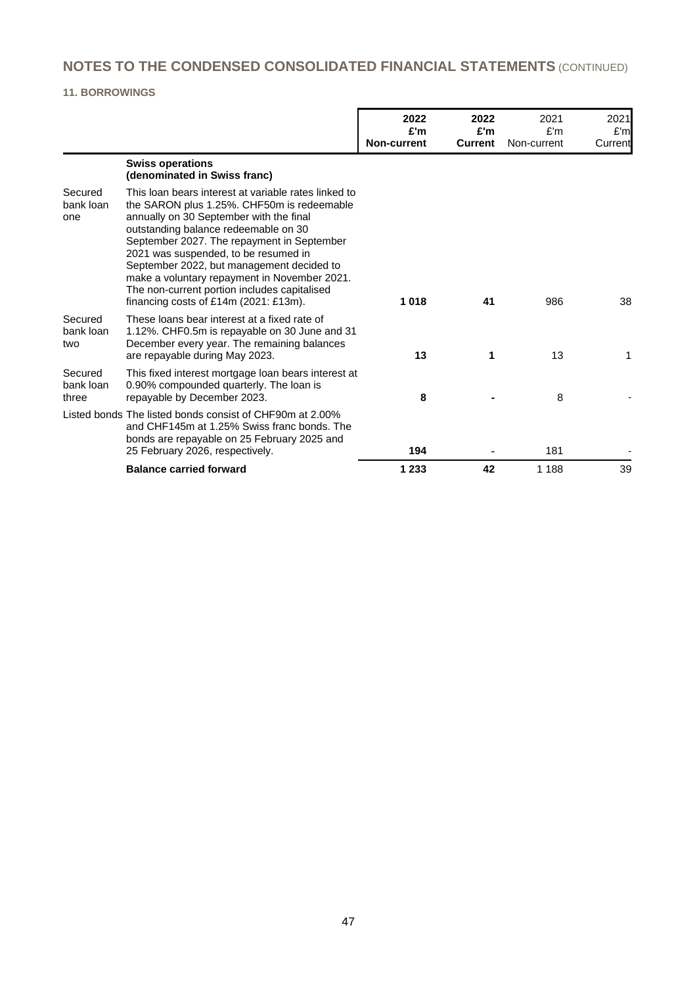# **11. BORROWINGS**

|                               |                                                                                                                                                                                                                                                                                                                                                                                                                                                                     | 2022<br>£'m<br><b>Non-current</b> | 2022<br>£'m<br><b>Current</b> | 2021<br>E'm<br>Non-current | 2021<br>E'm<br>Current |
|-------------------------------|---------------------------------------------------------------------------------------------------------------------------------------------------------------------------------------------------------------------------------------------------------------------------------------------------------------------------------------------------------------------------------------------------------------------------------------------------------------------|-----------------------------------|-------------------------------|----------------------------|------------------------|
|                               | <b>Swiss operations</b><br>(denominated in Swiss franc)                                                                                                                                                                                                                                                                                                                                                                                                             |                                   |                               |                            |                        |
| Secured<br>bank loan<br>one   | This loan bears interest at variable rates linked to<br>the SARON plus 1.25%. CHF50m is redeemable<br>annually on 30 September with the final<br>outstanding balance redeemable on 30<br>September 2027. The repayment in September<br>2021 was suspended, to be resumed in<br>September 2022, but management decided to<br>make a voluntary repayment in November 2021.<br>The non-current portion includes capitalised<br>financing costs of $£14m$ (2021: £13m). | 1018                              | 41                            | 986                        | 38                     |
| Secured<br>bank loan<br>two   | These loans bear interest at a fixed rate of<br>1.12%. CHF0.5m is repayable on 30 June and 31<br>December every year. The remaining balances<br>are repayable during May 2023.                                                                                                                                                                                                                                                                                      | 13                                | 1                             | 13                         | 1                      |
| Secured<br>bank loan<br>three | This fixed interest mortgage loan bears interest at<br>0.90% compounded quarterly. The loan is<br>repayable by December 2023.                                                                                                                                                                                                                                                                                                                                       | 8                                 |                               | 8                          |                        |
|                               | Listed bonds The listed bonds consist of CHF90m at 2.00%<br>and CHF145m at 1.25% Swiss franc bonds. The<br>bonds are repayable on 25 February 2025 and<br>25 February 2026, respectively.                                                                                                                                                                                                                                                                           | 194                               |                               | 181                        |                        |
|                               | <b>Balance carried forward</b>                                                                                                                                                                                                                                                                                                                                                                                                                                      | 1 2 3 3                           | 42                            | 1 1 8 8                    | 39                     |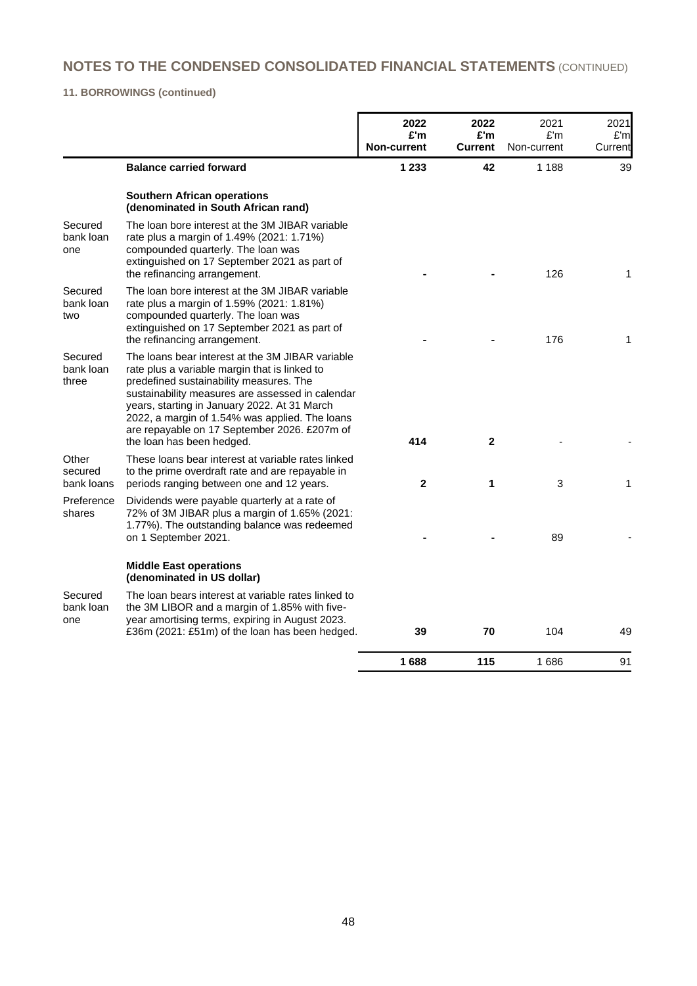# **11. BORROWINGS (continued)**

|                                |                                                                                                                                                                                                                                                                                                                                                                                 | 2022<br>£'m<br><b>Non-current</b> | 2022<br>£'m<br><b>Current</b> | 2021<br>£'m<br>Non-current | 2021<br>£'ml<br>Current |
|--------------------------------|---------------------------------------------------------------------------------------------------------------------------------------------------------------------------------------------------------------------------------------------------------------------------------------------------------------------------------------------------------------------------------|-----------------------------------|-------------------------------|----------------------------|-------------------------|
|                                | <b>Balance carried forward</b>                                                                                                                                                                                                                                                                                                                                                  | 1 2 3 3                           | 42                            | 1 1 8 8                    | 39                      |
|                                | <b>Southern African operations</b><br>(denominated in South African rand)                                                                                                                                                                                                                                                                                                       |                                   |                               |                            |                         |
| Secured<br>bank loan<br>one    | The loan bore interest at the 3M JIBAR variable<br>rate plus a margin of 1.49% (2021: 1.71%)<br>compounded quarterly. The loan was<br>extinguished on 17 September 2021 as part of<br>the refinancing arrangement.                                                                                                                                                              |                                   |                               | 126                        | 1                       |
| Secured<br>bank loan<br>two    | The loan bore interest at the 3M JIBAR variable<br>rate plus a margin of 1.59% (2021: 1.81%)<br>compounded quarterly. The loan was<br>extinguished on 17 September 2021 as part of<br>the refinancing arrangement.                                                                                                                                                              |                                   |                               | 176                        | 1                       |
| Secured<br>bank loan<br>three  | The loans bear interest at the 3M JIBAR variable<br>rate plus a variable margin that is linked to<br>predefined sustainability measures. The<br>sustainability measures are assessed in calendar<br>years, starting in January 2022. At 31 March<br>2022, a margin of 1.54% was applied. The loans<br>are repayable on 17 September 2026. £207m of<br>the loan has been hedged. | 414                               | $\mathbf{2}$                  |                            |                         |
| Other<br>secured<br>bank loans | These loans bear interest at variable rates linked<br>to the prime overdraft rate and are repayable in<br>periods ranging between one and 12 years.                                                                                                                                                                                                                             | $\overline{2}$                    | 1                             | 3                          | 1                       |
| Preference<br>shares           | Dividends were payable quarterly at a rate of<br>72% of 3M JIBAR plus a margin of 1.65% (2021:<br>1.77%). The outstanding balance was redeemed<br>on 1 September 2021.                                                                                                                                                                                                          |                                   |                               | 89                         |                         |
|                                | <b>Middle East operations</b><br>(denominated in US dollar)                                                                                                                                                                                                                                                                                                                     |                                   |                               |                            |                         |
| Secured<br>bank loan<br>one    | The loan bears interest at variable rates linked to<br>the 3M LIBOR and a margin of 1.85% with five-<br>year amortising terms, expiring in August 2023.<br>£36m (2021: £51m) of the loan has been hedged.                                                                                                                                                                       | 39                                | 70                            | 104                        | 49                      |
|                                |                                                                                                                                                                                                                                                                                                                                                                                 | 1688                              | 115                           | 1686                       | 91                      |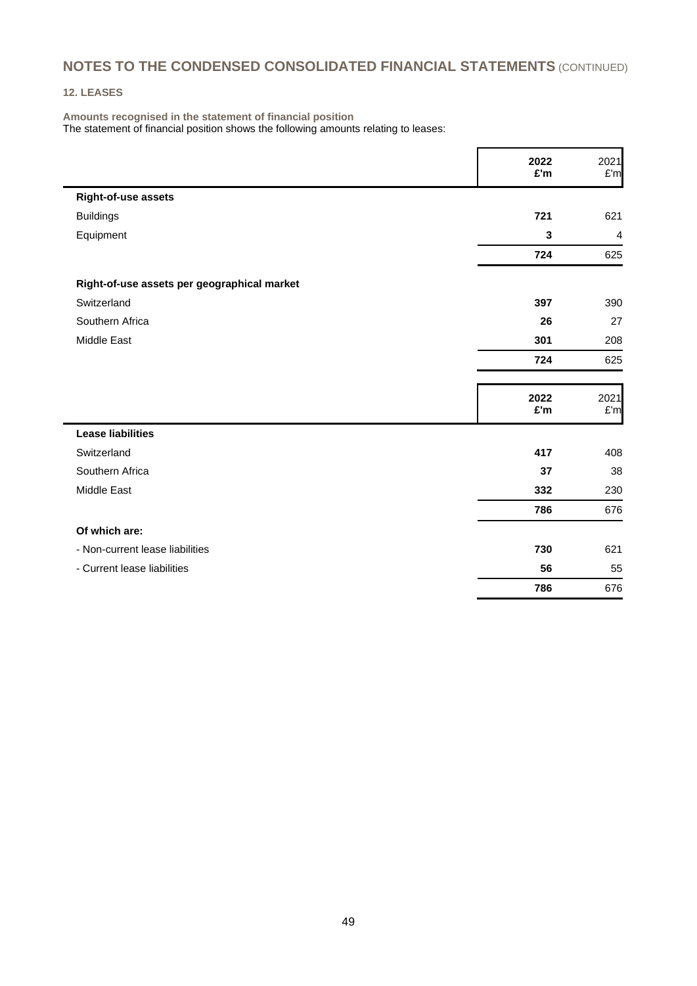## **12. LEASES**

**Amounts recognised in the statement of financial position** The statement of financial position shows the following amounts relating to leases:

|                                             | 2022<br>£'m | 2021<br>E'm    |
|---------------------------------------------|-------------|----------------|
| Right-of-use assets                         |             |                |
| <b>Buildings</b>                            | 721         | 621            |
| Equipment                                   | 3           | $\overline{4}$ |
|                                             | 724         | 625            |
| Right-of-use assets per geographical market |             |                |
| Switzerland                                 | 397         | 390            |
| Southern Africa                             | 26          | 27             |
| Middle East                                 | 301         | 208            |
|                                             | 724         | 625            |
|                                             | 2022<br>£'m | 2021<br>E'm    |
| <b>Lease liabilities</b>                    |             |                |
| Switzerland                                 | 417         | 408            |
| Southern Africa                             | 37          | 38             |
| Middle East                                 | 332         | 230            |
|                                             | 786         | 676            |
| Of which are:                               |             |                |
| - Non-current lease liabilities             | 730         | 621            |
| - Current lease liabilities                 | 56          | 55             |
|                                             | 786         | 676            |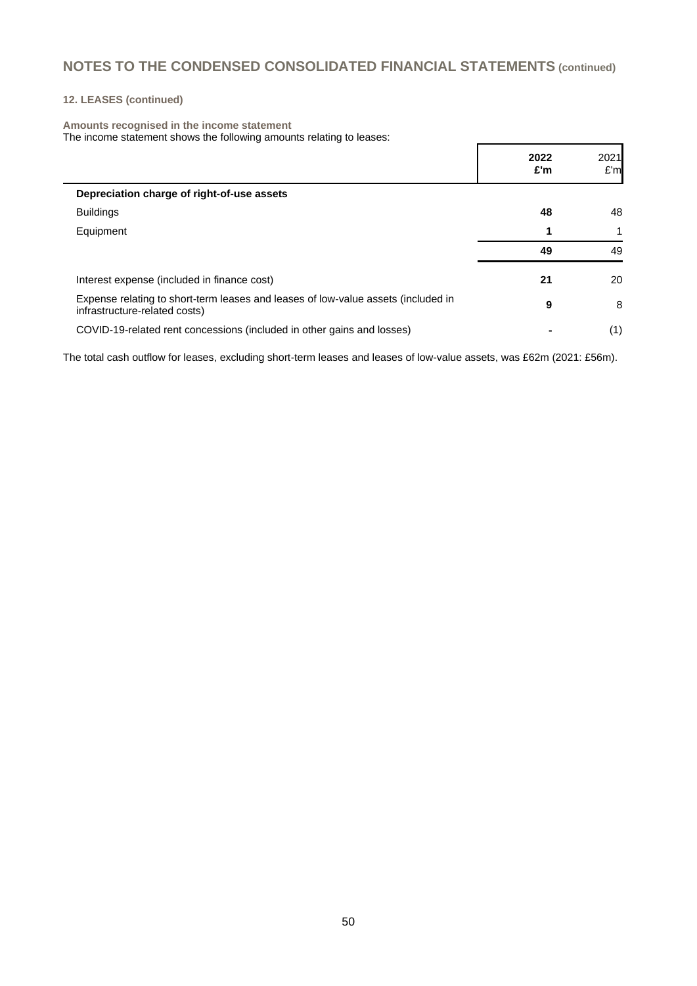## **12. LEASES (continued)**

#### **Amounts recognised in the income statement**

The income statement shows the following amounts relating to leases:

|                                                                                                                    | 2022<br>£'m | 2021<br>E'm |
|--------------------------------------------------------------------------------------------------------------------|-------------|-------------|
| Depreciation charge of right-of-use assets                                                                         |             |             |
| <b>Buildings</b>                                                                                                   | 48          | 48          |
| Equipment                                                                                                          |             | 1           |
|                                                                                                                    | 49          | 49          |
| Interest expense (included in finance cost)                                                                        | 21          | 20          |
| Expense relating to short-term leases and leases of low-value assets (included in<br>infrastructure-related costs) | 9           | 8           |
| COVID-19-related rent concessions (included in other gains and losses)                                             |             | (1)         |

The total cash outflow for leases, excluding short-term leases and leases of low-value assets, was £62m (2021: £56m).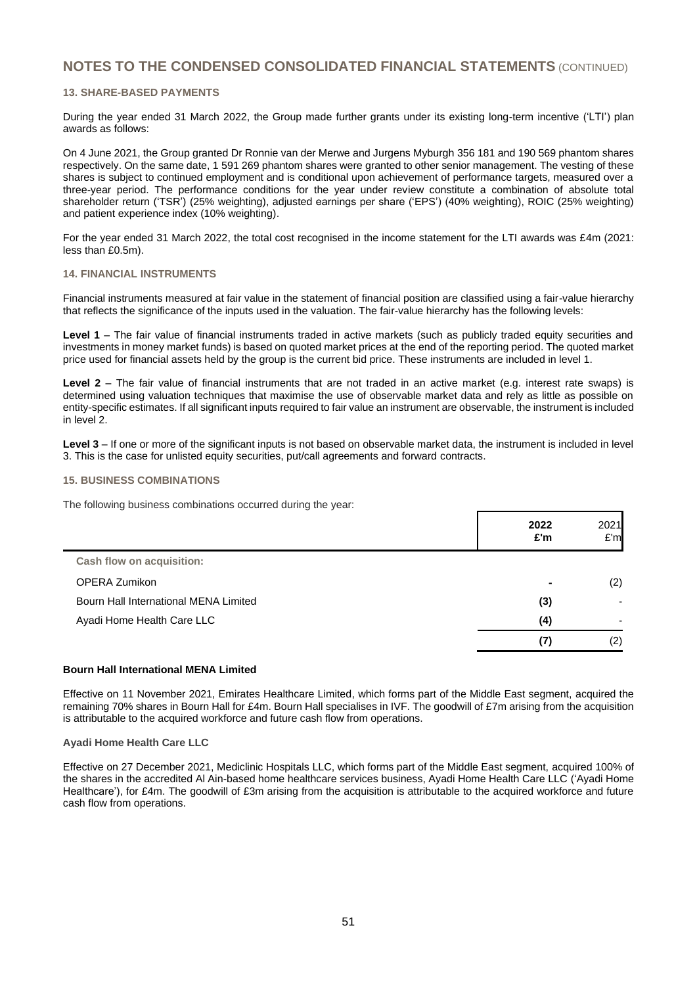#### **13. SHARE-BASED PAYMENTS**

During the year ended 31 March 2022, the Group made further grants under its existing long-term incentive ('LTI') plan awards as follows:

On 4 June 2021, the Group granted Dr Ronnie van der Merwe and Jurgens Myburgh 356 181 and 190 569 phantom shares respectively. On the same date, 1 591 269 phantom shares were granted to other senior management. The vesting of these shares is subject to continued employment and is conditional upon achievement of performance targets, measured over a three-year period. The performance conditions for the year under review constitute a combination of absolute total shareholder return ('TSR') (25% weighting), adjusted earnings per share ('EPS') (40% weighting), ROIC (25% weighting) and patient experience index (10% weighting).

For the year ended 31 March 2022, the total cost recognised in the income statement for the LTI awards was £4m (2021: less than £0.5m).

#### **14. FINANCIAL INSTRUMENTS**

Financial instruments measured at fair value in the statement of financial position are classified using a fair-value hierarchy that reflects the significance of the inputs used in the valuation. The fair-value hierarchy has the following levels:

**Level 1** – The fair value of financial instruments traded in active markets (such as publicly traded equity securities and investments in money market funds) is based on quoted market prices at the end of the reporting period. The quoted market price used for financial assets held by the group is the current bid price. These instruments are included in level 1.

**Level 2** – The fair value of financial instruments that are not traded in an active market (e.g. interest rate swaps) is determined using valuation techniques that maximise the use of observable market data and rely as little as possible on entity-specific estimates. If all significant inputs required to fair value an instrument are observable, the instrument is included in level 2.

Level 3 – If one or more of the significant inputs is not based on observable market data, the instrument is included in level 3. This is the case for unlisted equity securities, put/call agreements and forward contracts.

#### **15. BUSINESS COMBINATIONS**

The following business combinations occurred during the year:

|                                       | 2022<br>£'m | 2021<br>E'm |
|---------------------------------------|-------------|-------------|
| <b>Cash flow on acquisition:</b>      |             |             |
| <b>OPERA Zumikon</b>                  |             | (2)         |
| Bourn Hall International MENA Limited | (3)         |             |
| Ayadi Home Health Care LLC            | (4)         |             |
|                                       | (7)         | (2)         |

#### **Bourn Hall International MENA Limited**

Effective on 11 November 2021, Emirates Healthcare Limited, which forms part of the Middle East segment, acquired the remaining 70% shares in Bourn Hall for £4m. Bourn Hall specialises in IVF. The goodwill of £7m arising from the acquisition is attributable to the acquired workforce and future cash flow from operations.

#### **Ayadi Home Health Care LLC**

Effective on 27 December 2021, Mediclinic Hospitals LLC, which forms part of the Middle East segment, acquired 100% of the shares in the accredited Al Ain-based home healthcare services business, Ayadi Home Health Care LLC ('Ayadi Home Healthcare'), for £4m. The goodwill of £3m arising from the acquisition is attributable to the acquired workforce and future cash flow from operations.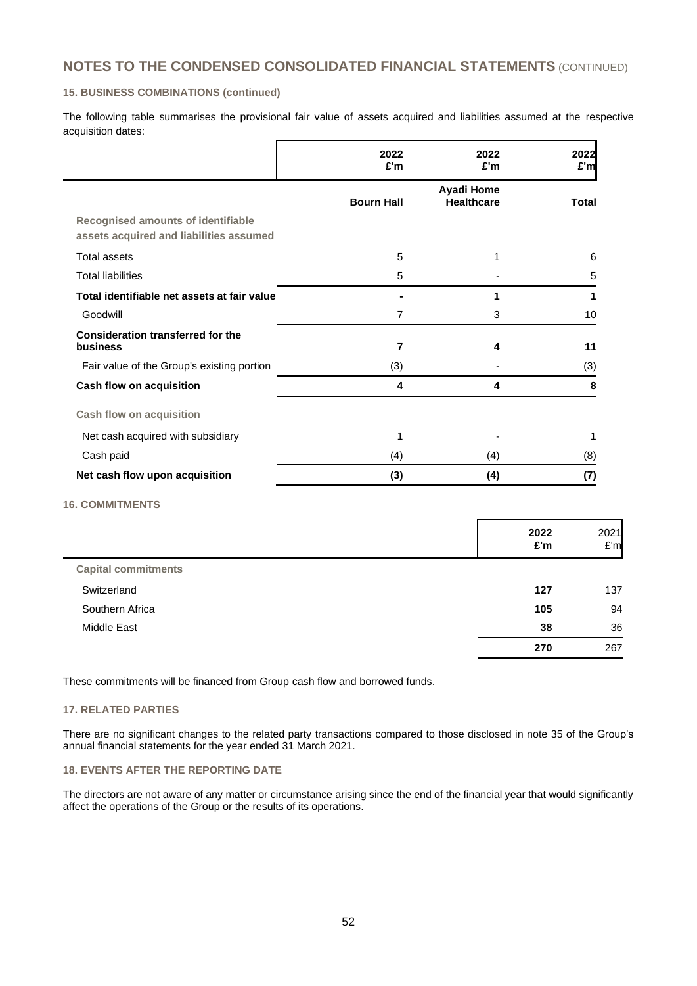#### **15. BUSINESS COMBINATIONS (continued)**

The following table summarises the provisional fair value of assets acquired and liabilities assumed at the respective acquisition dates:

|                                                                                      | 2022<br>£'m       | 2022<br>£'m                     | 2022<br>£'m  |
|--------------------------------------------------------------------------------------|-------------------|---------------------------------|--------------|
|                                                                                      | <b>Bourn Hall</b> | Ayadi Home<br><b>Healthcare</b> | <b>Total</b> |
| <b>Recognised amounts of identifiable</b><br>assets acquired and liabilities assumed |                   |                                 |              |
| <b>Total assets</b>                                                                  | 5                 | 1                               | 6            |
| <b>Total liabilities</b>                                                             | 5                 |                                 | 5            |
| Total identifiable net assets at fair value                                          |                   | 1                               | 1            |
| Goodwill                                                                             | 7                 | 3                               | 10           |
| <b>Consideration transferred for the</b><br>business                                 | 7                 | 4                               | 11           |
| Fair value of the Group's existing portion                                           | (3)               |                                 | (3)          |
| Cash flow on acquisition                                                             | 4                 | 4                               | 8            |
| <b>Cash flow on acquisition</b>                                                      |                   |                                 |              |
| Net cash acquired with subsidiary                                                    |                   |                                 | 1            |
| Cash paid                                                                            | (4)               | (4)                             | (8)          |
| Net cash flow upon acquisition                                                       | (3)               | (4)                             | (7)          |

# **16. COMMITMENTS**

 $\mathbf{r}$ 

|                            | 2022<br>£'m | 2021<br>E'm |
|----------------------------|-------------|-------------|
| <b>Capital commitments</b> |             |             |
| Switzerland                | 127         | 137         |
| Southern Africa            | 105         | 94          |
| Middle East                | 38          | 36          |
|                            | 270         | 267         |

These commitments will be financed from Group cash flow and borrowed funds.

## **17. RELATED PARTIES**

There are no significant changes to the related party transactions compared to those disclosed in note 35 of the Group's annual financial statements for the year ended 31 March 2021.

#### **18. EVENTS AFTER THE REPORTING DATE**

The directors are not aware of any matter or circumstance arising since the end of the financial year that would significantly affect the operations of the Group or the results of its operations.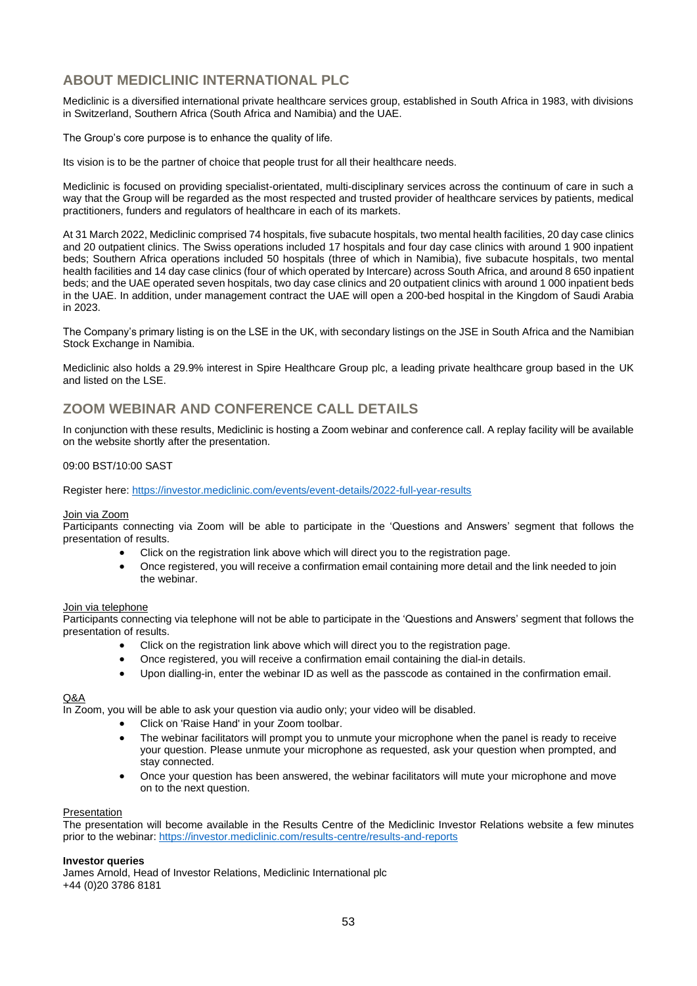# **ABOUT MEDICLINIC INTERNATIONAL PLC**

Mediclinic is a diversified international private healthcare services group, established in South Africa in 1983, with divisions in Switzerland, Southern Africa (South Africa and Namibia) and the UAE.

The Group's core purpose is to enhance the quality of life.

Its vision is to be the partner of choice that people trust for all their healthcare needs.

Mediclinic is focused on providing specialist-orientated, multi-disciplinary services across the continuum of care in such a way that the Group will be regarded as the most respected and trusted provider of healthcare services by patients, medical practitioners, funders and regulators of healthcare in each of its markets.

At 31 March 2022, Mediclinic comprised 74 hospitals, five subacute hospitals, two mental health facilities, 20 day case clinics and 20 outpatient clinics. The Swiss operations included 17 hospitals and four day case clinics with around 1 900 inpatient beds; Southern Africa operations included 50 hospitals (three of which in Namibia), five subacute hospitals, two mental health facilities and 14 day case clinics (four of which operated by Intercare) across South Africa, and around 8 650 inpatient beds; and the UAE operated seven hospitals, two day case clinics and 20 outpatient clinics with around 1 000 inpatient beds in the UAE. In addition, under management contract the UAE will open a 200-bed hospital in the Kingdom of Saudi Arabia in 2023.

The Company's primary listing is on the LSE in the UK, with secondary listings on the JSE in South Africa and the Namibian Stock Exchange in Namibia.

Mediclinic also holds a 29.9% interest in Spire Healthcare Group plc, a leading private healthcare group based in the UK and listed on the LSE.

# **ZOOM WEBINAR AND CONFERENCE CALL DETAILS**

In conjunction with these results, Mediclinic is hosting a Zoom webinar and conference call. A replay facility will be available on the website shortly after the presentation.

#### 09:00 BST/10:00 SAST

Register here: <https://investor.mediclinic.com/events/event-details/2022-full-year-results>

#### Join via Zoom

Participants connecting via Zoom will be able to participate in the 'Questions and Answers' segment that follows the presentation of results.

- Click on the registration link above which will direct you to the registration page.
- Once registered, you will receive a confirmation email containing more detail and the link needed to join the webinar.

#### Join via telephone

Participants connecting via telephone will not be able to participate in the 'Questions and Answers' segment that follows the presentation of results.

- Click on the registration link above which will direct you to the registration page.
- Once registered, you will receive a confirmation email containing the dial-in details.
- Upon dialling-in, enter the webinar ID as well as the passcode as contained in the confirmation email.

## Q&A

In Zoom, you will be able to ask your question via audio only; your video will be disabled.

- Click on 'Raise Hand' in your Zoom toolbar.
- The webinar facilitators will prompt you to unmute your microphone when the panel is ready to receive your question. Please unmute your microphone as requested, ask your question when prompted, and stay connected.
- Once your question has been answered, the webinar facilitators will mute your microphone and move on to the next question.

#### Presentation

The presentation will become available in the Results Centre of the Mediclinic Investor Relations website a few minutes prior to the webinar: <https://investor.mediclinic.com/results-centre/results-and-reports>

#### **Investor queries**

James Arnold, Head of Investor Relations, Mediclinic International plc +44 (0)20 3786 8181